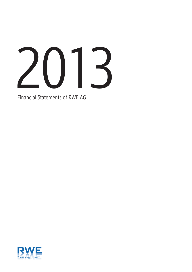# 2013

Financial Statements of RWE AG

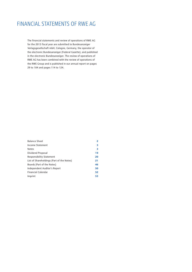# FINANCIAL STATEMENTS OF RWE AG

The financial statements and review of operations of RWE AG for the 2013 fiscal year are submitted to Bundesanzeiger Verlagsgesellschaft mbH, Cologne, Germany, the operator of the electronic Bundesanzeiger (Federal Gazette), and published in the electronic Bundesanzeiger. The review of operations of RWE AG has been combined with the review of operations of the RWE Group and is published in our annual report on pages 29 to 104 and pages 114 to 124.

| <b>Balance Sheet</b>                      | $\overline{2}$ |
|-------------------------------------------|----------------|
| Income Statement                          | 3              |
| <b>Notes</b>                              | 3              |
| Dividend Proposal                         | 19             |
| <b>Responsibility Statement</b>           | 20             |
| List of Shareholdings (Part of the Notes) | 21             |
| Boards (Part of the Notes)                | 46             |
| Independent Auditor's Report              | 50             |
| <b>Financial Calendar</b>                 | 52             |
| Imprint                                   | 53             |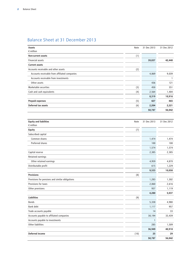# Balance Sheet at 31 December 2013

| Assets<br>$\epsilon$ million                        | Note | 31 Dec 2013  | 31 Dec 2012  |
|-----------------------------------------------------|------|--------------|--------------|
| Non-current assets                                  | (1)  |              |              |
| <b>Financial assets</b>                             |      | 39,837       | 42,440       |
| <b>Current assets</b>                               |      |              |              |
| Accounts receivable and other assets                | (2)  |              |              |
| Accounts receivable from affiliated companies       |      | 4,869        | 9,039        |
| Accounts receivable from investments                |      |              | $\mathbf{1}$ |
| Other assets                                        |      | 436          | 121          |
| Marketable securities                               | (3)  | 450          | 351          |
| Cash and cash equivalents                           | (4)  | 2,564        | 1,404        |
|                                                     |      | 8,319        | 10,916       |
| <b>Prepaid expenses</b>                             | (5)  | 427          | 465          |
| Deferred tax assets                                 | (6)  | 2,204        | 2,221        |
|                                                     |      | 50,787       | 56,042       |
|                                                     |      |              |              |
| <b>Equity and liabilities</b><br>$\epsilon$ million | Note | 31 Dec 2013  | 31 Dec 2012  |
| <b>Equity</b>                                       | (7)  |              |              |
| Subscribed capital                                  |      |              |              |
| Common shares                                       |      | 1,474        | 1,474        |
| Preferred shares                                    |      | 100          | 100          |
|                                                     |      | 1,574        | 1,574        |
| Capital reserve                                     |      | 2,385        | 2,385        |
| Retained earnings                                   |      |              |              |
| Other retained earnings                             |      | 4,959        | 4,870        |
| Distributable profit                                |      | 615          | 1,229        |
|                                                     |      | 9,533        | 10,058       |
| <b>Provisions</b>                                   | (8)  |              |              |
| Provisions for pensions and similar obligations     |      | 1,283        | 1,302        |
| Provisions for taxes                                |      | 2,060        | 2,616        |
| Other provisions                                    |      | 937          | 1,119        |
|                                                     |      | 4,280        | 5,037        |
| <b>Liabilities</b>                                  | (9)  |              |              |
| Bonds                                               |      | 5,338        | 4,980        |
| Bank debt                                           |      | 1,117        | 957          |
| Trade accounts payable                              |      | 14           | 33           |
| Accounts payable to affiliated companies            |      | 30,194       | 33,439       |
| Accounts payable to investments                     |      | $\mathbf{1}$ |              |
| Other liabilities                                   |      | 285          | 1,509        |
|                                                     |      | 36,949       | 40,918       |
| Deferred income                                     | (10) | 25           | 29           |
|                                                     |      | 50,787       | 56,042       |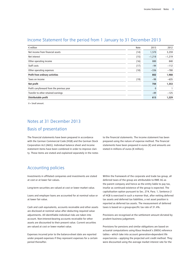| $\epsilon$ million                         | Note | 2013         | 2012     |
|--------------------------------------------|------|--------------|----------|
| Net income from financial assets           | (14) | 1,570        | 3,259    |
| Net interest                               | (15) | $-1,218$     | $-1,219$ |
| Other operating income                     | (16) | 880          | 840      |
| Staff costs                                | (17) | $-94$        | $-112$   |
| Other operating expenses                   | (18) | $-336$       | $-780$   |
| Profit from ordinary activities            |      | 802          | 1,988    |
| Taxes on income                            | (19) | $-98$        | $-635$   |
| Net profit                                 |      | 704          | 1,353    |
| Profit carryforward from the previous year |      | $\mathbf{0}$ |          |
| Transfer to other retained earnings        |      | $-89$        | $-125$   |
| Distributable profit                       |      | 615          | 1,229    |

## Income Statement for the period from 1 January to 31 December 2013

0 = Small amount.

# Notes at 31 December 2013

## Basis of presentation

The financial statements have been prepared in accordance with the German Commercial Code (HGB) and the German Stock Corporation Act (AktG). Individual balance sheet and income statement items have been combined in order to improve clarity. These items are stated and explained separately in the notes to the financial statements. The income statement has been prepared using the nature of expense method. The financial statements have been prepared in euros (€) and amounts are stated in millions of euros (€ million).

## Accounting policies

Investments in affiliated companies and investments are stated at cost or at lower fair values.

Long-term securities are valued at cost or lower market value.

Loans and employer loans are accounted for at nominal value or at lower fair value.

Cash and cash equivalents, accounts receivable and other assets are disclosed at nominal value after deducting required value adjustments. All identifiable individual risks are taken into account. Non-interest-bearing accounts receivable for other assets are discounted to their present value. Current securities are valued at cost or lower market value.

Expenses incurred prior to the balance-sheet date are reported under prepaid expenses if they represent expenses for a certain period thereafter.

Within the framework of the corporate and trade tax group, all deferred taxes of the group are attributable to RWE AG as the parent company and hence as the entity liable to pay tax, insofar as continued existence of the group is expected. The capitalisation option pursuant to Sec. 274, Para. 1, Sentence 2 of HGB is exercised in such a manner that, after netting deferred tax assets and deferred tax liabilities, a net asset position is reported as deferred tax assets. The measurement of deferred taxes is based on a group-specific tax rate of 31.4%.

Provisions are recognised at the settlement amount dictated by prudent business judgement.

Provisions for pensions and similar obligations are based on actuarial computations using Klaus Heubeck's 2005G reference tables – which take into account generation-dependent life expectancies – applying the projected unit credit method. They were discounted using the average market interest rate for the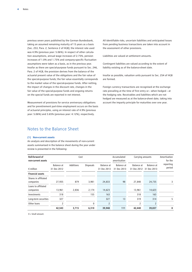previous seven years published by the German Bundesbank, taking an assumed remaining maturity of 15 years as a basis (Sec. 253, Para. 2, Sentence 2 of HGB); the interest rate used was 4.9% (previous year: 5.06%). In respect of other calculation assumptions, annual wage increases of 2.75%, pension increases of 1.0% and 1.75% and company-specific fluctuation assumptions were taken as a basis, as in the previous year. Insofar as there are special-purpose funds pursuant to Sec. 246, Para. 2 of HGB, the provision derives from the balance of the actuarial present value of the obligations and the fair value of the special-purpose funds; the fair value essentially corresponds to the market value of the special-purpose funds. After netting, the impact of changes in the discount rate, changes in the fair value of the special-purpose funds and ongoing returns on the special funds are reported in net interest.

Measurement of provisions for service anniversary obligations and for preretirement part-time employment occurs on the basis of actuarial principles, using an interest rate of 4.9% (previous year: 5.06%) and 3.65% (previous year: 4.12%), respectively.

## Notes to the Balance Sheet

#### **(1) Non-current assets**

An analysis and description of the movements of non-current assets summarised in the balance sheet during the year under review is presented in the following:

All identifiable risks, uncertain liabilities and anticipated losses from pending business transactions are taken into account in the assessment of other provisions.

Liabilities are valued at settlement amounts.

Contingent liabilities are valued according to the extent of liability existing as of the balance-sheet date.

Insofar as possible, valuation units pursuant to Sec. 254 of HGB are formed.

Foreign currency transactions are recognised at the exchange rate prevailing at the time of first entry or – when hedged – at the hedging rate. Receivables and liabilities which are not hedged are measured as at the balance-sheet date, taking into account the imparity principle for maturities over one year.

| <b>Roll-forward of</b><br>non-current assets | Cost                      |           |                  | Accumulated<br>amortisation | Carrying amounts          |            | Amortisation<br>for the               |                     |
|----------------------------------------------|---------------------------|-----------|------------------|-----------------------------|---------------------------|------------|---------------------------------------|---------------------|
| $\epsilon$ million                           | Balance at<br>31 Dec 2012 | Additions | <b>Disposals</b> | Balance at<br>31 Dec 2013   | Balance at<br>31 Dec 2013 | Balance at | Balance at<br>31 Dec 2012 31 Dec 2013 | reporting<br>period |
| <b>Financial assets</b>                      |                           |           |                  |                             |                           |            |                                       |                     |
| Shares in affiliated<br>companies            | 27,935                    | 879       | 3,981            | 24,833                      | 98                        | 27,840     | 24,735                                | 3                   |
| Loans to affiliated<br>companies             | 13,961                    | 2,836     | 2,174            | 14,623                      |                           | 13,961     | 14,623                                |                     |
| Investments                                  | 318                       |           | 155              | 163                         |                           | 318        | 163                                   |                     |
| Long-term securities                         | 327                       |           |                  | 327                         | 13                        | 319        | 314                                   | 5                   |
| Other loans                                  | 2                         |           | 0                | $\overline{2}$              |                           | 2          | $\overline{2}$                        |                     |
|                                              | 42,543                    | 3,715     | 6,310            | 39,948                      | 111                       | 42,440     | 39,837                                | 8                   |

 $0 =$  Small amount.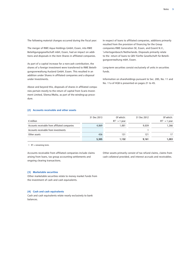The following material changes occurred during the fiscal year:

The merger of RWE Aqua Holdings GmbH, Essen, into RWE Beteiligungsgesellschaft mbH, Essen, had an impact on additions and disposals in the item Shares in affiliated companies.

As part of a capital increase for a non-cash contribution, the shares of a foreign investment were transferred to RWE Beteiligungsverwaltung Ausland GmbH, Essen. This resulted in an addition under Shares in affiliated companies and a disposal under Investments.

Above and beyond this, disposals of shares in affiliated companies pertain mostly to the return of capital from Scaris Investment Limited, Sliema/Malta, as part of the winding-up procedure.

In respect of loans to affiliated companies, additions primarily resulted from the provision of financing for the Group companies RWE Generation SE, Essen, and Essent N.V., 's-Hertogenbosch/Netherlands. Disposals primarily relate to the return of loans to GBV Fünfte Gesellschaft für Beteiligungsverwaltung mbH, Essen.

Long-term securities consist exclusively of units in securities funds.

Information on shareholdings pursuant to Sec. 285, No. 11 and No. 11a of HGB is presented on pages 21 to 45.

#### **(2) Accounts receivable and other assets**

|                                               | 31 Dec 2013 | Of which:       | 31 Dec 2012 | Of which:       |
|-----------------------------------------------|-------------|-----------------|-------------|-----------------|
| $\epsilon$ million                            |             | $RT^1 > 1$ year |             | $RT^1 > 1$ year |
| Accounts receivable from affiliated companies | 4.869       | 1.001           | 9,039       | 1,266           |
| Accounts receivable from investments          |             |                 |             |                 |
| Other assets                                  | 436         | 131             | 121         | 17              |
|                                               | 5,305       | 1.132           | 9,161       | 1.283           |

1 RT = remaining term.

Accounts receivable from affiliated companies include claims arising from loans, tax group accounting settlements and ongoing clearing transactions.

Other assets primarily consist of tax refund claims, claims from cash collateral provided, and interest accruals and receivables.

#### **(3) Marketable securities**

Other marketable securities relate to money market funds from the investment of cash and cash equivalents.

#### **(4) Cash and cash equivalents**

Cash and cash equivalents relate nearly exclusively to bank balances.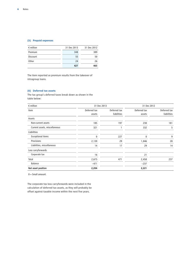#### **(5) Prepaid expenses**

| $\epsilon$ million | 31 Dec 2013 | 31 Dec 2012 |
|--------------------|-------------|-------------|
| Premium            | 348         | 389         |
| <b>Discount</b>    | 55          | 50          |
| Other              | 24          | 26          |
|                    | 427         | 465         |

The item reported as premium results from the takeover of intragroup loans.

#### **(6) Deferred tax assets**

The tax group's deferred taxes break down as shown in the table below:

| $\epsilon$ million            | 31 Dec 2013            |                             | 31 Dec 2012            |                             |
|-------------------------------|------------------------|-----------------------------|------------------------|-----------------------------|
| Item                          | Deferred tax<br>assets | Deferred tax<br>liabilities | Deferred tax<br>assets | Deferred tax<br>liabilities |
| Assets                        |                        |                             |                        |                             |
| Non-current assets            | 185                    | 197                         | 230                    | 181                         |
| Current assets, miscellaneous | 321                    |                             | 332                    | 5                           |
| <b>Liabilities</b>            |                        |                             |                        |                             |
| <b>Exceptional items</b>      | 0                      | 227                         | 0                      | 9                           |
| Provisions                    | 2,139                  | 29                          | 1,846                  | 28                          |
| Liabilities, miscellaneous    | 14                     | 17                          | 29                     | 14                          |
| Loss carryforwards            |                        |                             |                        |                             |
| Corporate tax                 | 16                     |                             | 21                     |                             |
| Total                         | 2,675                  | 471                         | 2,458                  | 237                         |
| Balance                       | $-471$                 |                             | $-237$                 |                             |
| Net asset position            | 2,204                  |                             | 2,221                  |                             |

0 = Small amount.

The corporate tax loss carryforwards were included in the calculation of deferred tax assets, as they will probably be offset against taxable income within the next five years.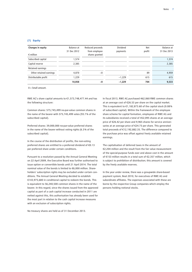#### **(7) Equity**

| Changes in equity<br>$\epsilon$ million | Balance at<br>31 Dec 2012 | Reduced proceeds<br>from employee<br>shares granted | Dividend<br>payments | <b>Net</b><br>profit | Balance at<br>31 Dec 2013 |
|-----------------------------------------|---------------------------|-----------------------------------------------------|----------------------|----------------------|---------------------------|
|                                         |                           |                                                     |                      |                      |                           |
| Subscribed capital                      | 1,574                     |                                                     |                      |                      | 1,574                     |
| Capital reserve                         | 2,385                     |                                                     |                      |                      | 2,385                     |
| Retained earnings                       |                           |                                                     |                      |                      |                           |
| Other retained earnings                 | 4,870                     | $-0$                                                |                      | 89                   | 4,959                     |
| Distributable profit                    | 1.229                     |                                                     | $-1,229$             | 615                  | 615                       |
|                                         | 10,058                    | -0                                                  | $-1,229$             | 704                  | 9,533                     |

 $0 =$ Small amount.

RWE AG's share capital amounts to €1,573,748,477.44 and has the following structure:

Common shares: 575,745,499 no-par-value common shares in the name of the bearer with 575,745,499 votes (93.7 % of the subscribed capital).

Preferred shares: 39,000,000 no-par-value preferred shares in the name of the bearer without voting rights (6.3 % of the subscribed capital).

In the course of the distribution of profits, the non-voting preferred shares are entitled to a preferred dividend of €0.13 per preferred share under certain conditions.

Pursuant to a resolution passed by the Annual General Meeting on 22 April 2009, the Executive Board was further authorised to issue option or convertible bonds until 21 April 2014. The total nominal value of the bonds is limited to €6,000 million. Shareholders' subscription rights may be excluded under certain conditions. The Annual General Meeting decided to establish €143,975,680 in conditional capital to redeem the bonds. This is equivalent to 56,240,500 common shares in the name of the bearer. In this regard, since the shares issued from the approved capital as part of a cash capital increase conducted in 2011 are netted against this, this authorisation has already been used for the most part in relation to the cash capital increase measures with an exclusion of subscription rights.

No treasury shares are held as of 31 December 2013.

In fiscal 2013, RWE AG purchased 462,060 RWE common shares at an average cost of €26.53 per share on the capital market. This is equivalent to  $\epsilon$ 1,182,873.60 of the capital stock (0.08% of subscribed capital). Within the framework of the employee share scheme for capital formation, employees of RWE AG and its subsidiaries received a total of 452,095 shares at an average price of €26.42 per share and 9,965 shares for service anniversaries at an average price of €24.75 per share. This generated total proceeds of €12,192,882.35. The difference compared to the purchase price was offset against freely available retained earnings.

The capitalisation of deferred taxes in the amount of €2,204 million and the result from the fair value measurement of the special-purpose funds over and above cost in the amount of €153 million results in a total sum of €2,357 million, which is subject to prohibition of distribution; this amount is covered by the freely available reserves.

In the year under review, there was a groupwide share-based payment system, Beat 2010, for executives of RWE AG and subordinate affiliates. The expenses associated with these are borne by the respective Group companies which employ the persons holding notional stocks.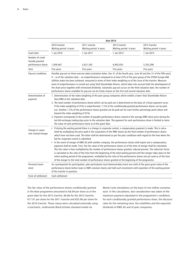|                                                            | <b>Beat 2010</b>                                                                                                                                                                                                                                                                                                                                                                                                                                                                                                                                                                                                                                                                                                                                                                                                                                                                                                                                                                                                                                                                                                                             |                                                           |                                                                                                                                                                                                                                                                                                                                                                                                                                                                                                                                                                                                                                                                                                                                   |                                         |  |  |
|------------------------------------------------------------|----------------------------------------------------------------------------------------------------------------------------------------------------------------------------------------------------------------------------------------------------------------------------------------------------------------------------------------------------------------------------------------------------------------------------------------------------------------------------------------------------------------------------------------------------------------------------------------------------------------------------------------------------------------------------------------------------------------------------------------------------------------------------------------------------------------------------------------------------------------------------------------------------------------------------------------------------------------------------------------------------------------------------------------------------------------------------------------------------------------------------------------------|-----------------------------------------------------------|-----------------------------------------------------------------------------------------------------------------------------------------------------------------------------------------------------------------------------------------------------------------------------------------------------------------------------------------------------------------------------------------------------------------------------------------------------------------------------------------------------------------------------------------------------------------------------------------------------------------------------------------------------------------------------------------------------------------------------------|-----------------------------------------|--|--|
|                                                            | 2010 tranche<br>Waiting period: 4 years                                                                                                                                                                                                                                                                                                                                                                                                                                                                                                                                                                                                                                                                                                                                                                                                                                                                                                                                                                                                                                                                                                      | 2011 tranche<br>Waiting period: 4 years                   | 2012 tranche<br>Waiting period: 4 years                                                                                                                                                                                                                                                                                                                                                                                                                                                                                                                                                                                                                                                                                           | 2013 tranche<br>Waiting period: 4 years |  |  |
| Grant date                                                 | 1 Jan 2010                                                                                                                                                                                                                                                                                                                                                                                                                                                                                                                                                                                                                                                                                                                                                                                                                                                                                                                                                                                                                                                                                                                                   | 1 Jan 2011                                                | 1 Jan 2012                                                                                                                                                                                                                                                                                                                                                                                                                                                                                                                                                                                                                                                                                                                        | 1 Jan 2013                              |  |  |
| Number of condi-<br>tionally granted<br>performance shares | 1,059,467                                                                                                                                                                                                                                                                                                                                                                                                                                                                                                                                                                                                                                                                                                                                                                                                                                                                                                                                                                                                                                                                                                                                    | 2,621,542                                                 | 6,942,033                                                                                                                                                                                                                                                                                                                                                                                                                                                                                                                                                                                                                                                                                                                         | 5,355,398                               |  |  |
| Term                                                       | Five years                                                                                                                                                                                                                                                                                                                                                                                                                                                                                                                                                                                                                                                                                                                                                                                                                                                                                                                                                                                                                                                                                                                                   | Five years                                                | Five years                                                                                                                                                                                                                                                                                                                                                                                                                                                                                                                                                                                                                                                                                                                        | Five years                              |  |  |
| Pay-out conditions                                         | Possible pay-out on three exercise dates (valuation dates: Dec 31 of the fourth year, June 30 and Dec 31 of the fifth year)<br>if – as of the valuation date – an outperformance compared to at least 25% of the peer group of the STOXX Europe 600<br>Utilities Index has been achieved, measured in terms of their index weighting as of the issue of the tranche. Measure-<br>ment of outperformance is carried out using Total Shareholder Return, which takes into account both the development of<br>the share price together with reinvested dividends. Automatic pay-out occurs on the third valuation date; the number of<br>performance shares available for pay-out can be freely chosen on the first and second valuation date.                                                                                                                                                                                                                                                                                                                                                                                                  |                                                           |                                                                                                                                                                                                                                                                                                                                                                                                                                                                                                                                                                                                                                                                                                                                   |                                         |  |  |
| Determination of<br>payment                                | than RWE at the valuation date.<br>beyond the index weighting of 25%.                                                                                                                                                                                                                                                                                                                                                                                                                                                                                                                                                                                                                                                                                                                                                                                                                                                                                                                                                                                                                                                                        | the value of each performance share as of the grant date. | 1. Determination of the index weighting of the peer group companies which exhibit a lower Total Shareholder Return<br>2. The total number of performance shares which can be paid out is determined on the basis of a linear payment curve.<br>If the index weighting of 25% is outperformed, 7.5% of the conditionally-granted performance shares can be paid<br>out. Another 1.5% of the performance shares granted can be paid out for each further percentage point above and<br>3. Payment corresponds to the number of payable performance shares valued at the average RWE share price during the<br>last 60 exchange trading days prior to the valuation date. The payment for each performance share is limited to twice |                                         |  |  |
| Change in corpo-<br>rate control/merger                    | • If during the waiting period there is a change in corporate control, a compensatory payment is made. This is calcu-<br>lated by multiplying the price paid in the acquisition of the RWE shares by the final number of performance shares<br>which have not been used. The latter shall be determined as per the plan conditions with regard to the time when the<br>bid for corporate control is submitted.<br>In the event of merger of RWE AG with another company, the performance shares shall expire and a compensatory<br>payment shall be made. First, the fair value of the performance shares as of the time of merger shall be calculated.<br>This fair value is then multiplied by the number of performance shares granted, reduced prorata. The reduction factor<br>is calculated as the ratio of the time from the beginning of the total waiting period until the merger takes place to the<br>entire waiting period of the programme, multiplied by the ratio of the performance shares not yet used as of the time<br>of the merger to the total number of performance shares granted at the beginning of the programme. |                                                           |                                                                                                                                                                                                                                                                                                                                                                                                                                                                                                                                                                                                                                                                                                                                   |                                         |  |  |
| Personal invest-<br>ment                                   | of the tranche in question.                                                                                                                                                                                                                                                                                                                                                                                                                                                                                                                                                                                                                                                                                                                                                                                                                                                                                                                                                                                                                                                                                                                  |                                                           | As a prerequisite for participation, plan participants must demonstrably invest one sixth of the gross grant value of the<br>performance shares before taxes in RWE common shares and hold such investment until expiration of the waiting period                                                                                                                                                                                                                                                                                                                                                                                                                                                                                 |                                         |  |  |
| Form of settlement                                         | Cash settlement                                                                                                                                                                                                                                                                                                                                                                                                                                                                                                                                                                                                                                                                                                                                                                                                                                                                                                                                                                                                                                                                                                                              |                                                           |                                                                                                                                                                                                                                                                                                                                                                                                                                                                                                                                                                                                                                                                                                                                   |                                         |  |  |

The fair value of the performance shares conditionally granted in the Beat programme amounted to €8.09 per share as of the grant date for the 2013 tranche, €6.66 for the 2012 tranche, €17.01 per share for the 2011 tranche and €25.96 per share for the 2010 tranche. These values were calculated externally using a stochastic, multivariate Black-Scholes standard model via

Monte Carlo simulations on the basis of one million scenarios each. In the calculations, due consideration was taken of the maximum payment stipulated in the programme's conditions for each conditionally granted performance share, the discount rates for the remaining term, the volatilities and the expected dividends of RWE AG and of peer companies.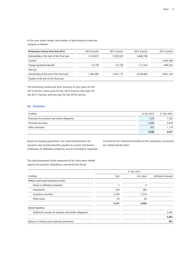In the year under review, the number of performance shares developed as follows:

| <b>Performance Shares from Beat 2010</b>    | 2010 tranche | 2011 tranche | 2012 tranche | 2013 tranche |
|---------------------------------------------|--------------|--------------|--------------|--------------|
| Outstanding at the start of the fiscal year | 1.016.812    | 2,528,323    | 6,668,196    |              |
| Granted                                     |              |              |              | 5,355,398    |
| Change (granted/expired)                    | $-13.720$    | $-27.150$    | $-117.534$   | $-494.254$   |
| Paid out                                    |              |              |              |              |
| Outstanding at the end of the fiscal year   | 1.003.092    | 2,501,173    | 6,550,662    | 4,861,144    |
| Payable at the end of the fiscal year       |              |              |              |              |

The remaining contractual term amounts to four years for the 2013 tranche, three years for the 2012 tranche, two years for the 2011 tranche, and one year for the 2010 tranche.

#### **(8) Provisions**

| $\epsilon$ million                              | 31 Dec 2013 | 31 Dec 2012 |
|-------------------------------------------------|-------------|-------------|
| Provisions for pensions and similar obligations | 1,283       | 1,302       |
| Provisions for taxes                            | 2,060       | 2,616       |
| Other provisions                                | 937         | 1.119       |
|                                                 | 4,280       | 5.037       |

Based on existing guarantees, the reported provisions for pensions also include benefits payable to current and former employees of affiliated companies and an investment. Expenses incurred for the retirement benefits of the companies concerned are reimbursed by them.

The special-purpose funds measured at fair value were netted against the pension obligations covered by the funds:

|                                                        |       | 31 Dec 2013 |                   |
|--------------------------------------------------------|-------|-------------|-------------------|
| $\epsilon$ million                                     | Cost  | Fair value  | Settlement amount |
| Netted assets (special-purpose funds)                  |       |             |                   |
| Shares in affiliated companies                         | 5     | 4           |                   |
| Investments                                            | 254   | 266         |                   |
| Long-term securities                                   | 2,256 | 2,310       |                   |
| Other assets                                           | 26    | 26          |                   |
|                                                        | 2,541 | 2,606       |                   |
| <b>Netted liabilities</b>                              |       |             |                   |
| Settlement amount for pensions and similar obligations |       |             | 3,487             |
|                                                        |       |             | 3,487             |
| Balance of netting assets (pension provisions)         |       |             | 881               |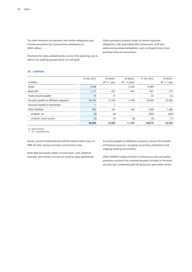The item Provisions for pensions and similar obligations also includes provisions for concessionary allowances of €402 million.

Provisions for taxes predominantly concern the reporting year as well as tax auditing periods which are still open.

Other provisions primarily relate to interest payment obligations, risks associated with investments, staff and restructuring-related obligations, and contingent losses from pending financial transactions.

#### **(9) Liabilities**

| $\epsilon$ million                       | 31 Dec 2013 | Of which:<br>$RT^1 \leq 1$ year | Of which:<br>$RT^1 > 5$ years | 31 Dec 2012 | Of which:<br>$RT^1 \leq 1$ year |
|------------------------------------------|-------------|---------------------------------|-------------------------------|-------------|---------------------------------|
|                                          |             |                                 |                               |             |                                 |
| <b>Bonds</b>                             | 5,338       |                                 | 5,238                         | 4,980       |                                 |
| Bank debt                                | 1,117       | 472                             | 645                           | 957         | 312                             |
| Trade accounts payable                   | 14          | 14                              |                               | 33          | 33                              |
| Accounts payable to affiliated companies | 30,194      | 13,740                          | 5,748                         | 33,439      | 23,555                          |
| Accounts payable to investments          |             |                                 |                               |             |                                 |
| Other liabilities                        | 285         | 181                             | 102                           | 1,509       | 1,404                           |
| of which: tax                            | (4)         | (4)                             |                               | (262)       | (262)                           |
| of which: social security                | (3)         | (1)                             | (0)                           | (3)         | (1)                             |
|                                          | 36,949      | 14,408                          | 11,733                        | 40,918      | 25,304                          |

0 = Small amount.

1 RT = remaining term.

Bonds consist of hybrid bonds and the medium-term notes of RWE AG with varying maturities and interest rates.

Bank debt principally relates to bank loans, cash collateral received, and interest accruals for existing swap agreements. Accounts payable to affiliated companies concern the transfer of financial resources, tax group accounting settlements and ongoing clearing transactions.

Other liabilities relate primarily to interest accruals and option premiums received; the commercial paper included in the previous year was completely paid off during the year under review.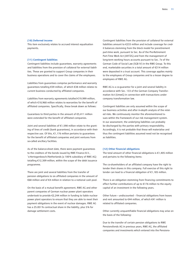#### **(10) Deferred income**

This item exclusively relates to accrued interest equalisation payments.

#### **(11) Contingent liabilities**

Contingent liabilities include guarantees, warranty agreements and liabilities from the provision of collateral for external liabilities. These are granted to support Group companies in their business operations and to cover the claims of the employees.

Liabilities from guarantees comprise performance and warranty guarantees totalling €59 million, of which €38 million relates to current business conducted by affiliated companies.

Liabilities from warranty agreements totalled €19,999 million, of which €18,968 million relates to warranties for the benefit of affiliated companies. Specifically, these break down as follows:

Guarantees to third parties in the amount of €5,411 million were extended for the benefit of affiliated companies.

Joint and several liabilities of €1,598 million relate to the granting of lines of credit (bank guarantees), in accordance with their respective use. Of this, €1,176 million pertains to guarantees for the benefit of affiliated companies and joint ventures from so-called ancillary facilities.

As of the balance-sheet date, there were payment guarantees to the creditors of the bonds issued by RWE Finance B.V., 's-Hertogenbosch/Netherlands (a 100 % subsidiary of RWE AG) totalling €12,309 million, within the scope of the debt issuance programme.

There are joint and several liabilities from the transfer of pension obligations to six affiliated companies in the amount of €68 million and of €4 million in relation to a notional cash pool.

On the basis of a mutual benefit agreement, RWE AG and other parent companies of German nuclear power plant operators undertook to provide €2,244 million in funding to liable nuclear power plant operators to ensure that they are able to meet their payment obligations in the event of nuclear damages. RWE AG has a 25.851 % contractual share in the liability, plus 5 % for damage settlement costs.

Contingent liabilities from the provision of collateral for external liabilities amount to €233 million and include coverage for credit balances stemming from the block model for preretirement part-time work, pursuant to Sec. 8a of the Pre-Retirement Part-Time Work Act (AltTZG) and from the management of long-term working hours accounts pursuant to Sec. 7e of the German Code of Social Law (SGB IV) in the RWE Group. To this end, marketable securities in a total amount of €314 million were deposited in a trust account. This coverage applies mainly to the employees of Group companies and to a lesser degree to employees of RWE AG.

RWE AG is a co-guarantor for a joint and several liability in accordance with Sec. 133 of the German Company Transformation Act (UmwG) in connection with transactions under company transformation law.

Contingent liabilities are only assumed within the scope of our business activities and after in-depth analysis of the related risks. We continuously monitor the aforementioned issues within the framework of our risk management system. In our assessment, the underlying liabilities can probably be discharged by the parties with primary responsibility. Accordingly, it is not probable that these will materialise and thus the contingent liabilities assumed need not be recognised as liabilities.

#### **(12) Other financial obligations**

The total amount of other financial obligations is €1,405 million and pertains to the following items:

The co-shareholders of an affiliated company have the right to tender their shares in this company. Full exercise of this right to tender can lead to a financial obligation of €1,185 million.

There is an obligation stemming from financing commitments to effect further contributions of up to €176 million to the equity capital of an investment in the following years.

Other future – undiscounted − financial obligations from leases and rent amounted to €44 million, of which €41 million is related to affiliated companies.

Other currently unquantifiable financial obligations may arise on the basis of the following:

Due to the transfer of certain pension obligations to RWE Pensionsfonds AG in previous years, RWE AG, the affiliated companies and investments which entered into the Pensions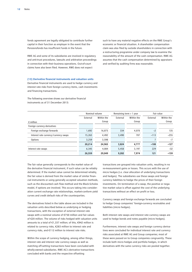fonds agreement are legally obligated to contribute further capital in their function as employer in the event that the Pensionsfonds has insufficient funds in the future.

RWE AG and some of its subsidiaries are involved in regulatory and anti-trust procedures, lawsuits and arbitration proceedings in connection with their business operations. Out-of-court claims have also been filed. However, RWE does not expect

such to have any material negative effects on the RWE Group's economic or financial situation. A shareholder compensation claim was also filed by outside shareholders in connection with a restructuring programme under company law to examine the reasonability of the amount of the cash compensation. RWE AG assumes that the cash compensation determined by appraisers and verified by auditing firms was reasonable.

#### **(13) Derivative financial instruments and valuation units**

Derivative financial instruments are used to hedge currency and interest rate risks from foreign currency items, cash investments and financing transactions.

The following overview shows our derivative financial instruments as of 31 December 2013:

|                                       | Nominal volume |            | Remaining term $> 1$ year |            | Fair value |            |
|---------------------------------------|----------------|------------|---------------------------|------------|------------|------------|
|                                       | External       | Within the | External                  | Within the | External   | Within the |
| $\epsilon$ million                    |                | Group      |                           | Group      |            | Group      |
| Foreign currency derivatives          |                |            |                           |            |            |            |
| Foreign exchange forwards             | 1,692          | 16,875     | 334                       | 4,070      | $-2$       | 135        |
| Interest rate currency/currency swaps | 15,263         | 4,492      | 3,490                     | 707        | $-113$     | $-255$     |
| Options                               | 3,259          | 3,598      |                           |            |            | $-7$       |
|                                       | 20,214         | 24,965     | 3,824                     | 4,777      | $-108$     | $-127$     |
| Interest rate swaps                   | 6,345          | 4.084      | 5,458                     | 3,197      | 229        | $-32$      |
|                                       | 26,559         | 29.049     | 9,282                     | 7,974      | 121        | $-159$     |

The fair value generally corresponds to the market value of the derivative financial instrument, if such value can be reliably determined. If the market value cannot be determined reliably, the fair value is derived from the market value of similar financial instruments or using generally accepted valuation methods, such as the discounted cash flow method and the Black-Scholes model, if options are involved. This occurs taking into consideration current exchange rate relationships, market-conform yield curves and credit default risks of the counterparties.

The derivatives listed in the table above are included in the valuation units described below as underlying or hedging transactions, with the exception of external interest rate swaps with a nominal volume of €750 million and fair values of €20 million. The volume of risks hedged with valuation units amounts to a total of €1,337 million; of this, €942 million is related to currency risks, €283 million to interest rate and currency risks, and €112 million to interest rate risks.

Within the scope of currency hedging, among other things, interest rate and interest rate currency swaps as well as matching off-setting transactions have been concluded with wholly-owned subsidiaries. RWE AG's derivative transactions concluded with banks and the respective offsetting

transactions are grouped into valuation units, resulting in no re-measurement gains or losses. This occurs with the use of micro hedges (i.e. clear allocation of underlying transactions and hedges). The subsidiaries use these swaps and foreign currency liabilities to hedge the prices of their foreign investments. On termination of a swap, the positive or negative market value is offset against the cost of the underlying transactions without an effect on profit or loss.

Currency swaps and foreign exchange forwards are concluded to hedge Group companies' foreign-currency receivables and liabilities (micro hedges).

Both interest rate swaps and interest rate currency swaps are used to hedge bonds and notes payable (micro hedges).

Furthermore, interest rate swaps and foreign currency derivatives were concluded for individual interest rate and currency risks associated at RWE AG and Group companies; most of these were passed on to Group companies congruently. These include both micro hedges and portfolio hedges, in which derivatives with the same currency risks are pooled together.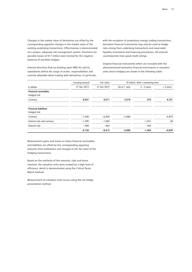Changes in the market value of derivatives are offset by the corresponding opposite changes in the market value of the existing underlying transactions. Effectiveness is demonstrated via a proper, adequate risk management system. Provisions for possible losses of €17 million were formed for the negative balances of portfolio hedges.

Internal directives that are binding upon RWE AG and its subsidiaries define the range of action, responsibilities and controls allowable when trading with derivatives. In particular, with the exception of proprietary energy trading transactions, derivative financial instruments may only be used to hedge risks arising from underlying transactions and associated liquidity investment and financing procedures. All external counterparties have good credit ratings.

Original financial instruments which are included with the aforementioned derivative financial instruments in valuation units (micro hedges) are shown in the following table:

|                                              | Carrying amount | Fair value<br>Of which: with a remaining term |              |               |             |
|----------------------------------------------|-----------------|-----------------------------------------------|--------------|---------------|-------------|
| $\epsilon$ million                           | 31 Dec 2013     | 31 Dec 2013                                   | Up to 1 year | $2 - 5$ years | $> 5$ years |
| <b>Financial receivables</b><br>Hedged risk: |                 |                                               |              |               |             |
| Currency                                     | 9,037           | 8,571                                         | 3,576        | 274           | 4,721       |
| <b>Financial liabilities</b><br>Hedged risk: |                 |                                               |              |               |             |
| Currency                                     | $-7,440$        | $-6,959$                                      | $-2,080$     |               | $-4,879$    |
| Interest rate and currency                   | $-1,298$        | $-1,002$                                      |              | $-1,051$      | 49          |
| Interest rate                                | $-400$          | $-454$                                        |              | $-454$        |             |
|                                              | $-9,138$        | $-8,415$                                      | $-2,080$     | $-1,505$      | $-4,830$    |

Measurement gains and losses on these financial receivables and liabilities are offset by the corresponding opposing amounts from realisations and changes in the fair value of the hedging transactions.

Based on the similarity of the amounts, risks and terms involved, the valuation units were marked by a high level of efficiency, which is demonstrated using the Critical Terms Match method.

Measurement of valuation units occurs using the net hedge presentation method.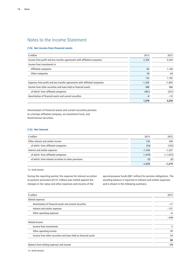## Notes to the Income Statement

#### **(14) Net income from financial assets**

| $\epsilon$ million                                                          | 2013     | 2012     |
|-----------------------------------------------------------------------------|----------|----------|
| Income from profit and loss transfer agreements with affiliated companies   | 2,350    | 3,554    |
| Income from investments in                                                  |          |          |
| Affiliated companies                                                        | 82       | 1.128    |
| Other companies                                                             | 50       | 64       |
|                                                                             | 132      | 1,192    |
| Expenses from profit and loss transfer agreements with affiliated companies | $-1,392$ | $-1,843$ |
| Income from other securities and loans held as financial assets             | 488      | 368      |
| of which: from affiliated companies                                         | (481)    | (357)    |
| Amortisation of financial assets and current securities                     | $-8$     | $-12$    |
|                                                                             | 1,570    | 3.259    |

Amortisation of financial assets and current securities pertains to a foreign affiliated company, an investment fund, and fixed-interest securities.

#### **(15) Net interest**

| $\epsilon$ million                                    | 2013     | 2012       |
|-------------------------------------------------------|----------|------------|
| Other interest and similar income                     | 130      | 338        |
| of which: from affiliated companies                   | (54)     | (102)      |
| Interest and similar expenses                         | $-1.348$ | $-1,557$   |
| of which: from affiliated companies                   | $(-878)$ | $(-1,073)$ |
| of which: from interest accretion to other provisions | (0)      | (0)        |
|                                                       | $-1,218$ | $-1,219$   |

0 = Small amount.

During the reporting period, the expense for interest accretion to pension provisions (€157 million) was netted against the changes in fair value and other expenses and income of the

special-purpose funds (€81 million) for pension obligations. The resulting balance is reported in interest and similar expenses and is shown in the following summary:

| $\epsilon$ million                                              | 2013   |
|-----------------------------------------------------------------|--------|
| Netted expenses                                                 |        |
| Amortisation of financial assets and current securities         | $-17$  |
| Interest and similar expenses                                   | $-157$ |
| Other operating expenses                                        | $-0$   |
|                                                                 | $-174$ |
| Netted income                                                   |        |
| Income from investments                                         | 5      |
| Other operating income                                          | 39     |
| Income from other securities and loans held as financial assets | 54     |
|                                                                 | 98     |
| Balance from netting expenses and income                        | -76    |

0 = Small amount.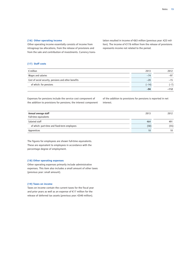#### **(16) Other operating income**

Other operating income essentially consists of income from intragroup tax allocations, from the release of provisions and from the sale and contribution of investments. Currency trans-

#### **(17) Staff costs**

| $\epsilon$ million                                   | 2013    | 2012   |
|------------------------------------------------------|---------|--------|
| Wages and salaries                                   | $-74$   | $-97$  |
| Cost of social security, pensions and other benefits | $-20$   | $-15$  |
| of which: for pensions                               | $(-14)$ | $(-7)$ |
|                                                      | $-94$   | $-112$ |

Expenses for pensions include the service cost component of the addition to provisions for pensions; the interest component

of the addition to provisions for pensions is reported in net interest.

lation resulted in income of €63 million (previous year: €23 million). The income of €178 million from the release of provisions

represents income not related to the period.

| Annual average staff<br>Full-time equivalents | 2013 | 2012 |
|-----------------------------------------------|------|------|
| Salaried staff                                | 464  | 491  |
| of which: part-time and fixed-term employees  | (58) | (55) |
| Apprentices                                   | 10   | 10   |

The figures for employees are shown full-time equivalents. These are equivalent to employees in accordance with the percentage degree of employment.

#### **(18) Other operating expenses**

Other operating expenses primarily include administrative expenses. This item also includes a small amount of other taxes (previous year: small amount).

#### **(19) Taxes on income**

Taxes on income contain the current taxes for the fiscal year and prior years as well as an expense of €17 million for the release of deferred tax assets (previous year: €540 million).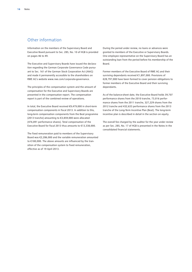## Other information

Information on the members of the Supervisory Board and Executive Board pursuant to Sec. 285, No. 10 of HGB is provided on pages 46 to 49.

The Executive and Supervisory Boards have issued the declaration regarding the German Corporate Governance Code pursuant to Sec. 161 of the German Stock Corporation Act (AktG) and made it permanently accessible to the shareholders on RWE AG's website www.rwe.com/corporate-governance.

The principles of the compensation system and the amount of compensation for the Executive and Supervisory Boards are presented in the compensation report. The compensation report is part of the combined review of operations.

In total, the Executive Board received €9,479,000 in short-term compensation components in fiscal 2013. In addition to this, long-term compensation components from the Beat programme (2013 tranche) amounting to €3,859,000 were allocated (476,891 performance shares). Total compensation of the Executive Board for fiscal 2013 thus amounts to €13,338,000.

The fixed remuneration paid to members of the Supervisory Board was €2,286,000 and the variable remuneration amounted to €180,000. The above amounts are influenced by the transition of the compensation system to fixed remuneration, effective as of 19 April 2013.

During the period under review, no loans or advances were granted to members of the Executive or Supervisory Boards. One employee representative on the Supervisory Board has an outstanding loan from the period before his membership of the Board.

Former members of the Executive Board of RWE AG and their surviving dependants received €1,897,000. Provisions of €28,797,000 have been formed to cover pension obligations to former members of the Executive Board and their surviving dependants.

As of the balance-sheet date, the Executive Board holds 39,707 performance shares from the 2010 tranche, 73,016 performance shares from the 2011 tranche, 327,229 shares from the 2012 tranche and 432,633 performance shares from the 2013 tranche of the Long-Term Incentive Plan (Beat). The long-term incentive plan is described in detail in the section on equity.

The overall fee charged by the auditor for the year under review as per Sec. 285, No. 17 of HGB is presented in the Notes in the consolidated financial statements.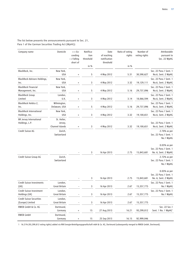The list below presents the announcements pursuant to Sec. 21, Para 1 of the German Securities Trading Act (WpHG):

| Company name                                        | Domicile                                  | $+ = Ex-$<br>ceeding<br>$-$ = Falling<br>short of | Notifica-<br>tion<br>threshold | Date<br>of reaching<br>notification<br>threshold | Ratio of voting<br>rights | Number of<br>voting rights | Attributable<br>pursuant to<br>Sec. 22 WpHG                     |
|-----------------------------------------------------|-------------------------------------------|---------------------------------------------------|--------------------------------|--------------------------------------------------|---------------------------|----------------------------|-----------------------------------------------------------------|
| BlackRock, Inc.                                     | New York,                                 |                                                   | in %                           |                                                  | in %                      |                            | Sec. 22 Para.1 Sent. 1                                          |
|                                                     | <b>USA</b>                                | $\ddot{}$                                         | 5                              | 4 May 2012                                       | 5.31                      | 30,590,627                 | No.6, Sent. 2 WpHG                                              |
| BlackRock Advisors Holdings,<br>Inc.                | New York,<br><b>USA</b>                   | $\ddot{}$                                         | 3                              | 4 May 2012                                       | 3.32                      | 19,129,111                 | Sec. 22 Para.1 Sent. 1<br>No.6, Sent. 2 WpHG                    |
| <b>BlackRock Financial</b><br>Management, Inc.      | New York,<br><b>USA</b>                   | $\ddot{}$                                         | 5                              | 4 May 2012                                       | 5.16                      | 29,737,096                 | Sec. 22 Para.1 Sent. 1<br>No.6, Sent. 2 WpHG                    |
| <b>BlackRock Group</b><br>Limited                   | London,<br>U.K.                           | +                                                 | 3                              | 4 May 2012                                       | 3.14                      | 18,066,594                 | Sec. 22 Para.1 Sent. 1<br>No.6, Sent. 2 WpHG                    |
| BlackRock Holdco 2,<br>Inc.                         | Wilmington,<br>Delaware, USA              | $\ddot{}$                                         | 5                              | 4 May 2012                                       | 5.16                      | 29,737,096                 | Sec. 22 Para.1 Sent. 1<br>No.6, Sent. 2 WpHG                    |
| <b>BlackRock International</b><br>Holdings, Inc.    | New York,<br><b>USA</b>                   | $\ddot{}$                                         | 3                              | 4 May 2012                                       | 3.32                      | 19,100,651                 | Sec. 22 Para.1 Sent. 1<br>No.6, Sent. 2 WpHG                    |
| BR Jersey International<br>Holdings, L.P.           | St. Helier,<br>Jersey,<br>Channel Islands | $\ddot{}$                                         | 3                              | 4 May 2012                                       | 3.32                      | 19,100,651                 | Sec. 22 Para.1 Sent. 1<br>No.6, Sent. 2 WpHG                    |
| Credit Suisse AG                                    | Zurich,<br>Switzerland                    |                                                   |                                |                                                  |                           |                            | 2.70% as per<br>Sec. 22 Para.1 Sent. 1<br>No.1 WpHG             |
|                                                     |                                           |                                                   | 3                              | 16 Apr 2013                                      | 2.75                      | 15,843,681                 | $0.03%$ as per<br>Sec. 22 Para.1 Sent. 1<br>No. 6, Sent. 2 WpHG |
| Credit Suisse Group AG                              | Zurich,<br>Switzerland                    |                                                   |                                |                                                  |                           |                            | 2.72% as per<br>Sec. 22 Para.1 Sent. 1<br>No.1 WpHG             |
|                                                     |                                           |                                                   | 3                              | 16 Apr 2013                                      | 2.75                      | 15,843,681                 | $0.03%$ as per<br>Sec. 22 Para.1 Sent. 1<br>No. 6, Sent. 2 WpHG |
| <b>Credit Suisse Investments</b><br>(UK)            | London,<br><b>Great Britain</b>           |                                                   | 3                              | 16 Apr 2013                                      | 2.67                      | 15,357,775                 | Sec. 22 Para.1 Sent. 1<br>No.1 WpHG                             |
| Credit Suisse Investment<br>Holdings (UK)           | London,<br>Great Britain                  |                                                   |                                | 16 Apr 2013                                      | 2.67                      | 15,357,775                 | Sec. 22 Para.1 Sent. 1<br>No.1 WpHG                             |
| <b>Credit Suisse Securities</b><br>(Europe) Limited | London,<br><b>Great Britain</b>           |                                                   | 3                              | 16 Apr 2013                                      | 2.67                      | 15,357,775                 |                                                                 |
| RWEB GmbH & Co. KG                                  | Dortmund,<br>Germany                      | $\ddot{}$                                         | 15                             | 27 Aug 2013                                      | 16.21                     | 93,299,812                 | Sec. 22 Sec. 1<br>Sent. 1 No. 1 WpHG                            |
| <b>RWEB GmbH</b>                                    | Dortmund,<br>Germany                      | $^{+}$                                            | 15                             | 25 Sep 2013                                      | 16.15                     | 92,999,046                 |                                                                 |

1 16.21% (93,299,812 voting rights) added via RW Energie-Beteiligungsgesellschaft mbH & Co. KG, Dortmund (subsequently merged to RWEB GmbH, Dortmund).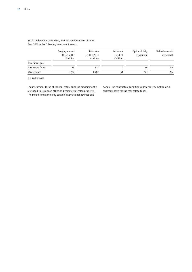|                   | Carrying amount    | Fair value         | Dividends          | Option of daily | Write-downs not |
|-------------------|--------------------|--------------------|--------------------|-----------------|-----------------|
|                   | 31 Dec 2013        | 31 Dec 2013        | in 2013            | redemption      | performed       |
|                   | $\epsilon$ million | $\epsilon$ million | $\epsilon$ million |                 |                 |
| Investment goal   |                    |                    |                    |                 |                 |
| Real estate funds | 113                | 113                | 0                  | No              | No              |
| Mixed funds       | 1.782              | 1.782              | 54                 | Yes             | No              |
|                   |                    |                    |                    |                 |                 |

As of the balance-sheet date, RWE AG held interests of more than 10% in the following investment assets:

0 = Small amount.

The investment focus of the real estate funds is predominantly restricted to European office and commercial retail property. The mixed funds primarily contain international equities and

bonds. The contractual conditions allow for redemption on a quarterly basis for the real estate funds.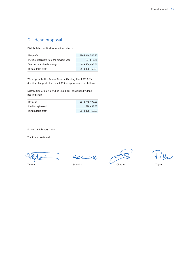## Dividend proposal

Distributable profit developed as follows:

| Net profit                                 | €704.344.346.35 |
|--------------------------------------------|-----------------|
| Profit carryforward from the previous year | €91.810.28      |
| Transfer to retained earnings              | €89.600.000.00  |
| Distributable profit                       | €614.836.156.63 |

We propose to the Annual General Meeting that RWE AG's distributable profit for fiscal 2013 be appropriated as follows:

Distribution of a dividend of €1.00 per individual dividendbearing share:

| Dividend             | €614.745.499.00 |
|----------------------|-----------------|
| Profit carryforward  | €90.657.63      |
| Distributable profit | €614.836.156.63 |

Essen, 14 February 2014

The Executive Board

lQ.

carit



 $\sqrt{\frac{1}{M}}$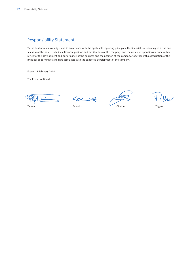## Responsibility Statement

To the best of our knowledge, and in accordance with the applicable reporting principles, the financial statements give a true and fair view of the assets, liabilities, financial position and profit or loss of the company, and the review of operations includes a fair review of the development and performance of the business and the position of the company, together with a description of the principal opportunities and risks associated with the expected development of the company.

Essen, 14 February 2014

The Executive Board

 $\Omega$ 

Carit

Terium Schmitz Günther Tigges

 $11/2$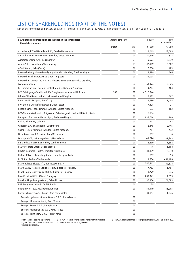# LIST OF SHAREHOLDINGS (PART OF THE NOTES)

List of shareholdings as per Sec. 285, No. 11 and No. 11a and Sec. 313, Para. 2 (in relation to Sec. 315 a I) of HGB as of 31 Dec 2013

| financial statements<br>€ '000<br>€ '000<br><b>Direct</b><br>Total<br>100<br>115,015<br>Aktivabedrijf Wind Nederland B.V., Zwolle/Netherlands<br>28,095<br>An Suidhe Wind Farm Limited, Swindon/United Kingdom<br>20,616<br>100<br>372<br>Andromeda Wind S.r.l., Bolzano/Italy<br>51<br>9,573<br>2.239<br>Artelis S.A., Luxembourg/Luxembourg<br>53<br>37,459<br>2,682<br>A/V/E GmbH, Halle (Saale)<br>76<br>2,030<br>483<br>Bayerische Bergbahnen-Beteiligungs-Gesellschaft mbH, Gundremmingen<br>100<br>22,879<br>566<br>$\overline{1}$<br>Bayerische Elektrizitätswerke GmbH, Augsburg<br>100<br>34,008<br>Bayerische-Schwäbische Wasserkraftwerke Beteiligungsgesellschaft mbH,<br>Gundremmingen<br>62<br>9,025<br>63,474<br>3,717<br>BC-Therm Energiatermelő és Szolgáltató Kft., Budapest/Hungary<br>100<br>404<br>BGE Beteiligungs-Gesellschaft für Energieunternehmen mbH, Essen<br>100<br>100<br>4,317,944<br>Bilbster Wind Farm Limited, Swindon/United Kingdom<br>100<br>2,133<br>507<br>Biomasse Sicilia S.p.A., Enna/Italy<br>100<br>1,480<br>$-1,455$<br>BPR Energie Geschäftsbesorgung GmbH, Essen<br>100<br>17,328<br>27<br>Bristol Channel Zone Limited, Swindon/United Kingdom<br>100<br>$-633$<br>$-182$<br>BTB-Blockheizkraftwerks, Träger- und Betreibergesellschaft mbH Berlin, Berlin<br>18,094<br>100<br>Budapesti Elektromos Muvek Nyrt., Budapest/Hungary<br>55<br>832,714<br>100<br>Carl Scholl GmbH, Cologne<br>100<br>401<br>42<br>Cegecom S.A., Luxembourg/Luxembourg<br>100<br>12,345<br>2,445 |
|-------------------------------------------------------------------------------------------------------------------------------------------------------------------------------------------------------------------------------------------------------------------------------------------------------------------------------------------------------------------------------------------------------------------------------------------------------------------------------------------------------------------------------------------------------------------------------------------------------------------------------------------------------------------------------------------------------------------------------------------------------------------------------------------------------------------------------------------------------------------------------------------------------------------------------------------------------------------------------------------------------------------------------------------------------------------------------------------------------------------------------------------------------------------------------------------------------------------------------------------------------------------------------------------------------------------------------------------------------------------------------------------------------------------------------------------------------------------------------------------------------------------------------|
|                                                                                                                                                                                                                                                                                                                                                                                                                                                                                                                                                                                                                                                                                                                                                                                                                                                                                                                                                                                                                                                                                                                                                                                                                                                                                                                                                                                                                                                                                                                               |
|                                                                                                                                                                                                                                                                                                                                                                                                                                                                                                                                                                                                                                                                                                                                                                                                                                                                                                                                                                                                                                                                                                                                                                                                                                                                                                                                                                                                                                                                                                                               |
|                                                                                                                                                                                                                                                                                                                                                                                                                                                                                                                                                                                                                                                                                                                                                                                                                                                                                                                                                                                                                                                                                                                                                                                                                                                                                                                                                                                                                                                                                                                               |
|                                                                                                                                                                                                                                                                                                                                                                                                                                                                                                                                                                                                                                                                                                                                                                                                                                                                                                                                                                                                                                                                                                                                                                                                                                                                                                                                                                                                                                                                                                                               |
|                                                                                                                                                                                                                                                                                                                                                                                                                                                                                                                                                                                                                                                                                                                                                                                                                                                                                                                                                                                                                                                                                                                                                                                                                                                                                                                                                                                                                                                                                                                               |
|                                                                                                                                                                                                                                                                                                                                                                                                                                                                                                                                                                                                                                                                                                                                                                                                                                                                                                                                                                                                                                                                                                                                                                                                                                                                                                                                                                                                                                                                                                                               |
|                                                                                                                                                                                                                                                                                                                                                                                                                                                                                                                                                                                                                                                                                                                                                                                                                                                                                                                                                                                                                                                                                                                                                                                                                                                                                                                                                                                                                                                                                                                               |
|                                                                                                                                                                                                                                                                                                                                                                                                                                                                                                                                                                                                                                                                                                                                                                                                                                                                                                                                                                                                                                                                                                                                                                                                                                                                                                                                                                                                                                                                                                                               |
|                                                                                                                                                                                                                                                                                                                                                                                                                                                                                                                                                                                                                                                                                                                                                                                                                                                                                                                                                                                                                                                                                                                                                                                                                                                                                                                                                                                                                                                                                                                               |
|                                                                                                                                                                                                                                                                                                                                                                                                                                                                                                                                                                                                                                                                                                                                                                                                                                                                                                                                                                                                                                                                                                                                                                                                                                                                                                                                                                                                                                                                                                                               |
|                                                                                                                                                                                                                                                                                                                                                                                                                                                                                                                                                                                                                                                                                                                                                                                                                                                                                                                                                                                                                                                                                                                                                                                                                                                                                                                                                                                                                                                                                                                               |
|                                                                                                                                                                                                                                                                                                                                                                                                                                                                                                                                                                                                                                                                                                                                                                                                                                                                                                                                                                                                                                                                                                                                                                                                                                                                                                                                                                                                                                                                                                                               |
|                                                                                                                                                                                                                                                                                                                                                                                                                                                                                                                                                                                                                                                                                                                                                                                                                                                                                                                                                                                                                                                                                                                                                                                                                                                                                                                                                                                                                                                                                                                               |
|                                                                                                                                                                                                                                                                                                                                                                                                                                                                                                                                                                                                                                                                                                                                                                                                                                                                                                                                                                                                                                                                                                                                                                                                                                                                                                                                                                                                                                                                                                                               |
|                                                                                                                                                                                                                                                                                                                                                                                                                                                                                                                                                                                                                                                                                                                                                                                                                                                                                                                                                                                                                                                                                                                                                                                                                                                                                                                                                                                                                                                                                                                               |
|                                                                                                                                                                                                                                                                                                                                                                                                                                                                                                                                                                                                                                                                                                                                                                                                                                                                                                                                                                                                                                                                                                                                                                                                                                                                                                                                                                                                                                                                                                                               |
|                                                                                                                                                                                                                                                                                                                                                                                                                                                                                                                                                                                                                                                                                                                                                                                                                                                                                                                                                                                                                                                                                                                                                                                                                                                                                                                                                                                                                                                                                                                               |
|                                                                                                                                                                                                                                                                                                                                                                                                                                                                                                                                                                                                                                                                                                                                                                                                                                                                                                                                                                                                                                                                                                                                                                                                                                                                                                                                                                                                                                                                                                                               |
|                                                                                                                                                                                                                                                                                                                                                                                                                                                                                                                                                                                                                                                                                                                                                                                                                                                                                                                                                                                                                                                                                                                                                                                                                                                                                                                                                                                                                                                                                                                               |
|                                                                                                                                                                                                                                                                                                                                                                                                                                                                                                                                                                                                                                                                                                                                                                                                                                                                                                                                                                                                                                                                                                                                                                                                                                                                                                                                                                                                                                                                                                                               |
| Channel Energy Limited, Swindon/United Kingdom<br>$-781$<br>100<br>$-432$                                                                                                                                                                                                                                                                                                                                                                                                                                                                                                                                                                                                                                                                                                                                                                                                                                                                                                                                                                                                                                                                                                                                                                                                                                                                                                                                                                                                                                                     |
| Delta Gasservice B.V., Middelburg/Netherlands<br>100<br>-857<br>6                                                                                                                                                                                                                                                                                                                                                                                                                                                                                                                                                                                                                                                                                                                                                                                                                                                                                                                                                                                                                                                                                                                                                                                                                                                                                                                                                                                                                                                             |
| $-1,626$<br>Dorcogen B.V., 's-Hertogenbosch/Netherlands<br>100<br>$-1,808$                                                                                                                                                                                                                                                                                                                                                                                                                                                                                                                                                                                                                                                                                                                                                                                                                                                                                                                                                                                                                                                                                                                                                                                                                                                                                                                                                                                                                                                    |
| E & Z Industrie-Lösungen GmbH, Gundremmingen<br>100<br>6,699<br>$-1,892$                                                                                                                                                                                                                                                                                                                                                                                                                                                                                                                                                                                                                                                                                                                                                                                                                                                                                                                                                                                                                                                                                                                                                                                                                                                                                                                                                                                                                                                      |
| ELE Verteilnetz GmbH, Gelsenkirchen<br>100<br>25<br>$-1,108$                                                                                                                                                                                                                                                                                                                                                                                                                                                                                                                                                                                                                                                                                                                                                                                                                                                                                                                                                                                                                                                                                                                                                                                                                                                                                                                                                                                                                                                                  |
| Electra Insurance Limited, Hamilton/Bermudas<br>100<br>31,129<br>2,510                                                                                                                                                                                                                                                                                                                                                                                                                                                                                                                                                                                                                                                                                                                                                                                                                                                                                                                                                                                                                                                                                                                                                                                                                                                                                                                                                                                                                                                        |
| Elektrizitätswerk Landsberg GmbH, Landsberg am Lech<br>657<br>100<br>95                                                                                                                                                                                                                                                                                                                                                                                                                                                                                                                                                                                                                                                                                                                                                                                                                                                                                                                                                                                                                                                                                                                                                                                                                                                                                                                                                                                                                                                       |
| ELES B.V., Arnhem/Netherlands<br>100<br>1,954<br>-34,400                                                                                                                                                                                                                                                                                                                                                                                                                                                                                                                                                                                                                                                                                                                                                                                                                                                                                                                                                                                                                                                                                                                                                                                                                                                                                                                                                                                                                                                                      |
| ELMU Halozati Eloszto Kft., Budapest/Hungary<br>100<br>747,512<br>$-132,574$                                                                                                                                                                                                                                                                                                                                                                                                                                                                                                                                                                                                                                                                                                                                                                                                                                                                                                                                                                                                                                                                                                                                                                                                                                                                                                                                                                                                                                                  |
| ELMU-EMASZ Halozati Szolgáltató Kft., Budapest/Hungary<br>100<br>7,783<br>1,491                                                                                                                                                                                                                                                                                                                                                                                                                                                                                                                                                                                                                                                                                                                                                                                                                                                                                                                                                                                                                                                                                                                                                                                                                                                                                                                                                                                                                                               |
| ELMU-EMASZ Ugyfelszolgalati Kft., Budapest/Hungary<br>100<br>4,720<br>946                                                                                                                                                                                                                                                                                                                                                                                                                                                                                                                                                                                                                                                                                                                                                                                                                                                                                                                                                                                                                                                                                                                                                                                                                                                                                                                                                                                                                                                     |
| EMASZ Halozati Kft., Miskolc/Hungary<br>100<br>289,341<br>4,553                                                                                                                                                                                                                                                                                                                                                                                                                                                                                                                                                                                                                                                                                                                                                                                                                                                                                                                                                                                                                                                                                                                                                                                                                                                                                                                                                                                                                                                               |
| Emscher Lippe Energie GmbH, Gelsenkirchen<br>50<br>36,154<br>24,083                                                                                                                                                                                                                                                                                                                                                                                                                                                                                                                                                                                                                                                                                                                                                                                                                                                                                                                                                                                                                                                                                                                                                                                                                                                                                                                                                                                                                                                           |
| ENB Energienetze Berlin GmbH, Berlin<br>100<br>25                                                                                                                                                                                                                                                                                                                                                                                                                                                                                                                                                                                                                                                                                                                                                                                                                                                                                                                                                                                                                                                                                                                                                                                                                                                                                                                                                                                                                                                                             |
| Energie Direct B.V., Waalre/Netherlands<br>100<br>$-54,119$<br>$-16,205$                                                                                                                                                                                                                                                                                                                                                                                                                                                                                                                                                                                                                                                                                                                                                                                                                                                                                                                                                                                                                                                                                                                                                                                                                                                                                                                                                                                                                                                      |
| Energies France S.A.S. - Group - (pre-consolidated)<br>34,057<br>1,346 <sup>2</sup>                                                                                                                                                                                                                                                                                                                                                                                                                                                                                                                                                                                                                                                                                                                                                                                                                                                                                                                                                                                                                                                                                                                                                                                                                                                                                                                                                                                                                                           |
| Centrale Hydroelectrique d'Oussiat S.A.S., Paris/France<br>100                                                                                                                                                                                                                                                                                                                                                                                                                                                                                                                                                                                                                                                                                                                                                                                                                                                                                                                                                                                                                                                                                                                                                                                                                                                                                                                                                                                                                                                                |
| Energies Charentus S.A.S., Paris/France<br>100                                                                                                                                                                                                                                                                                                                                                                                                                                                                                                                                                                                                                                                                                                                                                                                                                                                                                                                                                                                                                                                                                                                                                                                                                                                                                                                                                                                                                                                                                |
| Energies France S.A.S., Paris/France<br>100                                                                                                                                                                                                                                                                                                                                                                                                                                                                                                                                                                                                                                                                                                                                                                                                                                                                                                                                                                                                                                                                                                                                                                                                                                                                                                                                                                                                                                                                                   |
| Energies Maintenance S.A.S., Paris/France<br>100                                                                                                                                                                                                                                                                                                                                                                                                                                                                                                                                                                                                                                                                                                                                                                                                                                                                                                                                                                                                                                                                                                                                                                                                                                                                                                                                                                                                                                                                              |
| Energies Saint Remy S.A.S., Paris/France<br>100                                                                                                                                                                                                                                                                                                                                                                                                                                                                                                                                                                                                                                                                                                                                                                                                                                                                                                                                                                                                                                                                                                                                                                                                                                                                                                                                                                                                                                                                               |

3 Newly founded, financial statements not yet available. 5 RWE AG bears unlimited liability pursuant to Sec. 285, No. 11a of HGB.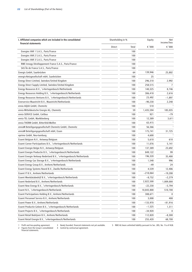| I. Affiliated companies which are included in the consolidated<br>financial statements | Shareholding in % |       |            |                | Equity | Net<br>income/loss |
|----------------------------------------------------------------------------------------|-------------------|-------|------------|----------------|--------|--------------------|
|                                                                                        | Direct            | Total | € '000     | € '000         |        |                    |
| Energies VAR 1 S.A.S., Paris/France                                                    |                   | 100   |            |                |        |                    |
| Energies VAR 2 S.A.S., Paris/France                                                    |                   | 100   |            |                |        |                    |
| Energies VAR 3 S.A.S., Paris/France                                                    |                   | 100   |            |                |        |                    |
| RWE Innogy Dévéloppement France S.A.S., Paris/France                                   |                   | 100   |            |                |        |                    |
| SAS Île de France S.A.S., Paris/France                                                 |                   | 100   |            |                |        |                    |
| Energis GmbH, Saarbrücken                                                              |                   | 64    | 139,946    | 25,802         |        |                    |
| energis-Netzgesellschaft mbH, Saarbrücken                                              |                   | 100   | 25         |                |        |                    |
| Energy Direct Limited, Swindon/United Kingdom                                          |                   | 100   | 296,310    | 2,992          |        |                    |
| Energy Direct Supply Limited, Swindon/United Kingdom                                   |                   | 100   | 258,515    | 7              |        |                    |
| Energy Resources B.V., 's-Hertogenbosch/Netherlands                                    |                   | 100   | 140,325    | 8,746          |        |                    |
| Energy Resources Holding B.V., 's-Hertogenbosch/Netherlands                            |                   | 100   | 306,418    | 2,616          |        |                    |
| Energy Resources Ventures B.V., 's-Hertogenbosch/Netherlands                           |                   | 100   | 23,492     | -1,897         |        |                    |
| Enerservice Maastricht B.V., Maastricht/Netherlands                                    |                   | 100   | $-90,230$  | 2,248          |        |                    |
| envia AQUA GmbH, Chemnitz                                                              |                   | 100   | 510        |                |        |                    |
| envia Mitteldeutsche Energie AG, Chemnitz                                              |                   | 59    | 1,435,594  | 185,035        |        |                    |
| envia SERVICE GmbH, Cottbus                                                            |                   | 100   | 921        | -79            |        |                    |
| envia TEL GmbH, Markkleeberg                                                           |                   | 100   | 12,389     | 3,611          |        |                    |
| envia THERM GmbH, Bitterfeld-Wolfen                                                    |                   | 100   | 63,415     |                |        |                    |
| enviaM Beteiligungsgesellschaft Chemnitz GmbH, Chemnitz                                |                   | 100   | 56,366     | $\overline{1}$ |        |                    |
| enviaM Beteiligungsgesellschaft mbH, Essen                                             |                   | 100   | 175,741    | 31,725         |        |                    |
| eprimo GmbH, Neu-Isenburg                                                              |                   | 100   | 4,600      |                |        |                    |
| Essent Belgium N.V., Antwerp/Belgium                                                   |                   | 100   | 5,610      | 610            |        |                    |
| Essent Corner Participations B.V., 's-Hertogenbosch/Netherlands                        |                   | 100   | 11,076     | 5,141          |        |                    |
| Essent Energie Belgie N.V., Antwerp/Belgium                                            |                   | 100   | 137,389    | 23,692         |        |                    |
| Essent Energie Productie B.V., 's-Hertogenbosch/Netherlands                            |                   | 100   | 849,122    | 99             |        |                    |
| Essent Energie Verkoop Nederland B.V., 's-Hertogenbosch/Netherlands                    |                   | 100   | 196,320    | 35,400         |        |                    |
| Essent Energy Gas Storage B.V., 's-Hertogenbosch/Netherlands                           |                   | 100   | 1,548      | 996            |        |                    |
| Essent Energy Group B.V., Arnhem/Netherlands                                           |                   | 100   | -49        | 24             |        |                    |
| Essent Energy Systems Noord B.V., Zwolle/Netherlands                                   |                   | 100   | 4,539      | 12,406         |        |                    |
| Essent IT B.V., Arnhem/Netherlands                                                     |                   | 100   | $-218,064$ | $-19,208$      |        |                    |
| Essent Meetdatabedrijf B.V., 's-Hertogenbosch/Netherlands                              |                   | 100   | $-8,752$   | $-2,279$       |        |                    |
| Essent Nederland B.V., Arnhem/Netherlands                                              |                   | 100   | 2,822,500  | 1,009,000      |        |                    |
| Essent New Energy B.V., 's-Hertogenbosch/Netherlands                                   |                   | 100   | $-22,230$  | -5,794         |        |                    |
| Essent N.V., 's-Hertogenbosch/Netherlands                                              |                   | 100   | 10,843,800 | 510,700        |        |                    |
| Essent Participations Holding B.V., Arnhem/Netherlands                                 |                   | 100   | 308,671    | 0              |        |                    |
| Essent Personeel Service B.V., Arnhem/Netherlands                                      |                   | 100   | 3,008      | 408            |        |                    |
| Essent Power B.V., Arnhem/Netherlands                                                  |                   | 100   | -133,970   | $-81,916$      |        |                    |
| Essent Productie Geleen B.V., 's-Hertogenbosch/Netherlands                             |                   | 100   | -1,525     | 1,311          |        |                    |
| Essent Projects B.V., 's-Hertogenbosch/Netherlands                                     |                   | 100   | $-34,920$  | $\mathbf{0}$   |        |                    |
| Essent Retail Bedrijven B.V., Arnhem/Netherlands                                       |                   | 100   | 112,820    | $-8,300$       |        |                    |
| Essent Retail Energie B.V., 's-Hertogenbosch/Netherlands                               |                   | 100   | 255,420    | 68,700         |        |                    |

2 Figures from the Group's consolidated 4 Control by contractual agreement. financial statements.

3 Newly founded, financial statements not yet available. 5 RWE AG bears unlimited liability pursuant to Sec. 285, No. 11a of HGB.<br>4 Control by contractual agreement.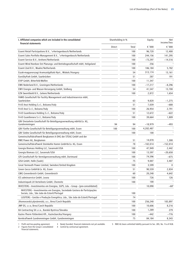| I. Affiliated companies which are included in the consolidated<br>financial statements                                   |        | Shareholding in % |            | Net<br>income/loss |
|--------------------------------------------------------------------------------------------------------------------------|--------|-------------------|------------|--------------------|
|                                                                                                                          | Direct | Total             | € '000     | € '000             |
| Essent Retail Participations B.V., 's-Hertogenbosch/Netherlands                                                          |        | 100               | 96,720     | 12,400             |
| Essent Sales Portfolio Management B.V., 's-Hertogenbosch/Netherlands                                                     |        | 100               | 244,156    | 141,295            |
| Essent Service B.V., Arnhem/Netherlands                                                                                  |        | 100               | $-73,297$  | $-14,516$          |
| Essent Wind Nordsee Ost Planungs- und Betriebsgesellschaft mbH, Heligoland                                               |        | 100               | 256        |                    |
| Essent Zuid B.V., Waalre/Netherlands                                                                                     |        | 100               | 106,184    | 5,782              |
| Eszak-magyarorszagi Aramszolgáltató Nyrt., Miskolc/Hungary                                                               |        | 54                | 313,174    | 13,161             |
| EuroSkyPark GmbH, Saarbrücken                                                                                            |        | 51                | 287        | 191                |
| EVIP GmbH, Bitterfeld-Wolfen                                                                                             |        | 100               | 11,347     |                    |
| EWK Nederland B.V., Groningen/Netherlands                                                                                |        | 100               | $-17,217$  | $-8,296$           |
| EWV Energie- und Wasser-Versorgung GmbH, Stolberg                                                                        |        | 54                | 41,547     | 13,700             |
| EZN Swentibold B.V., Geleen/Netherlands                                                                                  |        | 100               | 2,872      | 1,654              |
| FAMIS Gesellschaft für Facility Management und Industrieservice mbH,                                                     |        |                   |            |                    |
| Saarbrücken                                                                                                              |        | 63                | 9,820      | $-1,275$           |
| Fri-El Anzi Holding S.r.l., Bolzano/Italy                                                                                |        | 51                | 7,039      | -688               |
| Fri-El Anzi S.r.l., Bolzano/Italy                                                                                        |        | 100               | 26,954     | 2,791              |
| Fri-El Guardionara Holding S.r.l., Bolzano/Italy                                                                         |        | 51                | 12,672     | $-622$             |
| Fri-El Guardionara S.r.l., Bolzano/Italy                                                                                 |        | 100               | 39,664     | 1,809              |
| GBV Dreizehnte Gesellschaft für Beteiligungsverwaltung mbH & Co. KG,<br>Gundremmingen                                    | 94     | 94                | $-18,979$  | $-493$             |
| GBV Fünfte Gesellschaft für Beteiligungsverwaltung mbH, Essen                                                            | 100    | 100               | 4,202,487  |                    |
| GBV Siebte Gesellschaft für Beteiligungsverwaltung mbH, Essen                                                            |        | 100               | 100        |                    |
| Gemeinschaftskraftwerk Bergkamen A OHG der STEAG GmbH und der                                                            |        |                   |            |                    |
| RWE Power AG, Bergkamen                                                                                                  |        | 51                | 14,078     | 1,300              |
| Gemeinschaftskraftwerk Steinkohle Hamm GmbH & Co. KG, Essen                                                              |        | 78                | $-102,014$ | $-152,014$         |
| Georgia Biomass Holding LLC, Savannah/USA                                                                                |        | 100               | 47,949     | 2,442              |
| Georgia Biomass LLC, Savannah/USA                                                                                        |        | 100               | 13,597     | $-20,658$          |
| GfV Gesellschaft für Vermögensverwaltung mbH, Dortmund                                                                   |        | 100               | 74,596     | -675               |
| GISA GmbH, Halle (Saale)                                                                                                 |        | 75                | 9,007      | 3,407              |
| Great Yarmouth Power Limited, Swindon/United Kingdom                                                                     |        | 100               | 3,599      | $\mathbf{0}$       |
| Green Gecco GmbH & Co. KG, Essen                                                                                         |        | 51                | 90,559     | 2,834              |
| GWG Grevenbroich GmbH, Grevenbroich                                                                                      |        | 60                | 20,248     | 4,642              |
| ICS adminservice GmbH, Leuna                                                                                             |        | 100               | 726        | 126                |
| Industriepark LH Verteilnetz GmbH, Chemnitz                                                                              |        | 100               | 100        | $\overline{1}$     |
| INVESTERG - Investimentos em Energias, SGPS, Lda. - Group - (pre-consolidated)                                           |        |                   | 10,090     | $-602$             |
| INVESTERG - Investimentos em Energias, Sociedade Gestora de Participações<br>Sociais, Lda., São João do Estoril/Portugal |        | 100               |            |                    |
| LUSITERG - Gestão e Produção Energética, Lda., São João do Estoril/Portugal                                              |        | 74                |            |                    |
| Jihomoravská plynárenská, a.s., Brno/Czech Republic                                                                      |        | 100               | 256,240    | 183,897            |
| JMP DS, s.r.o, Brno/Czech Republic                                                                                       |        | 100               | 10,606     | 8,216              |
| KA Contracting SK s.r.o., Banská Bystrica/Slovakia                                                                       |        | 100               | 1,289      | 279                |
| Kazinc-Therm Fûtõerõmû Kft., Kazincbarcika/Hungary                                                                       |        | 100               | $-442$     | -776               |
| Kernkraftwerk Gundremmingen GmbH, Gundremmingen                                                                          |        | 75                | 84,184     | 8,343              |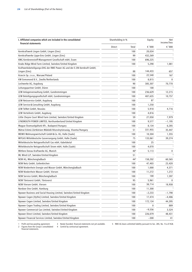| I. Affiliated companies which are included in the consolidated<br>financial statements | Shareholding in % |                 | Equity   | Net<br>income/loss |
|----------------------------------------------------------------------------------------|-------------------|-----------------|----------|--------------------|
|                                                                                        | Direct            | Total           | € '000   | € '000             |
| Kernkraftwerk Lingen GmbH, Lingen (Ems)                                                |                   | 100             | 20,034   |                    |
| Kernkraftwerke Lippe-Ems GmbH, Lingen (Ems)                                            |                   | 99              | 432,269  |                    |
| KMG Kernbrennstoff-Management Gesellschaft mbH, Essen                                  |                   | 100             | 696.225  |                    |
| Knabs Ridge Wind Farm Limited, Swindon/United Kingdom                                  |                   | 100             | 5,290    | 1,081              |
| Kraftwerksbeteiligungs-OHG der RWE Power AG und der E.ON Kernkraft GmbH,               |                   |                 |          |                    |
| Lingen (Ems)                                                                           |                   | 88              | 144,433  | 657                |
| Krzecin Sp. z o.o., Warsaw/Poland                                                      |                   | 100             | 22,540   | 167                |
| KW Eemsmond B.V., Zwolle/Netherlands                                                   |                   | 100             | 8,815    | $\mathbf{0}$       |
| Lechwerke AG, Augsburg                                                                 |                   | 90              | 385,307  | 70,770             |
| Leitungspartner GmbH, Düren                                                            |                   | 100             | 100      |                    |
| LEW Anlagenverwaltung GmbH, Gundremmingen                                              |                   | 100             | 236,629  | 12,215             |
| LEW Beteiligungsgesellschaft mbH, Gundremmingen                                        |                   | 100             | 407,635  | 10,757             |
| LEW Netzservice GmbH, Augsburg                                                         |                   | 100             | 87       |                    |
| LEW Service & Consulting GmbH, Augsburg                                                |                   | 100             | 1,250    |                    |
| LEW TelNet GmbH, Neusäss                                                               |                   | 100             | 5,918    | 4,716              |
| LEW Verteilnetz GmbH, Augsburg                                                         |                   | 100             | 4,816    |                    |
| Little Cheyne Court Wind Farm Limited, Swindon/United Kingdom                          |                   | 59              | 27,050   | 7,979              |
| LYNEMOUTH POWER LIMITED, Northumberland/United Kingdom                                 |                   | 100             | 9,577    | $-1,195$           |
| Magyar Áramszolgáltató Kft., Budapest/Hungary                                          |                   | 100             | 8,134    | 6,285              |
| Mátrai Erömü Zártkörüen Müködö Részvénytársaság, Visonta/Hungary                       |                   | 51              | 331,955  | 35,447             |
| MEWO Wohnungswirtschaft GmbH & Co. KG, Halle (Saale)                                   |                   | 100             | 10,304   | 1,355              |
| MITGAS Mitteldeutsche Gasversorgung GmbH, Halle (Saale)                                |                   | 75              | 133,061  | 39,274             |
| Mitteldeutsche Netzgesellschaft Gas mbH, Kabelsketal                                   |                   | 100             | 25       | $\overline{1}$     |
| Mitteldeutsche Netzgesellschaft Strom mbH, Halle (Saale)                               |                   | 100             | 4,070    |                    |
| Mittlere Donau Kraftwerke AG, Munich                                                   |                   | 40 <sup>4</sup> | 5,113    | 0                  |
| ML Wind LLP, Swindon/United Kingdom                                                    |                   | 51              |          |                    |
| NEW AG, Mönchengladbach                                                                |                   | 44 <sup>4</sup> | 158,202  | 60,565             |
| NEW Netz GmbH, Geilenkirchen                                                           |                   | 100             | 47,403   | 23,420             |
| NEW Niederrhein Energie und Wasser GmbH, Mönchengladbach                               |                   | 100             | 1,000    | 4,371              |
| NEW Niederrhein Wasser GmbH, Viersen                                                   |                   | 100             | 11,272   | 1,272              |
| NEW Service GmbH, Mönchengladbach                                                      |                   | 100             | 100      | 1,597              |
| NEW Tönisvorst GmbH, Tönisvorst                                                        |                   | 95              | 5,961    | 0                  |
| NEW Viersen GmbH, Viersen                                                              |                   | 100             | 38,714   | 18,938             |
| Nordsee One GmbH, Hamburg                                                              |                   | 100             | 11,300   |                    |
| Npower Business and Social Housing Limited, Swindon/United Kingdom                     |                   | 100             | $-2,233$ | $-1,790$           |
| Npower Cogen (Hythe) Limited, Swindon/United Kingdom                                   |                   | 100             | 17,474   | -4,406             |
| Npower Cogen Limited, Swindon/United Kingdom                                           |                   | 100             | 172,134  | 44,395             |
| Npower Cogen Trading Limited, Swindon/United Kingdom                                   |                   | 100             | 0        | 889                |
| Npower Commercial Gas Limited, Swindon/United Kingdom                                  |                   | 100             | $-9,556$ | 3,524              |
| Npower Direct Limited, Swindon/United Kingdom                                          |                   | 100             | 226,079  | 48,431             |
| Npower Financial Services Limited, Swindon/United Kingdom                              |                   | 100             | $-300$   | 41                 |

1 Profit and loss-pooling agreement. 3 Newly founded, financial statements not yet available. 5 RWE AG bears unlimited liability pursuant to Sec. 285, No. 11a of HGB.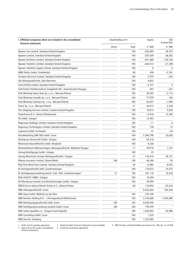| I. Affiliated companies which are included in the consolidated<br>financial statements |        | Shareholding in % |            | Net<br>income/loss |
|----------------------------------------------------------------------------------------|--------|-------------------|------------|--------------------|
|                                                                                        | Direct | Total             | € '000     | € '000             |
| Npower Gas Limited, Swindon/United Kingdom                                             |        | 100               | $-263,085$ | 38,478             |
| Npower Limited, Swindon/United Kingdom                                                 |        | 100               | $-207,029$ | 68,582             |
| Npower Northern Limited, Swindon/United Kingdom                                        |        | 100               | $-621,660$ | $-139,156$         |
| Npower Yorkshire Limited, Swindon/United Kingdom                                       |        | 100               | $-664,412$ | -21,398            |
| Npower Yorkshire Supply Limited, Swindon/United Kingdom                                |        | 100               | 0          | $\mathbf{0}$       |
| NRW Pellets GmbH, Erndtebrück                                                          |        | 90                | 438        | $-2,761$           |
| Octopus Electrical Limited, Swindon/United Kingdom                                     |        | 100               | 2,555      | $-253$             |
| OIE Aktiengesellschaft, Idar-Oberstein                                                 |        | 100               | 8,822      |                    |
| Oval (2205) Limited, Swindon/United Kingdom                                            |        | 100               | $-5,757$   | 0                  |
| Ózdi Erőmû Távhőtermelő és Szolgáltató Kft., Kazincbarcika/Hungary                     |        | 100               | 497        | $-537$             |
| Park Wiatrowy Nowy Staw Sp. z o.o., Warsaw/Poland                                      |        | 100               | 26,503     | $-2,115$           |
| Park Wiatrowy Suwalki Sp. z o.o., Warsaw/Poland                                        |        | 100               | 77,039     | -195               |
| Park Wiatrowy Tychowo Sp. z o.o., Warsaw/Poland                                        |        | 100               | 65,837     | -1,999             |
| Piecki Sp. z o.o., Warsaw/Poland                                                       |        | 51                | 44,012     | 2,258              |
| Plus Shipping Services Limited, London/United Kingdom                                  |        | 100               | 18,913     | 5,859              |
| Powerhouse B.V., Almere/Netherlands                                                    |        | 100               | 13,918     | 12,300             |
| RE GmbH, Cologne                                                                       |        | 100               | 12,463     |                    |
| Regenesys Holdings Limited, Swindon/United Kingdom                                     |        | 100               | $-11$      | 0                  |
| Regenesys Technologies Limited, Swindon/United Kingdom                                 |        | 100               | 730        | 12                 |
| regionetz GmbH, Eschweiler                                                             |        | 100               | 37         | $-20$              |
| Restabwicklung SNR 300 GmbH, Essen                                                     |        | 100               | 2,506,790  | 32,626             |
| Rheinbraun Brennstoff GmbH, Cologne                                                    |        | 100               | 63,316     | $\mathbf{1}$       |
| Rheinische Baustoffwerke GmbH, Bergheim                                                |        | 100               | 9,236      |                    |
| Rheinkraftwerk Albbruck-Dogern Aktiengesellschaft, Waldshut-Tiengen                    |        | 77                | 30,816     | 1,757              |
| rhenag Beteiligungs GmbH, Cologne                                                      |        | 100               | 25         |                    |
| rhenag Rheinische Energie Aktiengesellschaft, Cologne                                  |        | 67                | 143,919    | 29,751             |
| Rhenas Insurance Limited, Sliema/Malta                                                 | 100    | 100               | 48,300     | 93                 |
| Rhyl Flats Wind Farm Limited, Swindon/United Kingdom                                   |        | 50                | 13,982     | 8,032              |
| RL Besitzgesellschaft mbH, Gundremmingen                                               |        | 100               | 110,875    | 10,472             |
| RL Beteiligungsverwaltung beschr. haft. OHG, Gundremmingen <sup>5</sup>                | 51     | 100               | 347,116    | 18,528             |
| RSB LOGISTIC GMBH, Cologne                                                             |        | 100               | 19,304     |                    |
| RV Rheinbraun Handel und Dienstleistungen GmbH, Cologne                                |        | 100               | 36,694     | $\,$ $\,$          |
| RWE & Turcas Güney Elektrik Üretim A.S., Ankara/Turkey                                 |        | 69                | 118,954    | $-23,243$          |
| RWE Aktiengesellschaft, Essen                                                          |        |                   | 9,532,842  | 704,344            |
| RWE Aqua GmbH, Mülheim an der Ruhr                                                     |        | 100               | 233,106    |                    |
| RWE Benelux Holding B.V., 's-Hertogenbosch/Netherlands                                 |        | 100               | 2,745,600  | $-1,078,900$       |
| RWE Beteiligungsgesellschaft mbH, Essen                                                | 100    | 100               | 8,058,440  |                    |
| RWE Beteiligungsverwaltung Ausland GmbH, Essen                                         | 100    | 100               | 740,420    |                    |
| RWE Ceská republika a.s., Prague/Czech Republic                                        |        | 100               | 1,859,052  | 93,996             |
| RWE Consulting GmbH, Essen                                                             |        | 100               | 1,555      |                    |
| RWE Dea AG, Hamburg                                                                    |        | 100               | 1,323,905  |                    |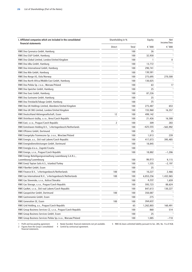| I. Affiliated companies which are included in the consolidated<br>financial statements | Shareholding in % |       |            |                | Equity | Net<br>income/loss |
|----------------------------------------------------------------------------------------|-------------------|-------|------------|----------------|--------|--------------------|
|                                                                                        | Direct            | Total | € '000     | € '000         |        |                    |
| RWE Dea Cyrenaica GmbH, Hamburg                                                        |                   | 100   | 26         |                |        |                    |
| RWE Dea E & P GmbH, Hamburg                                                            |                   | 100   | 32,930     | 1              |        |                    |
| RWE Dea Global Limited, London/United Kingdom                                          |                   | 100   | 1          | 0              |        |                    |
| RWE Dea Idku GmbH, Hamburg                                                             |                   | 100   | 13,772     |                |        |                    |
| RWE Dea International GmbH, Hamburg                                                    |                   | 100   | 290,741    |                |        |                    |
| RWE Dea Nile GmbH, Hamburg                                                             |                   | 100   | 130,581    |                |        |                    |
| RWE Dea Norge AS, Oslo/Norway                                                          |                   | 100   | 275,695    | 270,500        |        |                    |
| RWE Dea North Africa/Middle East GmbH, Hamburg                                         |                   | 100   | 130,025    |                |        |                    |
| RWE Dea Polska Sp. z o.o., Warsaw/Poland                                               |                   | 100   | 63         | 17             |        |                    |
| RWE Dea Speicher GmbH, Hamburg                                                         |                   | 100   | 25         |                |        |                    |
| RWE Dea Suez GmbH, Hamburg                                                             |                   | 100   | 87,226     | $\mathbf{1}$   |        |                    |
| RWE Dea Suriname GmbH, Hamburg                                                         |                   | 100   | 25         | $\mathbf{1}$   |        |                    |
| RWE Dea Trinidad & Tobago GmbH, Hamburg                                                |                   | 100   | 25         |                |        |                    |
| RWE Dea UK Holdings Limited, Aberdeen/United Kingdom                                   |                   | 100   | 275,487    | 653            |        |                    |
| RWE Dea UK SNS Limited, London/United Kingdom                                          |                   | 100   | 155,960    | 16,357         |        |                    |
| RWE Deutschland Aktiengesellschaft, Essen                                              | 12                | 100   | 499,142    |                |        |                    |
| RWE Distribucní služby, s.r.o., Brno/Czech Republic                                    |                   | 100   | 21,426     | 16,588         |        |                    |
| RWE East, s.r.o., Prague/Czech Republic                                                | $\overline{2}$    | 100   | 309        | 283            |        |                    |
| RWE Eemshaven Holding B.V., 's-Hertogenbosch/Netherlands                               |                   | 100   | $-625,555$ | $-565,992$     |        |                    |
| RWE Effizienz GmbH, Dortmund                                                           |                   | 100   | 25         |                |        |                    |
| RWE Energetyka Trzemeszno Sp. z o.o., Wroclaw/Poland                                   |                   | 100   | 1,813      | 239            |        |                    |
| RWE Energie, a.s., Ústí nad Labem/Czech Republic                                       |                   | 100   | 417,073    | 395,485        |        |                    |
| RWE Energiedienstleistungen GmbH, Dortmund                                             |                   | 100   | 18,845     | $\mathbf{1}$   |        |                    |
| RWE Energija d.o.o., Zagreb/Croatia                                                    |                   | 100   |            |                |        |                    |
| RWE Energo, s.r.o., Prague/Czech Republic                                              |                   | 100   | 18,882     | $-1,206$       |        |                    |
| RWE Energy Beteiligungsverwaltung Luxembourg S.A.R.L.,                                 |                   |       |            |                |        |                    |
| Luxembourg/Luxembourg                                                                  |                   | 100   | 86,013     | 9,115          |        |                    |
| RWE Enerji Toptan Satis A.S., Istanbul/Turkey                                          |                   | 100   | 1,535      | $-2,197$       |        |                    |
| RWE FiberNet GmbH, Essen                                                               |                   | 100   | 25         |                |        |                    |
| RWE Finance B.V., 's-Hertogenbosch/Netherlands                                         | 100               | 100   | 10,227     | 2,466          |        |                    |
| RWE Gas International N.V., 's-Hertogenbosch/Netherlands                               | 100               | 100   | 6,853,256  | 1,432,065      |        |                    |
| RWE Gas Slovensko, s.r.o., Košice/Slovakia                                             |                   | 100   | 4,222      | 1,659          |        |                    |
| RWE Gas Storage, s.r.o., Prague/Czech Republic                                         |                   | 100   | 593,723    | 88,624         |        |                    |
| RWE GasNet, s.r.o., Ústí nad Labem/Czech Republic                                      |                   | 100   | 847,613    | 130,227        |        |                    |
| RWE Gasspeicher GmbH, Dortmund                                                         | 100               | 100   | 350,087    |                |        |                    |
| RWE Gastronomie GmbH, Essen                                                            |                   | 100   | 275        | 1              |        |                    |
| <b>RWE Generation SE, Essen</b>                                                        | 100               | 100   | 264,622    | $\overline{1}$ |        |                    |
| RWE Grid Holding, a.s., Prague/Czech Republic                                          |                   | 65    | 1,262,803  | 160,491        |        |                    |
| RWE Group Business Services CZ, s.r.o., Prague/Czech Republic                          |                   | 100   | 860        | 514            |        |                    |
| RWE Group Business Services GmbH, Essen                                                |                   | 100   | 25         |                |        |                    |
| RWE Group Business Services Polska Sp.z o.o., Warsaw/Poland                            |                   | 100   | 1,085      | $-710$         |        |                    |

1 Profit and loss-pooling agreement. 3 Newly founded, financial statements not yet available. 5 RWE AG bears unlimited liability pursuant to Sec. 285, No. 11a of HGB.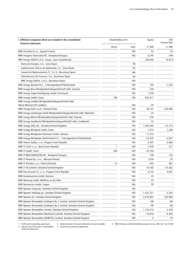| I. Affiliated companies which are included in the consolidated<br>financial statements |        | Shareholding in % |           | Net<br>income/loss |
|----------------------------------------------------------------------------------------|--------|-------------------|-----------|--------------------|
|                                                                                        | Direct | Total             | € $'000$  | € '000             |
| RWE Hrvatska d.o.o., Zagreb/Croatia                                                    |        | 100               | 53        | 53                 |
| RWE Hungaria Tanacsado Kft., Budapest/Hungary                                          |        | 100               | 6,745     | $-194$             |
| RWE Innogy AERSA S.A.U.- Group - (pre-consolidated)                                    |        |                   | 358,930   | $14,813^2$         |
| Danta de Energías, S.A., Soria/Spain                                                   |        | 99                |           |                    |
| Explotaciones Eólicas de Aldehuelas, S.L., Soria/Spain                                 |        | 95                |           |                    |
| General de Mantenimiento 21, S.L.U., Barcelona/Spain                                   |        | 100               |           |                    |
| Hidroeléctrica del Trasvase, S.A., Barcelona/Spain                                     |        | 60                |           |                    |
| RWE Innogy AERSA, S.A.U., Barcelona/Spain                                              |        | 100               |           |                    |
| RWE Innogy Benelux B.V., 's-Hertogenbosch/Netherlands                                  |        | 100               | 145       | $-1,254$           |
| RWE Innogy Brise Windparkbetriebsgesellschaft mbH, Hanover                             |        | 100               | 226       | $\mathbf{1}$       |
| RWE Innogy Cogen Beteiligungs GmbH, Dortmund                                           |        | 100               | 7,350     | $\mathbf{1}$       |
| RWE Innogy GmbH, Essen                                                                 | 100    | 100               | 653,471   |                    |
| RWE Innogy Grebbin Windparkbetriebsgesellschaft mbH,                                   |        |                   |           |                    |
| Obere Warnow (OT Grebbin)                                                              |        | 100               | 25        |                    |
| RWE Innogy Italia S.p.A., Bolzano/Italy                                                |        | 100               | 20,737    | $-165,060$         |
| RWE Innogy Lüneburger Heide Windparkbetriebsgesellschaft mbH, Walsrode                 |        | 100               | 25        |                    |
| RWE Innogy Mistral Windparkbetriebsgesellschaft mbH, Hanover                           |        | 100               | 578       | $\mathbf{1}$       |
| RWE Innogy Sandbostel Windparkbetriebsgesellschaft mbH, Sandbostel                     |        | 100               | 25        |                    |
| RWE Innogy (UK) Ltd., Swindon/United Kingdom                                           |        | 100               | 1,545,445 | $-41,714$          |
| RWE Innogy Windpark GmbH, Essen                                                        |        | 100               | 1,273     | 1,248              |
| RWE Innogy Windpower Hannover GmbH, Hanover                                            |        | 100               | 77,373    |                    |
| RWE Innogy Windpower Netherlands B.V., 's-Hertogenbosch/Netherlands                    |        | 100               | $-23,335$ | $-2,837$           |
| RWE Interní služby, s.r.o., Prague/Czech Republic                                      |        | 100               | 9,707     | 6,964              |
| RWE IT Czech s.r.o., Brno/Czech Republic                                               | 1      | 100               | 7,470     | 417                |
| RWE IT GmbH, Essen                                                                     | 100    | 100               | 22,724    |                    |
| RWE IT MAGYARORSZÁG Kft., Budapest/Hungary                                             |        | 100               | 758       | 125                |
| RWE IT Poland Sp. z o.o., Warsaw/Poland                                                |        | 100               | 1,676     | 53                 |
| RWE IT Slovakia s.r.o., Košice/Slovakia                                                | 15     | 100               | 843       | 801                |
| RWE IT UK Limited, Swindon/United Kingdom                                              |        | 100               | 10,102    | $-51,422$          |
| RWE Key Account CZ, s.r.o., Prague/Czech Republic                                      |        | 100               | 6,734     | 4,941              |
| RWE Kundenservice GmbH, Bochum                                                         |        | 100               | 25        |                    |
| RWE Metering GmbH, Mülheim an der Ruhr                                                 |        | 100               | 25        |                    |
| RWE Netzservice GmbH, Siegen                                                           |        | 100               | 50        |                    |
| RWE Npower Group plc, Swindon/United Kingdom                                           |        | 100               |           |                    |
| RWE Npower Holdings plc, Swindon/United Kingdom                                        |        | 100               | 1,537,721 | 2,353              |
| RWE Npower plc, Swindon/United Kingdom                                                 |        | 100               | 2,019,907 | 552,894            |
| RWE Npower Renewables (Galloper) No.1 Limited, Swindon/United Kingdom                  |        | 100               | -96       | -88                |
| RWE Npower Renewables (Galloper) No.2 Limited, Swindon/United Kingdom                  |        | 100               | -96       | $-88$              |
| RWE Npower Renewables Limited, Swindon/United Kingdom                                  |        | 100               | 1,153,214 | 2,359              |
| RWE Npower Renewables (Markinch) Limited, Swindon/United Kingdom                       |        | 100               | $-14,816$ | $-9,542$           |
| RWE Npower Renewables (NEWCO)1 Limited, Swindon/United Kingdom                         |        | 100               | 4         | $-18$              |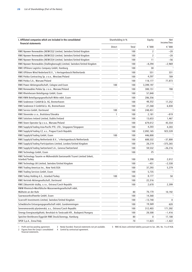| I. Affiliated companies which are included in the consolidated<br>financial statements        | Shareholding in % |       |           |              | Equity | Net<br>income/loss |
|-----------------------------------------------------------------------------------------------|-------------------|-------|-----------|--------------|--------|--------------------|
|                                                                                               | <b>Direct</b>     | Total | € '000    | € '000       |        |                    |
| RWE Npower Renewables (NEWCO)2 Limited, Swindon/United Kingdom                                |                   | 100   | 2         | $-20$        |        |                    |
| RWE Npower Renewables (NEWCO)3 Limited, Swindon/United Kingdom                                |                   | 100   | 2         | $-20$        |        |                    |
| RWE Npower Renewables (NEWCO)4 Limited, Swindon/United Kingdom                                |                   | 100   | 11        | -56          |        |                    |
| RWE Npower Renewables (Stallingborough) Limited, Swindon/United Kingdom                       |                   | 100   | $-8,294$  | $-2,969$     |        |                    |
| RWE Offshore Logistics Company GmbH, Hamburg                                                  |                   | 100   | 30        |              |        |                    |
| RWE Offshore Wind Nederland B.V., 's Hertogenbosch/Netherlands                                |                   | 100   | 551       | 331          |        |                    |
| RWE Polska Contracting Sp. z o.o., Wroclaw/Poland                                             |                   | 100   | 4,207     | 789          |        |                    |
| RWE Polska S.A., Warsaw/Poland                                                                |                   | 100   | 118,177   | 77,873       |        |                    |
| RWE Power Aktiengesellschaft, Cologne and Essen                                               | 100               | 100   | 3,399,197 |              |        |                    |
| RWE Renewables Polska Sp. z o.o., Warsaw/Poland                                               |                   | 100   | 300,151   | 788          |        |                    |
| RWE Rheinhessen Beteiligungs GmbH, Essen                                                      |                   | 100   | 57,840    |              |        |                    |
| RWE RWN Beteiligungsgesellschaft Mitte mbH, Essen                                             |                   | 100   | 286,356   |              |        |                    |
| RWE Seabreeze I GmbH & Co. KG, Bremerhaven                                                    |                   | 100   | 48,352    | 17,252       |        |                    |
| RWE Seabreeze II GmbH & Co. KG, Bremerhaven                                                   |                   | 100   | 27,268    | 6,830        |        |                    |
| RWE Service GmbH, Dortmund                                                                    | 100               | 100   | 248,451   |              |        |                    |
| RWE Slovensko s.r.o., Bratislava/Slovakia                                                     | 1                 | 100   | 2,181     | -819         |        |                    |
| RWE Solutions Ireland Limited, Dublin/Ireland                                                 |                   | 100   | 13,653    | 1,467        |        |                    |
| RWE Stoen Operator Sp z o.o., Warsaw/Poland                                                   |                   | 100   | 679,012   | 45,554       |        |                    |
| RWE Supply & Trading Asia-Pacific PTE. LTD., Singapore/Singapore                              |                   | 100   | 4,203     | 4,203        |        |                    |
| RWE Supply & Trading CZ, a.s., Prague/Czech Republic                                          |                   | 100   | 2,092,165 | 923,539      |        |                    |
| RWE Supply & Trading GmbH, Essen                                                              | 100               | 100   | 446,800   |              |        |                    |
| RWE Supply & Trading Netherlands B.V., 's-Hertogenbosch/Netherlands                           |                   | 100   | 688,532   | $-37,800$    |        |                    |
| RWE Supply & Trading Participations Limited, London/United Kingdom                            |                   | 100   | 28,219    | $-375,265$   |        |                    |
| RWE Supply & Trading Switzerland S.A., Geneva/Switzerland                                     |                   | 100   | 59,532    | $-26,216$    |        |                    |
| RWE Technology GmbH, Essen                                                                    |                   | 100   | 25        |              |        |                    |
| RWE Technology Tasarim ve Mühendislik Danismanlik Ticaret Limited Sirketi,<br>Istanbul/Turkey |                   | 100   | 3,398     | 2,012        |        |                    |
| RWE Technology UK Limited, Swindon/United Kingdom                                             |                   | 100   | $-451$    | $-2,538$     |        |                    |
| RWE Trading Americas Inc., New York/USA                                                       |                   | 100   | 37,293    | 5,279        |        |                    |
| RWE Trading Services GmbH, Essen                                                              |                   | 100   | 5,735     |              |        |                    |
| RWE Turkey Holding A.S., Istanbul/Turkey                                                      | 100               | 100   | 8,177     | 50           |        |                    |
| RWE Vertrieb Aktiengesellschaft, Dortmund                                                     |                   | 100   | 22,316    | $\mathbf{1}$ |        |                    |
| RWE Zákaznické služby, s.r.o., Ostrava/Czech Republic                                         |                   | 100   | 2,678     | 2,399        |        |                    |
| RWW Rheinisch-Westfälische Wasserwerksgesellschaft mbH,                                       |                   |       |           |              |        |                    |
| Mülheim an der Ruhr                                                                           |                   | 80    | 76,170    | 10,192       |        |                    |
| Saarwasserkraftwerke GmbH, Essen                                                              |                   | 100   | 14,368    |              |        |                    |
| Scarcroft Investments Limited, Swindon/United Kingdom                                         |                   | 100   | $-13,740$ | 0            |        |                    |
| Schwäbische Entsorgungsgesellschaft mbH, Gundremmingen                                        |                   | 100   | 19,369    | 620          |        |                    |
| Severomoravská plynárenská, a.s., Ostrava/Czech Republic                                      |                   | 100   | 312,403   | 171,592      |        |                    |
| Sinergy Energiaszolgáltató, Beruházó és Tanácsadó Kft., Budapest/Hungary                      |                   | 100   | 28,508    | $-1,416$     |        |                    |
| Speicher Breitbrunn/Eggstätt RWE Dea & Storengy, Hamburg                                      |                   | 80    | 0         | 17,108       |        |                    |
| SPER S.p.A., Enna/Italy                                                                       |                   | 70    | 11,823    | -1,422       |        |                    |

1 Profit and loss-pooling agreement. 3 Newly founded, financial statements not yet available. 5 RWE AG bears unlimited liability pursuant to Sec. 285, No. 11a of HGB.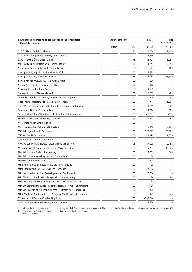| I. Affiliated companies which are included in the consolidated<br>financial statements | Shareholding in % |       | Equity     | Net<br>income/loss                                                   |
|----------------------------------------------------------------------------------------|-------------------|-------|------------|----------------------------------------------------------------------|
|                                                                                        | Direct            | Total | € '000     | € '000                                                               |
| SRS EcoTherm GmbH, Salzbergen                                                          |                   | 90    | 13,530     | 2,459                                                                |
| Stadtwärme Kamp-Lintfort GmbH, Kamp-Lintfort                                           |                   | 100   | 2,970      |                                                                      |
| STADTWERKE DÜREN GMBH, Düren                                                           |                   | 75    | 26,721     | 5,956                                                                |
| Stadtwerke Kamp-Lintfort GmbH, Kamp-Lintfort                                           |                   | 51    | 13,847     | 3,858                                                                |
| Südwestsächsische Netz GmbH, Crimmitschau                                              |                   | 100   | 917        | 160                                                                  |
| Süwag Beteiligungs GmbH, Frankfurt am Main                                             |                   | 100   | 4,425      |                                                                      |
| Süwag Energie AG, Frankfurt am Main                                                    |                   | 78    | 428,675    | 86,300                                                               |
| Süwag Vertrieb AG & Co. KG, Frankfurt am Main                                          |                   | 100   | 680        |                                                                      |
| Süwag Wasser GmbH, Frankfurt am Main                                                   |                   | 100   | 318        | $\mathbf{1}$                                                         |
| Syna GmbH, Frankfurt am Main                                                           |                   | 100   | 4,939      | $\mathbb{I}$                                                         |
| Taciewo Sp. z o.o., Warsaw/Poland                                                      |                   | 100   | 37,787     | $-83$                                                                |
| The Hollies Wind Farm Limited, Swindon/United Kingdom                                  |                   | 100   | 529        | 93                                                                   |
| Tisza-Therm Fûtőerőmû Kft., Tiszaújváros/Hungary                                       |                   | 100   | $-698$     | $-1,005$                                                             |
| Tisza-WTP Vízelőkészítő és Szolgáltató Kft., Tiszaújváros/Hungary                      |                   | 100   | 1,649      | 283                                                                  |
| Transpower Limited, Dublin/Ireland                                                     |                   | 100   | 4,216      | 983                                                                  |
| Triton Knoll Offshore Wind Farm Ltd., Swindon/United Kingdom                           |                   | 100   | $-7,755$   | $-333$                                                               |
| Überlandwerk Krumbach GmbH, Krumbach                                                   |                   | 75    | 4,801      | 594                                                                  |
| Verteilnetz Plauen GmbH, Plauen                                                        |                   | 100   | 22         |                                                                      |
| Volta Limburg B.V., Schinnen/Netherlands                                               |                   | 89    | 25,448     | 7,124                                                                |
| VSE Aktiengesellschaft, Saarbrücken                                                    |                   | 50    | 170,527    | 23,872                                                               |
| VSE Net GmbH, Saarbrücken                                                              |                   | 100   | 13,122     | 1,036                                                                |
| VSE Verteilnetz GmbH, Saarbrücken                                                      |                   | 100   | 25         |                                                                      |
| VWS Verbundwerke Südwestsachsen GmbH, Lichtenstein                                     |                   | 98    | 27,095     | 2,452                                                                |
| Východoceská plynárenská, a.s., Prague/Czech Republic                                  |                   | 100   | 179,731    | 82,545                                                               |
| Wendelsteinbahn GmbH, Brannenburg                                                      |                   | 100   | 3,085      | 565                                                                  |
| Wendelsteinbahn Verteilnetz GmbH, Brannenburg                                          |                   | 100   | 38         | $\,$ $\,$                                                            |
| Westnetz GmbH, Dortmund                                                                |                   | 100   | 308        | $\begin{array}{c} \begin{array}{c} \text{1} \end{array} \end{array}$ |
| Windpark Bentrup Betriebsgesellschaft mbH, Barntrup                                    |                   | 100   | 25         | $\mathbf{1}$                                                         |
| Windpark Westereems B.V., Zwolle/Netherlands                                           |                   | 100   | 7,862      | 22                                                                   |
| Windpark Zuidwester B.V., 's-Hertogenbosch/Netherlands                                 |                   | 100   | 12,284     | $\mathbf 0$                                                          |
| WINKRA Hörup Windparkbetriebsgesellschaft mbH, Hörup                                   |                   | 100   | 26         | 487                                                                  |
| WINKRA Lengerich Windparkbetriebsgesellschaft mbH, Gersten                             |                   | 100   | 25         | $\overline{1}$                                                       |
| WINKRA Sommerland Windparkbetriebsgesellschaft mbH, Sommerland                         |                   | 100   | 26         | $\mathbf 1$                                                          |
| WINKRA Süderdeich Windparkbetriebsgesellschaft mbH, Süderdeich                         |                   | 100   | 106        | $\,$ $\,$                                                            |
| WKN Windkraft Nord GmbH & Co. Windpark Wönkhausen KG, Hanover                          |                   | 100   | 425        | 245                                                                  |
| YE Gas Limited, Swindon/United Kingdom                                                 |                   | 100   | $-105,946$ | 0                                                                    |
| Yorkshire Energy Limited, Bristol/United Kingdom                                       |                   | 100   | 13,450     | $\mathbf 0$                                                          |

1 Profit and loss-pooling agreement. 3 Newly founded, financial statements not yet available. 5 RWE AG bears unlimited liability pursuant to Sec. 285, No. 11a of HGB.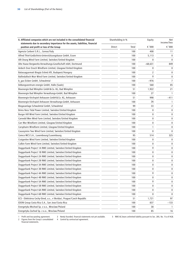| II. Affiliated companies which are not included in the consolidated financial<br>statements due to secondary importance for the assets, liabilities, financial | Shareholding in % |       | Equity   | Net<br>income/loss |
|----------------------------------------------------------------------------------------------------------------------------------------------------------------|-------------------|-------|----------|--------------------|
| position and profit or loss of the Group                                                                                                                       | Direct            | Total | € $'000$ | € '000             |
| Agenzia Carboni S.R.L., Genoa/Italy                                                                                                                            |                   | 100   | 408      | 11                 |
| Alfred Thiel-Gedächtnis-Unterstützungskasse GmbH, Essen                                                                                                        |                   | 100   | 5,113    | 0                  |
| Allt Dearg Wind Farm Limited, Swindon/United Kingdom                                                                                                           |                   | 100   | $\Omega$ | 0                  |
| Alte Haase Bergwerks-Verwaltungs-Gesellschaft mbH, Dortmund                                                                                                    |                   | 100   | -68,631  | 849                |
| Ardoch Over Enoch Windfarm Limited, Glasgow/United Kingdom                                                                                                     |                   | 100   | 0        | 0                  |
| Balassagyarmati Biogáz Erőmû Kft, Budapest/Hungary                                                                                                             |                   | 100   | 2        | 0                  |
| Ballindalloch Muir Wind Farm Limited, Swindon/United Kingdom                                                                                                   |                   | 100   | 0        | 0                  |
| b gas Eicken GmbH, Schwalmtal                                                                                                                                  |                   | 100   | $-976$   | 7                  |
| bildungszentrum energie GmbH, Halle (Saale)                                                                                                                    |                   | 100   | 560      | 85                 |
| Bioenergie Bad Wimpfen GmbH & Co. KG, Bad Wimpfen                                                                                                              |                   | 51    | 1,922    | 21                 |
| Bioenergie Bad Wimpfen Verwaltungs-GmbH, Bad Wimpfen                                                                                                           |                   | 100   | 27       | $\mathbf{1}$       |
| Bioenergie Kirchspiel Anhausen GmbH & Co. KG, Anhausen                                                                                                         |                   | 51    | 998      | -411               |
| Bioenergie Kirchspiel Anhausen Verwaltungs-GmbH, Anhausen                                                                                                      |                   | 100   | 26       | $\mathbf{1}$       |
| Biogasanlage Schwalmtal GmbH, Schwalmtal                                                                                                                       |                   | 99    | 33       | 2                  |
| Brims Ness Tidal Power Limited, Swindon/United Kingdom                                                                                                         |                   | 100   | 0        | 0                  |
| Burgar Hill Wind Farm Limited, Swindon/United Kingdom                                                                                                          |                   | 100   | 0        | 0                  |
| Carnedd Wen Wind Farm Limited, Swindon/United Kingdom                                                                                                          |                   | 100   | 0        | 0                  |
| Carr Mor Windfarm Limited, Glasgow/United Kingdom                                                                                                              |                   | 100   | 0        | 0                  |
| Carsphairn Windfarm Limited, Glasgow/United Kingdom                                                                                                            |                   | 100   | 1        | 0                  |
| Causeymire Two Wind Farm Limited, Swindon/United Kingdom                                                                                                       |                   | 100   | 0        | 0                  |
| Comco MCS S.A., Luxembourg/Luxembourg                                                                                                                          |                   | 95    | 514      | 325                |
| Craigenlee Wind Farm Limited, Swindon/United Kingdom                                                                                                           |                   | 100   | 0        | 0                  |
| Culbin Farm Wind Farm Limited, Swindon/United Kingdom                                                                                                          |                   | 100   | 0        | 0                  |
| Doggerbank Project 1A RWE Limited, Swindon/United Kingdom                                                                                                      |                   | 100   | 0        | 0                  |
| Doggerbank Project 1B RWE Limited, Swindon/United Kingdom                                                                                                      |                   | 100   | 0        | 0                  |
| Doggerbank Project 2A RWE Limited, Swindon/United Kingdom                                                                                                      |                   | 100   | 0        | 0                  |
| Doggerbank Project 2B RWE Limited, Swindon/United Kingdom                                                                                                      |                   | 100   | 0        | 0                  |
| Doggerbank Project 3A RWE Limited, Swindon/United Kingdom                                                                                                      |                   | 100   | 0        | 0                  |
| Doggerbank Project 3B RWE Limited, Swindon/United Kingdom                                                                                                      |                   | 100   | 0        | 0                  |
| Doggerbank Project 4A RWE Limited, Swindon/United Kingdom                                                                                                      |                   | 100   | 0        | 0                  |
| Doggerbank Project 4B RWE Limited, Swindon/United Kingdom                                                                                                      |                   | 100   | 0        | 0                  |
| Doggerbank Project 5A RWE Limited, Swindon/United Kingdom                                                                                                      |                   | 100   | 0        | 0                  |
| Doggerbank Project 5B RWE Limited, Swindon/United Kingdom                                                                                                      |                   | 100   | 0        | 0                  |
| Doggerbank Project 6A RWE Limited, Swindon/United Kingdom                                                                                                      |                   | 100   | 0        | 0                  |
| Doggerbank Project 6B RWE Limited, Swindon/United Kingdom                                                                                                      |                   | 100   | 0        | 0                  |
| ECS - Elektrárna Cechy-Stred, a.s., v likvidaci, Prague/Czech Republic                                                                                         |                   | 51    | 1,721    | 97                 |
| EDON Group Costa Rica S.A., San Jose/Costa Rica                                                                                                                |                   | 100   | 837      | $-133$             |
| Energetyka Wschod Sp. z o.o., Wroclaw/Poland                                                                                                                   |                   | 100   | 38       | 1                  |
| Energetyka Zachod Sp. z o.o., Wroclaw/Poland                                                                                                                   |                   | 100   | 85       | 16                 |

1 Profit and loss-pooling agreement. 3 Newly founded, financial statements not yet available. 5 RWE AG bears unlimited liability pursuant to Sec. 285, No. 11a of HGB.<br>2 Figures from the Group's consolidated 4 Control by co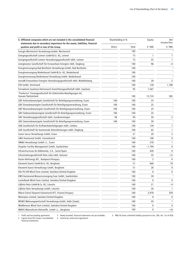| II. Affiliated companies which are not included in the consolidated financial<br>statements due to secondary importance for the assets, liabilities, financial | Shareholding in % |       | Equity   | Net<br>income/loss |
|----------------------------------------------------------------------------------------------------------------------------------------------------------------|-------------------|-------|----------|--------------------|
| position and profit or loss of the Group                                                                                                                       | Direct            | Total | € '000   | € '000             |
| Energie Mechernich Verwaltungs-GmbH, Mechernich                                                                                                                |                   | 100   |          |                    |
| Energiegesellschaft Leimen GmbH & Co. KG, Leimen                                                                                                               |                   | 75    | 1        | 7                  |
| Energiegesellschaft Leimen Verwaltungsgesellschaft mbH, Leimen                                                                                                 |                   | 75    | 23       | $\mathbf{1}$       |
| energienatur Gesellschaft für Erneuerbare Energien mbH, Siegburg                                                                                               |                   | 100   | 96       | -4                 |
| Energieversorgung Bad Bentheim Verwaltungs-GmbH, Bad Bentheim                                                                                                  |                   | 100   |          |                    |
| Energieversorgung Niederkassel GmbH & Co. KG, Niederkassel                                                                                                     |                   | 100   |          | 3                  |
| Energieversorung Niederkassel Verwaltung GmbH, Niederkassel                                                                                                    |                   | 100   |          | 3                  |
| enviaM Erneuerbare Energien Verwaltungsgesellschaft mbH, Markkleeberg                                                                                          |                   | 100   | 28       | $\overline{2}$     |
| <b>ESK GmbH, Dortmund</b>                                                                                                                                      |                   | 100   | 128      | 1,786              |
| Fernwärme Saarlouis-Steinrausch Investitionsgesellschaft mbH, Saarlouis                                                                                        |                   | 95    | 7,567    |                    |
| 'Finelectra' Finanzgesellschaft für Elektrizitäts-Beteiligungen AG,<br>Hausen/Switzerland                                                                      |                   | 100   | 13,724   | 585                |
| GBV Achtundzwanzigste Gesellschaft für Beteiligungsverwaltung, Essen                                                                                           | 100               | 100   | 25       | $\mathbbm{1}$      |
| GBV Einundzwanzigste Gesellschaft für Beteiligungsverwaltung, Essen                                                                                            | 100               | 100   | 25       | $\mathbb{I}$       |
| GBV Neunundzwanzigste Gesellschaft für Beteiligungsverwaltung, Essen                                                                                           | 100               | 100   | 25       | 1                  |
| GBV Siebenundzwanzigste Gesellschaft für Beteiligungsverwaltung, Essen                                                                                         | 100               | 100   | 25       | $\,$ $\,$          |
| GBV Verwaltungsgesellschaft mbH, Gundremmingen                                                                                                                 | 94                | 94    | 20       | 2                  |
| GBV Zweiundzwanzigste Gesellschaft für Beteiligungsverwaltung, Essen                                                                                           | 100               | 100   | 28       | $\mathbf{1}$       |
| GKB Gesellschaft für Kraftwerksbeteiligungen mbH, Cottbus                                                                                                      |                   | 100   | 139      | $\overline{7}$     |
| GkD Gesellschaft für kommunale Dienstleistungen mbH, Siegburg                                                                                                  |                   | 100   | 62       | $\mathbf{1}$       |
| Green Gecco Verwaltungs GmbH, Essen                                                                                                                            |                   | 51    | 29       | 3                  |
| GWG Kommunal GmbH, Grevenbroich                                                                                                                                |                   | 100   | 100      | 0                  |
| HM&A Verwaltungs GmbH i.L., Essen                                                                                                                              |                   | 100   | 378      | 1                  |
| Hospitec Facility Management GmbH, Saarbrücken                                                                                                                 |                   | 100   | $-1,794$ | 0                  |
| Infraestructuras de Aldehuelas, S.A., Soria/Spain                                                                                                              |                   | 100   | 428      | $\mathbf{0}$       |
| Infrastrukturgesellschaft Netz Lübz mbH, Hanover                                                                                                               |                   | 100   | 32       | $-12$              |
| Kazinc-BioEnergy Kft., Budapest/Hungary                                                                                                                        |                   | 100   | 2        | 0                  |
| Kieswerk Kaarst GmbH & Co. KG, Bergheim                                                                                                                        |                   | 51    | 668      | 70                 |
| Kieswerk Kaarst Verwaltungs GmbH, Bergheim                                                                                                                     |                   | 51    | 28       | $\mathbf 0$        |
| Kiln Pit Hill Wind Farm Limited, Swindon/United Kingdom                                                                                                        |                   | 100   | 0        | 0                  |
| KWS Kommunal-Wasserversorgung Saar GmbH, Saarbrücken                                                                                                           |                   | 100   | 30       | $\overline{1}$     |
| Lochelbank Wind Farm Limited, Swindon/United Kingdom                                                                                                           |                   | 100   | 0        | 0                  |
| Lößnitz Netz GmbH & Co. KG, Lössnitz                                                                                                                           |                   | 100   | 21       | $-4$               |
| Lößnitz Netz Verwaltungs GmbH, Lössnitz                                                                                                                        |                   | 100   | 26       | $\mathbf{1}$       |
| Mátrai Erömü Központi Karbantartó KFT, Visonta/Hungary                                                                                                         |                   | 100   | 2,978    | 359                |
| Meterplus Limited, Swindon/United Kingdom                                                                                                                      |                   | 100   | 0        | 0                  |
| MEWO Wohnungswirtschaft Verwaltungs-GmbH, Halle (Saale)                                                                                                        |                   | 100   | 45       | $\mathbf{1}$       |
| Middlemoor Wind Farm Limited, Swindon/United Kingdom                                                                                                           |                   | 100   | 0        | 0                  |
| MIROS Mineralische Rohstoffe, GmbH i.L., Bergheim                                                                                                              |                   | 100   | 0        | $-10$              |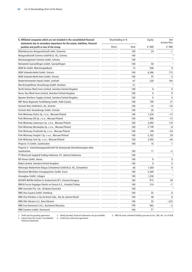| II. Affiliated companies which are not included in the consolidated financial<br>statements due to secondary importance for the assets, liabilities, financial | Shareholding in % |       | Equity | Net<br>income/loss      |
|----------------------------------------------------------------------------------------------------------------------------------------------------------------|-------------------|-------|--------|-------------------------|
| position and profit or loss of the Group                                                                                                                       | Direct            | Total | € '000 | € '000                  |
| Mitteldeutsche Netzgesellschaft mbH, Chemnitz                                                                                                                  |                   | 100   | 24     | $-1$                    |
| Netzgesellschaft Grimma GmbH & Co. KG, Grimma                                                                                                                  |                   | 100   |        |                         |
| Netzmanagement Grimma GmbH, Grimma                                                                                                                             |                   | 100   |        | 3                       |
| Netzwerke Saarwellingen GmbH, Saarwellingen                                                                                                                    |                   | 100   | 50     |                         |
| NEW Re GmbH, Mönchengladbach                                                                                                                                   |                   | 75    | 590    | 0                       |
| NEW Schwalm-Nette GmbH, Viersen                                                                                                                                |                   | 100   | 6,586  | 713                     |
| NEW Schwalm-Nette Netz GmbH, Viersen                                                                                                                           |                   | 100   | 25     | $-3$                    |
| Niederrheinwerke Impuls GmbH, Grefrath                                                                                                                         |                   | 67    | 220    | 145                     |
| NiersEnergieNetze Verwaltungs-GmbH, Kevelaer                                                                                                                   |                   | 51    |        | $\overline{\mathbf{3}}$ |
| North Kintyre Wind Farm Limited, Swindon/United Kingdom                                                                                                        |                   | 100   | 0      | 0                       |
| Novar Two Wind Farm Limited, Swindon/United Kingdom                                                                                                            |                   | 100   | 0      | 0                       |
| Npower Northern Supply Limited, Swindon/United Kingdom                                                                                                         |                   | 100   | 0      | $\mathbf 0$             |
| NRF Neue Regionale Fortbildung GmbH, Halle (Saale)                                                                                                             |                   | 100   | 160    | 27                      |
| Oschatz Netz GmbH & Co. KG. Oschatz                                                                                                                            |                   | 100   | $-10$  | $-35$                   |
| Oschatz Netz Verwaltungs GmbH, Oschatz                                                                                                                         |                   | 100   | 26     | $\mathbf{1}$            |
| Park Wiatrowy Dolice Sp. z o.o., Warsaw/Poland                                                                                                                 |                   | 100   | 1,334  | $-13$                   |
| Park Wiatrowy Elk Sp. z o.o., Warsaw/Poland                                                                                                                    |                   | 100   | 898    | $-13$                   |
| Park Wiatrowy Gaworzyce Sp. z o.o., Warsaw/Poland                                                                                                              |                   | 100   | 3,095  | 110                     |
| Park Wiatrowy Msciwojów Sp. z o.o., Warsaw/Poland                                                                                                              |                   | 100   | 2,148  | $-9$                    |
| Park Wiatrowy Prudziszki Sp. z o.o., Warsaw/Poland                                                                                                             |                   | 100   | 109    | -24                     |
| Park Wiatrowy Smigiel I Sp. z o.o., Warsaw/Poland                                                                                                              |                   | 100   | 2,763  | 29                      |
| Park Wiatrowy Znin Sp. z o.o., Warsaw/Poland                                                                                                                   |                   | 100   | 2,493  | -44                     |
| Projecta 15 GmbH, Saarbrücken                                                                                                                                  |                   | 100   | 16     | $\mathbf{1}$            |
| Projecta 5 - Entwicklungsgesellschaft für kommunale Dienstleistungen mbH,                                                                                      |                   |       |        |                         |
| Saarbrücken                                                                                                                                                    |                   | 100   | 17     | $-2$                    |
| PT Rheincoal Supply & Trading Indonesia, PT, Jakarta/Indonesia                                                                                                 |                   | 100   |        | $\overline{\mathbf{3}}$ |
| RD Hanau GmbH, Hanau                                                                                                                                           |                   | 100   | 0      | 0                       |
| Rebyl Limited, Swindon/United Kingdom                                                                                                                          |                   | 100   | 0      | $\mathbf 0$             |
| ReEnergie Niederrhein Biogas Schwalmtal GmbH & Co. KG, Schwalmtal                                                                                              |                   | 66    | 1,564  | 0                       |
| Rheinland Westfalen Energiepartner GmbH, Essen                                                                                                                 |                   | 100   | 5,369  | $\mathbf{1}$            |
| rhenagbau GmbH, Cologne                                                                                                                                        |                   | 100   | 1,258  | $\overline{1}$          |
| ROTARY-MATRA Kútfúró és Karbantartó KFT, Visonta/Hungary                                                                                                       |                   | 100   | 812    | 29                      |
| RWE & Turcas Dogalgaz Ithalat ve Ihracat A.S., Istanbul/Turkey                                                                                                 |                   | 100   | 314    | $-7$                    |
| RWE Australia Pty. Ltd., Brisbane/Australia                                                                                                                    |                   | 100   |        | $\overline{\mathbf{3}}$ |
| RWE Dea Guyana GmbH, Hamburg                                                                                                                                   |                   | 100   | 25     | 0                       |
| RWE Dea Petróleo e Gás do Brasil Ltda., Rio de Janeiro/Brazil                                                                                                  |                   | 100   | 48     | 0                       |
| RWE DEA Ukraine LLC, Kiev/Ukraine                                                                                                                              |                   | 100   | 35     | -223                    |
| RWE East Bucharest S.R.L, Bucharest/Romania                                                                                                                    |                   | 100   | 903    | -5                      |
| RWE Eurotest GmbH, Dortmund                                                                                                                                    |                   | 100   | 51     | $\mathbf{1}$            |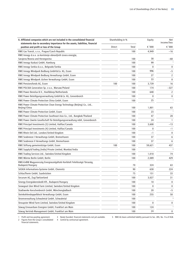| II. Affiliated companies which are not included in the consolidated financial<br>statements due to secondary importance for the assets, liabilities, financial | Shareholding in % |       | Equity | Net<br>income/loss |
|----------------------------------------------------------------------------------------------------------------------------------------------------------------|-------------------|-------|--------|--------------------|
| position and profit or loss of the Group                                                                                                                       | Direct            | Total | € '000 | € '000             |
| RWE Gas Transit, s.r.o., Prague/Czech Republic                                                                                                                 |                   | 100   | 4,949  | $-16$              |
| RWE Innogy d.o.o. za koristenje obnovljivih izvora energije,                                                                                                   |                   |       |        |                    |
| Sarajevo/Bosnia and Herzegovina                                                                                                                                |                   | 100   | 38     | $-68$              |
| RWE Innogy Kaskasi GmbH, Hamburg                                                                                                                               |                   | 100   | 99     | 1                  |
| RWE Innogy Serbia d.o.o., Belgrade/Serbia                                                                                                                      |                   | 100   | 0      | 0                  |
| RWE Innogy Windpark Bedburg GmbH & Co. KG, Essen                                                                                                               |                   | 100   | 996    | -5                 |
| RWE Innogy Windpark Bedburg Verwaltungs GmbH, Essen                                                                                                            |                   | 100   | 27     | 2                  |
| RWE Innogy Windpark Jüchen Verwaltungs GmbH, Essen                                                                                                             |                   | 100   | 33     | 8                  |
| RWE Pensionsfonds AG, Essen                                                                                                                                    | 100               | 100   | 3,739  | 16                 |
| RWE POLSKA Generation Sp. z o.o., Warsaw/Poland                                                                                                                |                   | 100   | 174    | -327               |
| RWE Power Benelux B.V., Hoofddorp/Netherlands                                                                                                                  |                   | 100   | 648    | 2                  |
| RWE Power Beteiligungsverwaltung GmbH & Co. KG, Grevenbroich                                                                                                   |                   | 100   | 0      | 0                  |
| <b>RWE Power Climate Protection China GmbH, Essen</b>                                                                                                          |                   | 100   | 25     | 1                  |
| RWE Power Climate Protection Clean Energy Technology (Beijing) Co., Ltd.,<br>Beijing/China                                                                     |                   | 100   | 1,801  | 63                 |
| RWE Power Climate Protection GmbH, Essen                                                                                                                       |                   | 100   | 23     |                    |
| RWE Power Climate Protection Southeast Asia Co., Ltd., Bangkok/Thailand                                                                                        |                   | 100   | 47     | 28                 |
| RWE Power Zweite Gesellschaft für Beteiligungsverwaltung mbH, Grevenbroich                                                                                     |                   | 100   | 24     | $\mathbf{1}$       |
| RWE Principal Investments (3) Limited, Halifax/Canada                                                                                                          |                   | 100   | 3,608  | $-13$              |
| RWE Principal Investments (4) Limited, Halifax/Canada                                                                                                          |                   | 100   | 0      | $-1$               |
| RWE Rhein Oel Ltd., London/United Kingdom                                                                                                                      |                   | 100   | $-1$   | 0                  |
| RWE Seabreeze I Verwaltungs GmbH, Bremerhaven                                                                                                                  |                   | 100   | 37     | 6                  |
| RWE Seabreeze II Verwaltungs GmbH, Bremerhaven                                                                                                                 |                   | 100   | 37     | 6                  |
| RWE Stiftung gemeinnützige GmbH, Essen                                                                                                                         | 100               | 100   | 59,621 | 437                |
| RWE Supply & Trading (India) Private Limited, Mumbai/India                                                                                                     |                   | 100   |        |                    |
| RWE Trading Services Ltd., Swindon/United Kingdom                                                                                                              |                   | 100   | 1,010  | 74                 |
| RWE Wärme Berlin GmbH, Berlin                                                                                                                                  |                   | 100   | 2,089  | 429                |
| RWE-EnBW Magyarország Energiaszolgáltató Korlátolt Felelösségü Társaság,<br>Budapest/Hungary                                                                   |                   | 70    | 324    | 63                 |
| SASKIA Informations-Systeme GmbH, Chemnitz                                                                                                                     |                   | 90    | 638    | 224                |
| SchlauTherm GmbH, Saarbrücken                                                                                                                                  |                   | 75    | 151    | 33                 |
| Securum AG, Zug/Switzerland                                                                                                                                    |                   | 100   | 3,027  | 31                 |
| Sinergy Energiakereskedõ Kft., Budapest/Hungary                                                                                                                |                   | 100   | 10     | 0                  |
| Snowgoat Glen Wind Farm Limited, Swindon/United Kingdom                                                                                                        |                   | 100   | 0      | 0                  |
| Stadtwerke Korschenbroich GmbH, Mönchengladbach                                                                                                                |                   | 100   | 20     | -5                 |
| Steinkohlendoppelblock Verwaltungs GmbH, Essen                                                                                                                 |                   | 100   | 255    | 50                 |
| Stromverwaltung Schwalmtal GmbH, Schwalmtal                                                                                                                    |                   | 100   |        | 3                  |
| Stroupster Wind Farm Limited, Swindon/United Kingdom                                                                                                           |                   | 100   | 0      | 0                  |
| Süwag Erneuerbare Energien GmbH, Frankfurt am Main                                                                                                             |                   | 100   | 124    | $\overline{1}$     |
| Süwag Vertrieb Management GmbH, Frankfurt am Main                                                                                                              |                   | 100   | 24     | 0                  |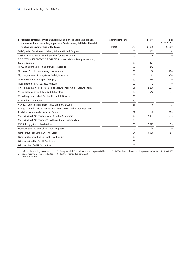| II. Affiliated companies which are not included in the consolidated financial<br>statements due to secondary importance for the assets, liabilities, financial | Shareholding in % |       | Equity         | <b>Net</b><br>income/loss |
|----------------------------------------------------------------------------------------------------------------------------------------------------------------|-------------------|-------|----------------|---------------------------|
| position and profit or loss of the Group                                                                                                                       | <b>Direct</b>     | Total | € '000         | € '000                    |
| Taff-Ely Wind Farm Project Limited, Swindon/United Kingdom                                                                                                     |                   | 100   | 105            | $\Omega$                  |
| Tarskavaig Wind Farm Limited, Swindon/United Kingdom                                                                                                           |                   | 100   | $\mathbf{0}$   | $\mathbf{0}$              |
| T.B.E. TECHNISCHE BERATUNG ENERGIE für wirtschaftliche Energieanwendung                                                                                        |                   |       |                |                           |
| GmbH, Duisburg                                                                                                                                                 |                   | 100   | 337            |                           |
| TEPLO Rumburk s.r.o., Rumburk/Czech Republic                                                                                                                   |                   | 98    | 242            | $-11$                     |
| Thermolux S.a.r.l., Luxembourg/Luxembourg                                                                                                                      |                   | 100   | 98             | $-484$                    |
| Thyssengas-Unterstützungskasse GmbH, Dortmund                                                                                                                  |                   | 100   | 41             | $-34$                     |
| Tisza BioTerm Kft., Budapest/Hungary                                                                                                                           |                   | 60    | 219            | $\mathbf{0}$              |
| Tisza-BioEnergy Kft, Budapest/Hungary                                                                                                                          |                   | 100   | $\overline{c}$ | $\mathbf{0}$              |
| TWS Technische Werke der Gemeinde Saarwellingen GmbH, Saarwellingen                                                                                            |                   | 51    | 2.886          | 625                       |
| Versuchsatomkraftwerk Kahl GmbH, Karlstein                                                                                                                     |                   | 80    | 542            | 31                        |
| Verwaltungsgesellschaft Dorsten Netz mbH, Dorsten                                                                                                              |                   | 100   |                | $\overline{3}$            |
| VKB-GmbH, Saarbrücken                                                                                                                                          |                   | 50    |                | $\overline{3}$            |
| VKN Saar Geschäftsführungsgesellschaft mbH, Ensdorf                                                                                                            |                   | 51    | 46             | $\overline{c}$            |
| VKN Saar Gesellschaft für Verwertung von Kraftwerksnebenprodukten und                                                                                          |                   |       |                |                           |
| Ersatzbrennstoffen mbH & Co. KG, Ensdorf                                                                                                                       |                   | 51    | 50             | 280                       |
| VSE - Windpark Merchingen GmbH & Co. KG, Saarbrücken                                                                                                           |                   | 100   | 2.484          | $-316$                    |
| VSE - Windpark Merchingen Verwaltungs GmbH, Saarbrücken                                                                                                        |                   | 100   | 57             | 2                         |
| VSE Stiftung gGmbH, Saarbrücken                                                                                                                                |                   | 100   | 2.577          | 19                        |
| Wärmeversorgung Schwaben GmbH, Augsburg                                                                                                                        |                   | 100   | 64             | 0                         |
| Windpark Jüchen GmbH & Co. KG, Essen                                                                                                                           |                   | 54    | 9,958          | 57                        |
| Windpark Losheim-Britten GmbH, Saarbrücken                                                                                                                     |                   | 100   |                | $\overline{\mathbf{3}}$   |
| Windpark Oberthal GmbH, Saarbrücken                                                                                                                            |                   | 100   |                | $\overline{\mathbf{3}}$   |
| Windpark Perl GmbH, Saarbrücken                                                                                                                                |                   | 100   |                | $\overline{3}$            |

2 Figures from the Group's consolidated 4 Control by contractual agreement. financial statements.

1 Profit and loss-pooling agreement. 3 Newly founded, financial statements not yet available. 5 RWE AG bears unlimited liability pursuant to Sec. 285, No. 11a of HGB.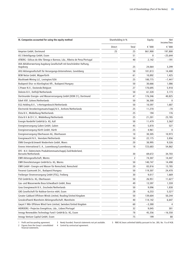| III. Companies accounted for using the equity method                                     |        | Shareholding in % |          | Net<br>income/loss |  |
|------------------------------------------------------------------------------------------|--------|-------------------|----------|--------------------|--|
|                                                                                          | Direct | Total             | € '000   | € '000             |  |
| Amprion GmbH, Dortmund                                                                   | 25     | 25                | 861,900  | 197,800            |  |
| AS 3 Beteiligungs GmbH, Essen                                                            |        | 51                | 0        | $-25,644$          |  |
| ATBERG - Eólicas do Alto Tâmega e Barroso, Lda., Ribeira de Pena/Portugal                |        | 40                | 2,142    | -191               |  |
| AVA Abfallverwertung Augsburg Gesellschaft mit beschränkter Haftung,<br>Augsburg         |        | 25                | 24,064   | 3,299              |  |
| AVU Aktiengesellschaft für Versorgungs-Unternehmen, Gevelsberg                           |        | 50                | 101,813  | 14,400             |  |
| BEW Netze GmbH, Wipperfürth                                                              |        | 61                | 10,892   | 1,425              |  |
| Blackhawk Mining LLC, Lexington/USA                                                      |        | 25                | 100,775  | $-7,441^2$         |  |
| Budapesti Disz- es Közvilagitasi Kft., Budapest/Hungary                                  |        | 50                | 30,666   | 1,086              |  |
| C-Power N.V., Oostende/Belgium                                                           |        | 27                | 170,695  | 5,918              |  |
| Delesto B.V., Delfzijl/Netherlands                                                       |        | 50                | 61,328   | 3,173              |  |
| Dortmunder Energie- und Wasserversorgung GmbH (DEW 21), Dortmund                         |        | 47                | 176,346  | 40,825             |  |
| EdeA VOF, Geleen/Netherlands                                                             |        | 50                | 36,300   | 0                  |  |
| EGG Holding B.V., 's-Hertogenbosch/Netherlands                                           |        | 50                | 10,597   | 1,687              |  |
| Electrorisk Verzekeringsmaatschappij N.V., Arnhem/Netherlands                            |        | 25                | 11,270   | $-70$              |  |
| Elsta B.V., Middelburg/Netherlands                                                       |        | 25                | 194      | 176                |  |
| Elsta B.V. & CO C.V., Middelburg/Netherlands                                             |        | 25                | 21,201   | 23,785             |  |
| Energie Nordeifel GmbH & Co. KG, Kall                                                    |        | 50                | 11.479   | $3,362^2$          |  |
| Energieversorgung Guben GmbH, Guben                                                      |        | 45                | 5,870    | 527                |  |
| Energieversorgung Hürth GmbH, Hürth                                                      |        | 25                | 4,961    | $\bf{0}$           |  |
| Energieversorgung Oberhausen AG, Oberhausen                                              |        | 10                | 30,305   | 10,973             |  |
| Energiewacht N.V., Veendam/Netherlands                                                   |        | 50                | 22,175   | 3,856              |  |
| ENNI Energie & Umwelt Niederrhein GmbH, Moers                                            |        | 20                | 38,995   | 9,526              |  |
| Enovos International S. A., Luxembourg/Luxembourg                                        |        | 18                | 723,683  | 54,862             |  |
| EPZ - N.V. Elektriciteits Produktiemmaatschappij Zuid-Nederland,<br>Borssele/Netherlands |        | 30                | 69,672   | 34,703             |  |
| EWR Aktiengesellschaft, Worms                                                            |        | 2                 | 74,307   | 14,447             |  |
| EWR Dienstleistungen GmbH & Co. KG, Worms                                                |        | 50                | 140,747  | 14,498             |  |
| EWR GmbH - Energie und Wasser für Remscheid, Remscheid                                   |        | 20                | 83,816   | 13,785             |  |
| Fovarosi Gazmuvek Zrt., Budapest/Hungary                                                 |        | 50                | 119,307  | 24,470             |  |
| Freiberger Stromversorgung GmbH (FSG), Freiberg                                          |        | 30                | 9,017    | 1,669              |  |
| FSO GmbH & Co. KG, Oberhausen                                                            |        | 50                | 26,951   | $11,621^2$         |  |
| Gas- und Wasserwerke Bous-Schwalbach GmbH, Bous                                          |        | 49                | 13,597   | 1,559              |  |
| Geas Energiewacht B.V., Enschede/Netherlands                                             |        | 50                | 9,096    | 1,838              |  |
| GNS Gesellschaft für Nuklear-Service mbH, Essen                                          |        | 28                | 6,253    | $5,521^2$          |  |
| Greater Gabbard Offshore Winds Limited, Reading/United Kingdom                           |        | 50                | 139,604  | 50,244             |  |
| Grosskraftwerk Mannheim Aktiengesellschaft, Mannheim                                     |        | 40                | 114,142  | 6,647              |  |
| Gwynt Y Môr Offshore Wind Farm Limited, Swindon/United Kingdom                           |        | 60                | $-3,380$ | 4                  |  |
| HIDROERG - Projectos Energéticos, Lda., Lisbon/Portugal                                  |        | 32                | 9,045    | 301                |  |
| Innogy Renewables Technology Fund I GmbH & Co. KG, Essen                                 |        | 78                | 45,356   | $-16,550$          |  |
| Innogy Venture Capital GmbH, Essen                                                       |        | 75                | 199      | 80                 |  |

1 Profit and loss-pooling agreement. 3 Newly founded, financial statements not yet available. 5 RWE AG bears unlimited liability pursuant to Sec. 285, No. 11a of HGB.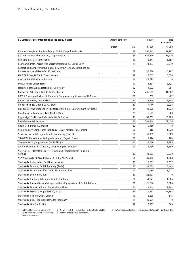| III. Companies accounted for using the equity method                                     | Shareholding in % |       | Equity           | Net<br>income/loss |
|------------------------------------------------------------------------------------------|-------------------|-------|------------------|--------------------|
|                                                                                          | Direct            | Total | € '000           | € '000             |
| Kärntner Energieholding Beteiligungs GmbH, Klagenfurt/Austria                            |                   | 49    | 566,843          | 87,297             |
| KELAG-Kärntner Elektrizitäts-AG, Klagenfurt/Austria                                      |                   | 13    | 644,840          | $96,226^2$         |
| Kemkens B.V., Oss/Netherlands                                                            |                   | 49    | 15,641           | 6,753              |
| KEW Kommunale Energie- und Wasserversorgung AG, Neunkirchen                              |                   | 29    | 73,133           | 9,919              |
| Konsortium Energieversorgung Opel oHG der RWE Innogy GmbH und der                        |                   |       |                  |                    |
| Kraftwerke Mainz-Wiesbaden AG, Karlstein                                                 |                   | 67    | 35,206           | 16,707             |
| MAINGAU Energie GmbH, Obertshausen                                                       |                   | 47    | 19,757           | 5,034              |
| medl GmbH, Mülheim an der Ruhr                                                           |                   | 49    | 21,829           | $\Omega$           |
| Mingas-Power GmbH, Essen                                                                 |                   | 40    | 3,394            | 2,725              |
| Nebelhornbahn-Aktiengesellschaft, Oberstdorf                                             |                   | 27    | 4,922            | 361                |
| Pfalzwerke Aktiengesellschaft, Ludwigshafen                                              |                   | 27    | 205,885          | $31,682^2$         |
| PRENU Projektgesellschaft für Rationelle Energienutzung in Neuss mbH, Neuss              |                   | 50    | 232              | $-22$              |
| Projecta 14 GmbH, Saarbrücken                                                            |                   | 50    | 38,359           | 2,134              |
| Propan Rheingas GmbH & Co KG, Brühl                                                      |                   | 30    | 16,776           | 2,238              |
| Przedsiêbiorstwo Wodociagów i Kanalizacji Sp. z o.o., Dabrowa Górnica/Poland             |                   | 34    | 31,076           | 1,923              |
| Rain Biomasse Wärmegesellschaft mbH, Rain                                                |                   | 75    | 6,515            | 508                |
| Regionalgas Euskirchen GmbH & Co. KG, Euskirchen                                         |                   | 43    | 61,253           | 13,989             |
| RheinEnergie AG, Cologne                                                                 |                   | 20    | 741,918          | 171,676            |
| Rhein-Main-Donau AG, Munich                                                              |                   | 22    | 110,169          | $\Omega$           |
| Sampi Anlagen-Vermietungs GmbH & Co. Objekt Meerbusch KG, Mainz                          |                   | 100   | 555              | 1,328              |
| Schluchseewerk Aktiengesellschaft, Laufenburg (Baden)                                    |                   | 50    | 59,339           | 2,809              |
| SHW/RWE Umwelt Aqua Vodogradnja d.o.o., Zagreb/Croatia                                   |                   | 50    | 1,424            | 104                |
| Siegener Versorgungsbetriebe GmbH, Siegen                                                |                   | 25    | 22,766           | 3,985              |
| Société Electrique de l'Our S.A., Luxembourg/Luxembourg                                  |                   | 40    | 11,770           | $-1,1592$          |
| SpreeGas Gesellschaft für Gasversorgung und Energiedienstleistung mbH,<br>Cottbus        |                   | 33    | 34,093           | 5,530              |
| SSW Stadtwerke St. Wendel GmbH & Co. KG, St. Wendel                                      |                   | 50    | 20,215           |                    |
|                                                                                          |                   | 35    |                  | 1,988              |
| Stadtwerke Aschersleben GmbH, Aschersleben<br>Stadtwerke Bernburg GmbH, Bernburg (Saale) |                   | 45    | 15,831<br>31,709 | 2,617<br>5,468     |
| Stadtwerke Bitterfeld-Wolfen GmbH, Bitterfeld-Wolfen                                     |                   | 40    |                  |                    |
|                                                                                          |                   |       | 20,789           | 1,913              |
| Stadtwerke Bühl GmbH, Bühl                                                               |                   | 30    | 22,107           | $\mathbf{0}$       |
| Stadtwerke Duisburg Aktiengesellschaft, Duisburg                                         |                   | 20    | 164,077          | 1,006              |
| Stadtwerke Dülmen Dienstleistungs- und Beteiligungs-GmbH & Co. KG, Dülmen                |                   | 50    | 26,286           | 3,526              |
| Stadtwerke Emmerich GmbH, Emmerich am Rhein                                              |                   | 25    | 12,115           | 2,843              |
| Stadtwerke Essen Aktiengesellschaft, Essen                                               |                   | 29    | 117,597          | 26,784             |
| Stadtwerke Geldern GmbH, Geldern                                                         |                   | 49    | 8,595            | 615                |
| Stadtwerke GmbH Bad Kreuznach, Bad Kreuznach                                             |                   | 25    | 39,925           | $\mathbf 0$        |
| Stadtwerke Kirn GmbH, Kirn                                                               |                   | 49    | 2,137            | 360                |

2 Figures from the Group's consolidated 4 Control by contractual agreement. financial statements.

1 Profit and loss-pooling agreement. 3 Newly founded, financial statements not yet available. 5 RWE AG bears unlimited liability pursuant to Sec. 285, No. 11a of HGB.<br>2 Figures from the Group's consolidated 4 Control by co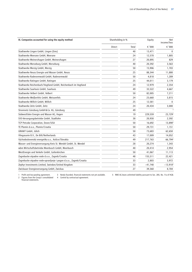| III. Companies accounted for using the equity method               | Shareholding in % |       | Equity    | Net<br>income/loss  |
|--------------------------------------------------------------------|-------------------|-------|-----------|---------------------|
|                                                                    | <b>Direct</b>     | Total | € '000    | $\epsilon$ '000     |
| Stadtwerke Lingen GmbH, Lingen (Ems)                               |                   | 40    | 13,471    | $\mathbf{0}$        |
| Stadtwerke Meerane GmbH, Meerane                                   |                   | 24    | 12,578    | 1,805               |
| Stadtwerke Meinerzhagen GmbH, Meinerzhagen                         |                   | 27    | 20,895    | 829                 |
| Stadtwerke Merseburg GmbH, Merseburg                               |                   | 40    | 20,392    | 3,563               |
| Stadtwerke Merzig GmbH, Merzig                                     |                   | 50    | 15,906    | 1,703               |
| Stadtwerke Neuss Energie und Wasser GmbH, Neuss                    |                   | 25    | 88,344    | 11,880              |
| Stadtwerke Radevormwald GmbH, Radevormwald                         |                   | 50    | 4,818     | 1,289               |
| Stadtwerke Ratingen GmbH, Ratingen                                 |                   | 25    | 44,011    | 3,179               |
| Stadtwerke Reichenbach/Vogtland GmbH, Reichenbach im Vogtland      |                   | 24    | 12,979    | 2,354               |
| Stadtwerke Saarlouis GmbH, Saarlouis                               |                   | 49    | 33,522    | 4,667               |
| Stadtwerke Velbert GmbH, Velbert                                   |                   | 50    | 82,005    | 7,211               |
| Stadtwerke Weißenfels GmbH, Weissenfels                            |                   | 24    | 23,660    | 3,815               |
| Stadtwerke Willich GmbH, Willich                                   |                   | 25    | 12,581    | $\mathbf{0}$        |
| Stadtwerke Zeitz GmbH, Zeitz                                       |                   | 24    | 20,434    | 3,000               |
| Stromnetz Günzburg GmbH & Co. KG, Günzburg                         |                   | 49    |           | $\overline{3}$      |
| Südwestfalen Energie und Wasser AG, Hagen                          |                   | 19    | 229,559   | 23,729 <sup>2</sup> |
| SVS-Versorgungsbetriebe GmbH, Stadtlohn                            |                   | 38    | 20,930    | 2,592               |
| TCP Petcoke Corporation, Dover/USA                                 |                   | 50    | 16,692    | 13,890 <sup>2</sup> |
| TE Plomin d.o.o., Plomin/Croatia                                   |                   | 50    | 29,731    | 1,151               |
| URANIT GmbH, Jülich                                                |                   | 50    | 73,683    | 62,650              |
| Vliegasunie B.V., De Bilt/Netherlands                              |                   | 43    | 17.009    | 14,052              |
| Východoslovenská energetika a.s., Košice/Slovakia                  |                   | 49    | 217,763   | 66,794 <sup>2</sup> |
| Wasser- und Energieversorgung Kreis St. Wendel GmbH, St. Wendel    |                   | 28    | 20,274    | 1,343               |
| wbm Wirtschaftsbetriebe Meerbusch GmbH, Meerbusch                  |                   | 40    | 20,414    | 2,954               |
| WestEnergie und Verkehr GmbH, Geilenkirchen                        |                   | 50    | 41,067    | 11,113              |
| Zagrebacke otpadne vode d.o.o., Zagreb/Croatia                     |                   | 48    | 155,511   | 22,421              |
| Zagrebacke otpadne vode-upravljanje i pogon d.o.o., Zagreb/Croatia |                   | 33    | 2,803     | 3,972               |
| Zephyr Investments Limited, Swindon/United Kingdom                 |                   | 33    | $-41,740$ | $-13,910^{2}$       |
| Zwickauer Energieversorgung GmbH, Zwickau                          |                   | 27    | 39,360    | 8,784               |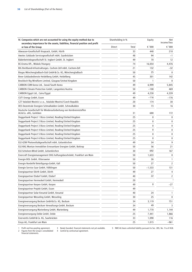| income/loss<br>secondary importance for the assets, liabilities, financial position and profit<br>€ '000<br>or loss of the Group<br>Direct<br>Total<br>Abwasser-Gesellschaft Knapsack, GmbH, Hürth<br>33<br>440<br>Awotec Gebäude Servicegesellschaft mbH, Saarbrücken<br>48<br>94<br>Bäderbetriebsgesellschaft St. Ingbert GmbH, St. Ingbert<br>49<br>70 | € '000<br>210<br>$-1$<br>12<br>4,476<br>-32<br>0<br>142<br>0 |
|-----------------------------------------------------------------------------------------------------------------------------------------------------------------------------------------------------------------------------------------------------------------------------------------------------------------------------------------------------------|--------------------------------------------------------------|
|                                                                                                                                                                                                                                                                                                                                                           |                                                              |
|                                                                                                                                                                                                                                                                                                                                                           |                                                              |
|                                                                                                                                                                                                                                                                                                                                                           |                                                              |
|                                                                                                                                                                                                                                                                                                                                                           |                                                              |
| 16,054<br>BC-Eromu Kft., Miskolc/Hungary<br>74                                                                                                                                                                                                                                                                                                            |                                                              |
| BIG Breitband-Infrastrukturges. Cochem Zell mbH, Cochem-Zell<br>21<br>132                                                                                                                                                                                                                                                                                 |                                                              |
| 50<br>25<br>Biogas Mönchengladbach-Süd GmbH & Co. KG, Mönchengladbach                                                                                                                                                                                                                                                                                     |                                                              |
| Breer Gebäudedienste Heidelberg GmbH, Heidelberg<br>45<br>301                                                                                                                                                                                                                                                                                             |                                                              |
| Brockloch Rig Windfarm Limited, Glasgow/United Kingdom<br>50<br>1                                                                                                                                                                                                                                                                                         |                                                              |
| CARBON CDM Korea Ltd., Seoul/South Korea<br>49<br>6,999                                                                                                                                                                                                                                                                                                   | 5,845                                                        |
| $-108$<br>CARBON Climate Protection GmbH, Langenlois/Austria<br>50                                                                                                                                                                                                                                                                                        | 469                                                          |
| CARBON Egypt Ltd., Cairo/Egypt<br>49<br>4,230                                                                                                                                                                                                                                                                                                             | 4,339                                                        |
| CUT! Energy GmbH, Essen<br>49<br>$-116$                                                                                                                                                                                                                                                                                                                   | $-176$                                                       |
| CZT Valašské Mezirící s.r.o., Valašské Mezirící/Czech Republic<br>20<br>174                                                                                                                                                                                                                                                                               | 30                                                           |
| DES Dezentrale Energien Schmalkalden GmbH, Schmalkalden<br>30<br>73                                                                                                                                                                                                                                                                                       | 16                                                           |
| Deutsche Gesellschaft für Wiederaufarbeitung von Kernbrennstoffen<br>680<br>AG & Co. oHG, Gorleben<br>31                                                                                                                                                                                                                                                  | 172                                                          |
| 25<br>Doggerbank Project 1 Bizco Limited, Reading/United Kingdom<br>0                                                                                                                                                                                                                                                                                     | 0                                                            |
| Doggerbank Project 2 Bizco Limited, Reading/United Kingdom<br>0<br>25                                                                                                                                                                                                                                                                                     | 0                                                            |
| 25<br>Doggerbank Project 3 Bizco Limited, Reading/United Kingdom<br>0                                                                                                                                                                                                                                                                                     | 0                                                            |
| 0<br>Doggerbank Project 4 Bizco Limited, Reading/United Kingdom<br>25                                                                                                                                                                                                                                                                                     | 0                                                            |
| Doggerbank Project 5 Bizco Limited, Reading/United Kingdom<br>25<br>0                                                                                                                                                                                                                                                                                     | 0                                                            |
| 25<br>$\mathbf{0}$<br>Doggerbank Project 6 Bizco Limited, Reading/United Kingdom                                                                                                                                                                                                                                                                          | 0                                                            |
| ELE-GEW Photovoltaikgesellschaft mbH, Gelsenkirchen<br>49<br>34                                                                                                                                                                                                                                                                                           | 9                                                            |
| ELE-RAG Montan Immobilien Erneuerbare Energien GmbH, Bottrop<br>50<br>56                                                                                                                                                                                                                                                                                  | 21                                                           |
| ELE-Scholven-Wind GmbH, Gelsenkirchen<br>30<br>692                                                                                                                                                                                                                                                                                                        | 167                                                          |
| Enercraft Energiemanagement OHG haftungsbeschränkt, Frankfurt am Main<br>50<br>1,633                                                                                                                                                                                                                                                                      | 0                                                            |
| Energie BOL GmbH, Ottersweier<br>50<br>26                                                                                                                                                                                                                                                                                                                 | $\mathbf{1}$                                                 |
| Energie Nordeifel Beteiligungs-GmbH, Kall<br>50<br>27                                                                                                                                                                                                                                                                                                     | 2                                                            |
| 50<br>Energie Service Saar GmbH, Völklingen<br>$-1,533$                                                                                                                                                                                                                                                                                                   | 131                                                          |
| Energiepartner Dörth GmbH, Dörth<br>49<br>27                                                                                                                                                                                                                                                                                                              | 4                                                            |
| 22<br>Energiepartner Elsdorf GmbH, Elsdorf<br>40                                                                                                                                                                                                                                                                                                          | 2                                                            |
| Energiepartner Hermeskeil GmbH, Hermeskeil<br>20                                                                                                                                                                                                                                                                                                          | $\sqrt{3}$                                                   |
| 0<br>Energiepartner Kerpen GmbH, Kerpen<br>49                                                                                                                                                                                                                                                                                                             | $-27$                                                        |
| Energiepartner Projekt GmbH, Essen<br>49                                                                                                                                                                                                                                                                                                                  |                                                              |
| Energiepartner Solar Kreuztal GmbH, Kreuztal<br>40<br>24                                                                                                                                                                                                                                                                                                  | $\mathbf{1}$                                                 |
| Energiepartner Wesseling GmbH, Wesseling<br>25<br>30                                                                                                                                                                                                                                                                                                      | 0                                                            |
| Energieversorgung Beckum GmbH & Co. KG, Beckum<br>34<br>3,119                                                                                                                                                                                                                                                                                             | 751                                                          |
| Energieversorgung Beckum Verwaltungs-GmbH, Beckum<br>34<br>49                                                                                                                                                                                                                                                                                             | 3                                                            |
| Energieversorgung Marienberg GmbH, Marienberg<br>49<br>1,770                                                                                                                                                                                                                                                                                              | 1,144                                                        |
| Energieversorgung Oelde GmbH, Oelde<br>25<br>7,441                                                                                                                                                                                                                                                                                                        | 1,866                                                        |
| Enerventis GmbH & Co. KG, Saarbrücken<br>33<br>1,090                                                                                                                                                                                                                                                                                                      | 116                                                          |
| Ensys AG, Frankfurt am Main<br>1,015<br>25                                                                                                                                                                                                                                                                                                                | -961                                                         |

1 Profit and loss-pooling agreement. 3 Newly founded, financial statements not yet available. 5 RWE AG bears unlimited liability pursuant to Sec. 285, No. 11a of HGB.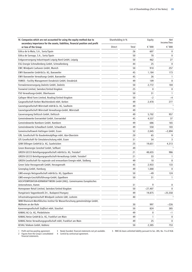| IV. Companies which are not accounted for using the equity method due to<br>secondary importance for the assets, liabilities, financial position and profit | Shareholding in % |          | Equity     | Net<br>income/loss |
|-------------------------------------------------------------------------------------------------------------------------------------------------------------|-------------------|----------|------------|--------------------|
| or loss of the Group                                                                                                                                        | Direct            | Total    | € '000     | € '000             |
| Eólica de la Mata, S.A., Soria/Spain                                                                                                                        |                   | 26       | 607        | 0                  |
| Eólica de Sarnago, S.A., Soria/Spain                                                                                                                        |                   | 50       | 78         | 0                  |
| Erdgasversorgung Industriepark Leipzig Nord GmbH, Leipzig                                                                                                   |                   | 50       | 462        | 27                 |
| ESG Energie Schmallenberg GmbH, Schmallenberg                                                                                                               |                   | 44       | 25         | $\mathbf 0$        |
| EWC Windpark Cuxhaven GmbH, Munich                                                                                                                          |                   | 50       | 910        | 257                |
| EWV Baesweiler GmbH & Co. KG, Baesweiler                                                                                                                    |                   | 45       | 1,184      | 173                |
| EWV Baesweiler Verwaltungs GmbH, Baesweiler                                                                                                                 |                   | 45       | 26         | $\mathbf{1}$       |
| FAMOS - Facility Management Osnabrück GmbH, Osnabrück                                                                                                       |                   | 49       | 109        | 8                  |
| Fernwärmeversorgung Zwönitz GmbH, Zwönitz                                                                                                                   |                   | 50       | 2,772      | 184                |
| Forewind Limited, Swindon/United Kingdom                                                                                                                    |                   | 25       | 0          | 0                  |
| FSO Verwaltungs-GmbH, Oberhausen                                                                                                                            |                   | 50       | 31         | $\mathbf{1}$       |
| Galloper Wind Farm Limited, Reading/United Kingdom                                                                                                          |                   | 50       | $-2$       | $-4$               |
| Gasgesellschaft Kerken Wachtendonk mbH, Kerken                                                                                                              |                   | 49       | 2,478      | 277                |
| Gasnetzgesellschaft Wörrstadt mbH & Co. KG, Saulheim                                                                                                        |                   | 49       |            | 3                  |
| Gasnetzgesellschaft Wörrstadt Verwaltungs-GmbH, Wörrstadt                                                                                                   |                   | 49       |            | 3                  |
| Gasversorgung Delitzsch GmbH, Delitzsch                                                                                                                     |                   | 49       | 5,702      | 957                |
| Gemeindewerke Everswinkel GmbH, Everswinkel                                                                                                                 |                   | 45       | 4,537      | 37                 |
| Gemeindewerke Namborn GmbH, Namborn                                                                                                                         |                   | 49       | 686        | 165                |
| Gemeindewerke Schwalbach GmbH, Schwalbach                                                                                                                   |                   | 49       | 550        | 103                |
| Gemeinschaftswerk Hattingen GmbH, Essen                                                                                                                     |                   | 52       | 2,045      | $-2,894$           |
| GfB, Gesellschaft für Baudenkmalpflege mbH, Idar-Oberstein                                                                                                  |                   | 20       | 65         | 9                  |
| GfS Gesellschaft für Simulatorschulung mbH, Essen                                                                                                           |                   | 31       | 54         | 3                  |
| GKW Dillingen GmbH & Co. KG, Saarbrücken                                                                                                                    |                   | 25       | 19,651     | 4,313              |
| Green Bioenergie Cereshof GmbH, Selfkant                                                                                                                    |                   | 49       |            |                    |
| GREEN GECCO Beteiligungsgesellschaft mbH & Co. KG, Troisdorf                                                                                                |                   | 21       | 48,655     | 986                |
| GREEN GECCO Beteiligungsgesellschaft-Verwaltungs GmbH, Troisdorf                                                                                            |                   | 21       | 33         | 1                  |
| GREEN Gesellschaft für regionale und erneuerbare Energie mbH, Stolberg                                                                                      |                   | 49       | 10         | 8                  |
| Green Solar Herzogenrath GmbH, Herzogenrath                                                                                                                 |                   | 45       | 2,933      | 133                |
| Greenplug GmbH, Hamburg                                                                                                                                     |                   | 49       | 1,000      | 0                  |
| GWE-energis Netzgesellschaft mbH & Co. KG, Eppelborn                                                                                                        |                   | 50       | -49        | 124                |
| GWE-energis-Geschäftsführungs-GmbH, Eppelborn                                                                                                               |                   | 50       | 31         | $\mathbf{1}$       |
| HOCHTEMPERATUR-KERNKRAFTWERK GmbH (HKG). Gemeinsames Europäisches                                                                                           |                   |          |            |                    |
| Unternehmen, Hamm                                                                                                                                           |                   | 31       | 0          | 0                  |
| Homepower Retail Limited, Swindon/United Kingdom                                                                                                            |                   | 50       | $-27,407$  | $\mathbf{0}$       |
| Hungáriavíz Vagyonkezelő Zrt., Budapest/Hungary                                                                                                             |                   | 49       | 19,875     | $-25,558$          |
| Infrastrukturgemeinschaft Windpark Losheim GbR, Losheim                                                                                                     |                   | 40       |            |                    |
| IWW Rheinisch-Westfälisches Institut für Wasserforschung gemeinnützige GmbH,                                                                                |                   |          |            |                    |
| Mülheim an der Ruhr<br>Kavernengesellschaft Staßfurt mbH, Stassfurt                                                                                         |                   | 30<br>50 | 997<br>824 | $-226$<br>385      |
| KAWAG AG Co. KG, Pleidelsheim                                                                                                                               |                   |          |            |                    |
| KAWAG Netze GmbH & Co. KG, Frankfurt am Main                                                                                                                |                   | 49<br>49 | 0<br>1     | $-1$<br>0          |
| KAWAG Netze Verwaltungsgesellschaft mbH, Frankfurt am Main                                                                                                  |                   | 49       | 25         | $\mathbf 0$        |
| KEVAG Telekom GmbH, Koblenz                                                                                                                                 |                   |          |            |                    |
|                                                                                                                                                             |                   | 50       | 2,385      | 753                |

1 Profit and loss-pooling agreement. 3 Newly founded, financial statements not yet available. 5 RWE AG bears unlimited liability pursuant to Sec. 285, No. 11a of HGB.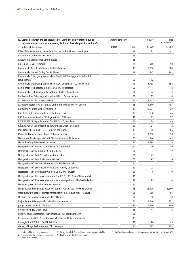| IV. Companies which are not accounted for using the equity method due to<br>secondary importance for the assets, liabilities, financial position and profit | Shareholding in % |       | Equity | Net<br>income/loss      |  |
|-------------------------------------------------------------------------------------------------------------------------------------------------------------|-------------------|-------|--------|-------------------------|--|
| or loss of the Group                                                                                                                                        | Direct            | Total | € '000 | € '000                  |  |
| Klärschlammentsorgung Hesselberg Service GmbH, Unterschwaningen                                                                                             |                   | 49    | 21     | $-1$                    |  |
| KlickEnergie GmbH & Co. KG, Neuss                                                                                                                           |                   | 65    |        | $\overline{\mathbf{3}}$ |  |
| KlickEnergie Verwaltungs-GmbH, Neuss                                                                                                                        |                   | 65    |        | $\overline{\mathbf{3}}$ |  |
| K-net GmbH, Kaiserslautern                                                                                                                                  |                   | 25    | 960    | 50                      |  |
| Kommunale Dienste Marpingen GmbH, Marpingen                                                                                                                 |                   | 49    | 2,856  | 288                     |  |
| Kommunale Dienste Tholey GmbH, Tholey                                                                                                                       |                   | 49    | 967    | 208                     |  |
| Kommunale Entsorgung Neunkirchen Geschäftsführungsgesellschaft mbH,<br>Neunkirchen                                                                          |                   | 50    | 52     | 1                       |  |
| Kommunale Entsorgung Neunkirchen (KEN) GmbH & Co. KG, Neunkirchen                                                                                           |                   | 46    | 2,733  | 152                     |  |
| Kommunalwerk Rudersberg GmbH & Co. KG, Rudersberg                                                                                                           |                   | 50    | $-7$   | $-8$                    |  |
| Kommunalwerk Rudersberg Verwaltungs-GmbH, Rudersberg                                                                                                        |                   | 50    | 22     | $-3$                    |  |
| Kraftwerk Buer Betriebsgesellschaft mbH i.L., Gelsenkirchen                                                                                                 |                   | 50    | 13     | 0                       |  |
| Kraftwerk Buer GbR, Gelsenkirchen                                                                                                                           |                   | 50    | 5,113  | 0                       |  |
| Kraftwerk Voerde OHG der STEAG GmbH und RWE Power AG, Voerde                                                                                                |                   | 25    | 4,840  | 403                     |  |
| Kraftwerk Wehrden GmbH, Völklingen                                                                                                                          |                   | 33    | 10,627 | 29                      |  |
| KSG Kraftwerks-Simulator-Gesellschaft mbH, Essen                                                                                                            |                   | 31    | 538    | 26                      |  |
| KSP Kommunaler Service Püttlingen GmbH, Püttlingen                                                                                                          |                   | 40    | 85     | 77                      |  |
| KÜCKHOVENER Deponiebetrieb GmbH & Co. KG, Bergheim                                                                                                          |                   | 50    | 39     | $-9$                    |  |
| KÜCKHOVENER Deponiebetrieb Verwaltungs-GmbH, Bergheim                                                                                                       |                   | 50    | 37     | 2                       |  |
| MBS Ligna Therm GmbH i. L., Hofheim am Taunus                                                                                                               |                   | 33    | $-96$  | $-86$                   |  |
| Moravske Hidroelektrane d.o.o., Belgrade/Serbia                                                                                                             |                   | 51    | 3,890  | -54                     |  |
| Naturstrom Betriebsgesellschaft Oberhonnefeld mbH, Koblenz                                                                                                  |                   | 25    | 146    | $-2$                    |  |
| Netzanbindung Tewel OHG, Cuxhaven                                                                                                                           |                   | 25    | 1,178  | 14                      |  |
| Netzgesellschaft Bühlertal GmbH & Co. KG, Bühlertal                                                                                                         |                   | 50    | $-10$  | 0                       |  |
| Netzgesellschaft Korb GmbH & Co. KG, Korb                                                                                                                   |                   | 50    | -4     | $-2$                    |  |
| Netzgesellschaft Korb Verwaltungs-GmbH, Korb                                                                                                                |                   | 50    | 23     | 1                       |  |
| Netzgesellschaft Lauf GmbH & Co. KG, Lauf                                                                                                                   |                   | 50    | $-5$   | 0                       |  |
| Netzgesellschaft Leutenbach GmbH & Co. KG, Leutenbach                                                                                                       |                   | 50    |        | $\overline{\mathbf{3}}$ |  |
| Netzgesellschaft Leutenbach Verwaltungs-GmbH, Leutenbach                                                                                                    |                   | 50    | 23     | $-2$                    |  |
| Netzgesellschaft Ottersweier GmbH & Co. KG, Ottersweier                                                                                                     |                   | 50    | -6     | 0                       |  |
| Netzgesellschaft Rheda-Wiedenbrück GmbH & Co. KG, Rheda-Wiedenbrück                                                                                         |                   | 49    |        | $\overline{\mathbf{3}}$ |  |
| Netzgesellschaft Rheda-Wiedenbrück Verwaltungs-GmbH, Rheda-Wiedenbrück                                                                                      |                   | 49    | 25     | 0                       |  |
| NiersEnergieNetze GmbH & Co. KG, Kevelaer                                                                                                                   |                   | 51    |        | $\overline{\mathbf{3}}$ |  |
| Ningxia Antai New Energy Resources Joint Stock Co., Ltd., Yinchuan/China                                                                                    |                   | 25    | 22,176 | 5,840                   |  |
| Objektverwaltungsgesellschaft Dampfkraftwerk Bernburg mbH, Hanover                                                                                          |                   | 58    | 568    | 56                      |  |
| Offshore Trassenplanungs-GmbH OTP, Hanover                                                                                                                  |                   | 50    | 90     | 0                       |  |
| Peißenberger Wärmegesellschaft mbH, Peissenberg                                                                                                             |                   | 50    | 1,246  | 371                     |  |
| prego services mbH, Saarbrücken                                                                                                                             |                   | 37    | 7,160  | -780                    |  |
| Propan Rheingas GmbH, Brühl                                                                                                                                 |                   | 28    | 44     | 2                       |  |
| Recklinghausen Netzgesellschaft mbH & Co. KG, Recklinghausen                                                                                                |                   | 50    |        | $\overline{\mathbf{3}}$ |  |
| Recklinghausen Netz-Verwaltungsgesellschaft mbH, Recklinghausen                                                                                             |                   | 49    |        | $\overline{\mathbf{3}}$ |  |
| Renergie Stadt Wittlich GmbH, Wittlich                                                                                                                      |                   | 30    | 20     | $-5$                    |  |
| rhenag - Thüga Rechenzentrum GbR, Cologne                                                                                                                   |                   | 50    | 187    | 178                     |  |

1 Profit and loss-pooling agreement. 3 Newly founded, financial statements not yet available. 5 RWE AG bears unlimited liability pursuant to Sec. 285, No. 11a of HGB.<br>2 Figures from the Group's consolidated 4 Control by co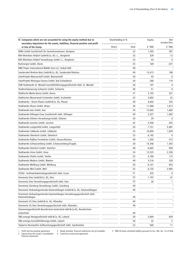| IV. Companies which are not accounted for using the equity method due to<br>secondary importance for the assets, liabilities, financial position and profit | Shareholding in % |       | Equity   | Net<br>income/loss      |
|-------------------------------------------------------------------------------------------------------------------------------------------------------------|-------------------|-------|----------|-------------------------|
| or loss of the Group                                                                                                                                        | Direct            | Total | € $'000$ | € '000                  |
| RIWA GmbH Gesellschaft für Geoinformationen, Kempten                                                                                                        |                   | 33    | 1,285    | 287                     |
| RKH Rheinkies Hitdorf GmbH & Co. KG i.L., Bergheim                                                                                                          |                   | 33    | 329      | 12                      |
| RKH Rheinkies Hitdorf Verwaltungs GmbH i.L., Bergheim                                                                                                       |                   | 33    | 43       | $\mathbf 0$             |
| RurEnergie GmbH, Düren                                                                                                                                      |                   | 25    | 169      | $-227$                  |
| RWE Power International Middle East LLC, Dubai/UAE                                                                                                          |                   | 49    |          |                         |
| Sandersdorf-Brehna Netz GmbH & Co. KG, Sandersdorf-Brehna                                                                                                   |                   | 49    | 13,413   | 180                     |
| SolarProjekt Mainaschaff GmbH, Mainaschaff                                                                                                                  |                   | 50    | 45       | 6                       |
| SolarProjekt Rheingau-Taunus GmbH, Bad Schwalbach                                                                                                           |                   | 50    | 268      | 119                     |
| SSW Stadtwerke St. Wendel Geschäftsführungsgesellschaft mbH, St. Wendel                                                                                     |                   | 50    | 107      | 4                       |
| Stadtentwässerung Schwerte GmbH, Schwerte                                                                                                                   |                   | 48    | 51       | 0                       |
| Städtische Werke Borna GmbH, Borna                                                                                                                          |                   | 37    | 3,193    | 327                     |
| Städtisches Wasserwerk Eschweiler GmbH, Eschweiler                                                                                                          |                   | 25    | 3,805    | 25                      |
| Stadtwerke - Strom Plauen GmbH & Co. KG, Plauen                                                                                                             |                   | 49    | 4,642    | 535                     |
| Stadtwerke Ahaus GmbH, Ahaus                                                                                                                                |                   | 36    | 11,086   | 1,813                   |
| Stadtwerke Aue GmbH, Aue                                                                                                                                    |                   | 24    | 12,602   | 1,682                   |
| Stadtwerke Dillingen/Saar Gesellschaft mbH, Dillingen                                                                                                       |                   | 49    | 5,327    | 1,092                   |
| Stadtwerke Dülmen Verwaltungs-GmbH, Dülmen                                                                                                                  |                   | 50    | 29       | 0                       |
| Stadtwerke Gescher GmbH, Gescher                                                                                                                            |                   | 42    | 2,936    | 455                     |
| Stadtwerke Langenfeld GmbH, Langenfeld                                                                                                                      |                   | 20    | 7,751    | 5,087                   |
| Stadtwerke Lübbecke GmbH, Lübbecke                                                                                                                          |                   | 25    | 16,894   | 1,839                   |
| Stadtwerke Oberkirch GmbH, Oberkirch                                                                                                                        |                   | 33    | 6,192    | 0                       |
| Stadtwerke Roßlau Fernwärme GmbH, Dessau-Rosslau                                                                                                            |                   | 49    | 1,592    | 412                     |
| Stadtwerke Schwarzenberg GmbH, Schwarzenberg/Erzgeb.                                                                                                        |                   | 28    | 14,346   | 1,542                   |
| Stadtwerke Steinfurt GmbH, Steinfurt                                                                                                                        |                   | 48    | 6,602    | 928                     |
| Stadtwerke Unna GmbH, Unna                                                                                                                                  |                   | 24    | 12,523   | 2,330                   |
| Stadtwerke Vlotho GmbH, Vlotho                                                                                                                              |                   | 25    | 4,780    | 172                     |
| Stadtwerke Wadern GmbH, Wadern                                                                                                                              |                   | 49    | 3,516    | 328                     |
| Stadtwerke Weilburg GmbH, Weilburg                                                                                                                          |                   | 20    | 8,101    | 833                     |
| Stadtwerke Werl GmbH, Werl                                                                                                                                  |                   | 25    | 6,735    | 2,905                   |
| STEAG - Kraftwerksbetriebsgesellschaft mbH, Essen                                                                                                           |                   | 21    | 325      | $\mathbf{0}$            |
| Stromnetz Diez GmbH & Co. KG, Diez                                                                                                                          |                   | 25    | 1,162    | 47                      |
| Stromnetz Diez Verwaltungsgesellschaft mbH, Diez                                                                                                            |                   | 25    | 26       | $\mathbf{1}$            |
| Stromnetz Günzburg Verwaltungs GmbH, Günzburg                                                                                                               |                   | 49    |          | 3                       |
| Stromnetz Verbandsgemeinde Katzenelnbogen GmbH & Co. KG, Katzenelnbogen                                                                                     |                   | 49    |          | 3                       |
| Stromnetz Verbandsgemeinde Katzenelnbogen Verwaltungsgesellschaft mbH,<br>Katzenelenbogen                                                                   |                   | 49    |          |                         |
| Stromnetz VG Diez GmbH & Co. KG, Altendiez                                                                                                                  |                   | 49    |          | $\overline{\mathbf{3}}$ |
| Stromnetz VG Diez Verwaltungsgesellschaft mbH, Altendiez                                                                                                    |                   | 49    |          | $\overline{\mathbf{3}}$ |
| Stromnetzgesellschaft Neunkirchen-Seelscheid mbH & Co.KG, Neunkirchen-                                                                                      |                   |       |          |                         |
| Seelscheid                                                                                                                                                  |                   | 49    |          | 3                       |
| SWL-energis Netzgesellschaft mbH & Co. KG, Lebach                                                                                                           |                   | 50    | 3,684    | 659                     |
| SWL-energis-Geschäftsführungs-GmbH, Lebach                                                                                                                  |                   | 50    | 32       | 2                       |
| Talsperre Nonnweiler Aufbereitungsgesellschaft mbH, Saarbrücken                                                                                             |                   | 23    | 560      | 71                      |

1 Profit and loss-pooling agreement. 3 Newly founded, financial statements not yet available. 5 RWE AG bears unlimited liability pursuant to Sec. 285, No. 11a of HGB.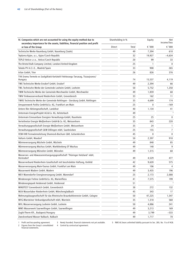| IV. Companies which are not accounted for using the equity method due to                                |        | Shareholding in % |              | Net<br>income/loss |
|---------------------------------------------------------------------------------------------------------|--------|-------------------|--------------|--------------------|
| secondary importance for the assets, liabilities, financial position and profit<br>or loss of the Group | Direct | Total             | € $'000$     | € '000             |
| Technische Werke Naumburg GmbH, Naumburg (Saale)                                                        |        | 49                | 7,394        | 610                |
| Teplarna Kyjov, a.s., Kyjov/Czech Republic                                                              |        | 32                | 19,927       | $-4,634$           |
| TEPLO Votice s.r.o., Votice/Czech Republic                                                              |        | 20                | 99           | 33                 |
| The Bristol Bulk Company Limited, London/United Kingdom                                                 |        | 25                | 1            | 0                  |
| Toledo PV A.E.I.E., Madrid/Spain                                                                        |        | 33                | 908          | 265                |
| trilan GmbH, Trier                                                                                      |        | 26                | 826          | 376                |
| TVK Eromu Termelo es Szolgáltató Korlatolt Felelossegu Tarsasag, Tiszaujvaros/<br>Hungary               |        | 74                | 15.537       | 4,119              |
| TWE Technische Werke Ensdorf GmbH, Ensdorf                                                              |        | 49                | 2,394        | 66                 |
| TWL Technische Werke der Gemeinde Losheim GmbH, Losheim                                                 |        | 50                | 5,752        | 1,250              |
| TWM Technische Werke der Gemeinde Merchweiler GmbH, Merchweiler                                         |        | 49                | 1,859        | 68                 |
| TWN Trinkwasserverbund Niederrhein GmbH, Grevenbroich                                                   |        | 33                | 162          | 11                 |
| TWRS Technische Werke der Gemeinde Rehlingen - Siersburg GmbH, Rehlingen                                |        | 35                | 4,699        | 174                |
| Umspannwerk Putlitz GmbH & Co. KG, Frankfurt am Main                                                    |        | 25                | $\mathbf{0}$ | $-169$             |
| Untere Iller Aktiengesellschaft, Landshut                                                               |        | 40                | 1,134        | 41                 |
| Untermain EnergieProjekt AG & Co. KG, Kelsterbach                                                       |        | 49                |              | $\overline{3}$     |
| Untermain Erneuerbare Energien Verwaltungs-GmbH, Raunheim                                               |        | 25                | 25           | 0                  |
| Verteilnetze Energie Weißenhorn GmbH & Co. KG, Weissenhorn                                              |        | 35                | 843          | 220                |
| Verwaltungsgesellschaft Energie Weißenhorn GmbH, Weissenhorn                                            |        | 35                | 24           | 1                  |
| Verwaltungsgesellschaft GKW Dillingen mbH, Saarbrücken                                                  |        | 25                | 155          | 7                  |
| VEW-VKR Fernwärmeleitung Shamrock-Bochum GbR, Gelsenkirchen                                             |        | 45                | $\mathbf{0}$ | 0                  |
| Voltaris GmbH, Maxdorf                                                                                  |        | 50                | 2,397        | 910                |
| Wärmeversorgung Mücheln GmbH, Mücheln                                                                   |        | 49                | 848          | 85                 |
| Wärmeversorgung Wachau GmbH, Markkleeberg OT Wachau                                                     |        | 49                | 140          | 9                  |
| Wärmeversorgung Würselen GmbH, Würselen                                                                 |        | 49                | 1,315        | 60                 |
| Wasserver- und Abwasserentsorgungsgesellschaft 'Thüringer Holzland' mbH,<br>Hermsdorf                   |        | 49                | 4,529        | 477                |
| Wasserverbund Niederrhein Gesellschaft mit beschränkter Haftung, Krefeld                                |        | 42                | 9,620        | 575                |
| Wasserversorgung Main-Taunus GmbH, Frankfurt am Main                                                    |        | 49                | 106          | 4                  |
| Wasserwerk Wadern GmbH, Wadern                                                                          |        | 49                | 3,435        | 196                |
| WEV Warendorfer Energieversorgung GmbH, Warendorf                                                       |        | 25                | 2,173        | 2,008              |
| Windenergie Frehne GmbH & Co. KG, Marienfliess                                                          |        | 41                | 7,575        | 199                |
| Windenergiepark Heidenrod GmbH, Heidenrod                                                               |        | 51                |              | $\sqrt{3}$         |
| WINDTEST Grevenbroich GmbH, Grevenbroich                                                                |        | 38                | 272          | 132                |
| WLN Wasserlabor Niederrhein GmbH, Mönchengladbach                                                       |        | 45                | 343          | 17                 |
| Wohnungsbaugesellschaft für das Rheinische Braunkohlenrevier GmbH, Cologne                              |        | 50                | 47,225       | 1,547              |
| WVG-Warsteiner Verbundgesellschaft mbH, Warstein                                                        |        | 35                | 1,310        | 560                |
| WVL Wasserversorgung Losheim GmbH, Losheim                                                              |        | 50                | 4,886        | 241                |
| WWS Wasserwerk Saarwellingen GmbH, Saarwellingen                                                        |        | 49                | 3,213        | 169                |
| Zugló-Therm Kft., Budapest/Hungary                                                                      |        | 49                | 3,799        | -533               |
| Zweckverband Wasser Nalbach, Nalbach                                                                    |        | 49                | 1,717        | 70                 |

1 Profit and loss-pooling agreement. 3 Newly founded, financial statements not yet available. 5 RWE AG bears unlimited liability pursuant to Sec. 285, No. 11a of HGB.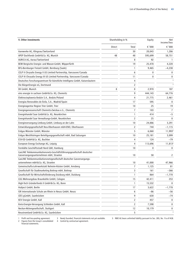| V. Other investments                                                                                              | Shareholding in % |                | Equity  | Net<br>income/loss  |
|-------------------------------------------------------------------------------------------------------------------|-------------------|----------------|---------|---------------------|
|                                                                                                                   | Direct            | Total          | € '000  | € '000              |
| Aarewerke AG, Klingnau/Switzerland                                                                                |                   | 30             | 20,043  | 1,286               |
| APEP Dachfonds GmbH & Co. KG, Munich                                                                              | 48                | 48             | 595,699 | 58,751              |
| AURICA AG, Aarau/Switzerland                                                                                      |                   | 8              | 92      |                     |
| BEW Bergische Energie- und Wasser-GmbH, Wipperfürth                                                               |                   | 19             | 25,478  | 4,220               |
| BFG-Bernburger Freizeit GmbH, Bernburg (Saale)                                                                    |                   | 1              | 9,465   | $-4,238$            |
| CELP II Chrysalix Energy II US Limited Partnership, Vancouver/Canada                                              |                   | 6              | 0       | 0                   |
| CELP III Chrysalix Energy III US Limited Partnership, Vancouver/Canada                                            |                   | 11             | 0       | 0                   |
| Deutsches Forschungszentrum für künstliche Intelligenz GmbH, Kaiserslautern                                       |                   | 4              |         | 3                   |
| Die BürgerEnergie eG, Dortmund                                                                                    |                   | 2              |         | 3                   |
| DII GmbH, Munich                                                                                                  | 8                 | 8              | 2,970   | 187                 |
| eins energie in sachsen GmbH & Co. KG, Chemnitz                                                                   |                   | 9              | 444,143 | 64,776              |
| Elektrocieplownia Bedzin S.A., Bedzin/Poland                                                                      |                   | 4              | 21,775  | 2,461               |
| Energías Renovables de Ávila, S.A., Madrid/Spain                                                                  |                   | 17             | 595     | 0                   |
| Energieagentur Region Trier GmbH, Trier                                                                           |                   | 10             | 25      | 19                  |
| Energiegenossenschaft Chemnitz-Zwickau e.G., Chemnitz                                                             |                   | 7              | 103     | $\overline{7}$      |
| Energiehandel Saar GmbH & Co. KG, Neunkirchen                                                                     |                   | 1              | 414     | -5                  |
| Energiehandel Saar Verwaltungs-GmbH, Neunkirchen                                                                  |                   | 2              | 25      | 0                   |
| Energieversorgung Limburg GmbH, Limburg an der Lahn                                                               |                   | 10             | 24,886  | 3,291               |
| Entwicklungsgesellschaft Neu-Oberhausen mbH-ENO, Oberhausen                                                       |                   | 2              | 744     | $-1,115$            |
| Erdgas Münster GmbH, Münster                                                                                      |                   | 5              | 6,060   | 11,993 <sup>2</sup> |
| Erdgas Westthüringen Beteiligungsgesellschaft mbH, Bad Salzungen                                                  |                   | 10             | 25,181  | 3,099               |
| ESV-ED GmbH & Co. KG, Buchloe                                                                                     |                   | 4              | 124     | $-79$               |
| European Energy Exchange AG, Leipzig                                                                              |                   | 4              | 113,696 | 11,813 <sup>2</sup> |
| Fernkälte Geschäftsstadt Nord GbR, Hamburg                                                                        |                   | 10             | 0       | $\mathbf{0}$        |
| GasLINE Telekommunikationsnetz-Geschäftsführungsgesellschaft deutscher<br>Gasversorgungsunternehmen mbH, Straelen |                   | 10             | 58      | 2                   |
| GasLINE Telekommunikationsnetzgesellschaft deutscher Gasversorgungs-                                              |                   |                |         |                     |
| unternehmen mbH & Co. KG, Straelen                                                                                |                   | 10             | 41,000  | 47,966              |
| Gemeinschafts-Lehrwerkstatt Neheim-Hüsten GmbH, Arnsberg                                                          |                   | 7              | 1,125   | 81                  |
| Gesellschaft für Stadtmarketing Bottrop mbH, Bottrop                                                              |                   | 3              | 161     | $-366$              |
| Gesellschaft für Wirtschaftsförderung Duisburg mbH, Duisburg                                                      |                   | 1              | 864     | $-1,770$            |
| GSG Wohnungsbau Braunkohle GmbH, Cologne                                                                          |                   | 15             | 42,411  | 253                 |
| High-Tech Gründerfonds II GmbH & Co. KG, Bonn                                                                     |                   | T              | 15,532  | $\mathsf{U}$        |
| Hubject GmbH, Berlin                                                                                              |                   | 17             | 3,622   | $-1,778$            |
| ISR Internationale Schule am Rhein in Neuss GmbH, Neuss                                                           |                   | 6              | -86     | $-56$               |
| IZES gGmbH, Saarbrücken                                                                                           |                   | 9              | 630     | $-74$               |
| KEV Energie GmbH, Kall                                                                                            |                   | 2              | 457     | 0                   |
| Kreis-Energie-Versorgung Schleiden GmbH, Kall                                                                     |                   | $\overline{c}$ | 7,598   | 0                   |
| Neckar-Aktiengesellschaft, Stuttgart                                                                              |                   | 12             | 10,179  | 0                   |
| Neustromland GmbH & Co. KG, Saarbrücken                                                                           |                   | 5              |         | 3                   |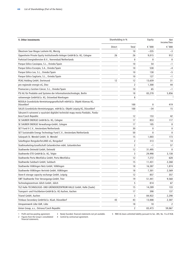| V. Other investments                                                                                    | Shareholding in % |       | Equity | Net<br>income/loss |
|---------------------------------------------------------------------------------------------------------|-------------------|-------|--------|--------------------|
|                                                                                                         | Direct            | Total | € '000 | € '000             |
| Ökostrom Saar Biogas Losheim KG, Merzig                                                                 |                   | 10    | $-335$ | $-3$               |
| Oppenheim Private Equity Institutionelle Anleger GmbH & Co. KG, Cologne                                 | 26                | 26    | 9,015  | 912                |
| Parkstad Energiediensten B.V., Voerendaal/Netherlands                                                   |                   | 0     | 0      | $\mathbf 0$        |
| Parque Eólico Cassiopea, S.L., Oviedo/Spain                                                             |                   | 10    | 54     | $-1$               |
| Parque Eólico Escorpio, S.A., Oviedo/Spain                                                              |                   | 10    | 538    | $-4$               |
| Parque Eólico Leo, S.L., Oviedo/Spain                                                                   |                   | 10    | 138    | $-5$               |
| Parque Eólico Sagitario, S.L., Oviedo/Spain                                                             |                   | 10    | 127    | $-1$               |
| PEAG Holding GmbH, Dortmund                                                                             | 12                | 12    | 13,659 | 31                 |
| pro regionale energie eG, Diez                                                                          |                   | 2     | 1,300  | 44                 |
| Promocion y Gestion Cáncer, S.L., Oviedo/Spain                                                          |                   | 10    | 65     | $-1$               |
| PSI AG für Produkte und Systeme der Informationstechnologie, Berlin                                     |                   | 18    | 83,278 | 5,856              |
| ratioenergie GmbH & Co. KG, Ostseebad Nienhagen                                                         |                   | 8     |        | $\overline{3}$     |
| ROSOLA Grundstücks-Vermietungsgesellschaft mbH & Co. Objekt Alzenau KG,<br>Düsseldorf                   |                   | 100   | 0      | 419                |
| SALUS Grundstücks-Vermietungsges. mbH & Co. Objekt Leipzig KG, Düsseldorf                               |                   | 100   | $-34$  | 15                 |
| Sdruzení k vytvorení a vyuzívání digitální technické mapy mesta Pardubic, Pardu-<br>bice/Czech Republic |                   | 12    | 153    | 42                 |
| SE SAUBER ENERGIE GmbH & Co. KG, Cologne                                                                |                   | 17    | 853    | 117                |
| SE SAUBER ENERGIE Verwaltungs-GmbH, Cologne                                                             |                   | 17    | 105    | 8                  |
| SET Fund II C.V., Amsterdam/Netherlands                                                                 |                   | 30    | 0      | $\mathbf 0$        |
| SET Sustainable Energy Technology Fund C.V., Amsterdam/Netherlands                                      |                   | 50    | 0      | $\mathbf 0$        |
| Solarpark St. Wendel GmbH, St. Wendel                                                                   |                   | 15    | 1,003  | 173                |
| SolarRegion RengsdorferLAND eG, Rengsdorf                                                               |                   | 2     | 313    | 14                 |
| Stadtmarketing-Gesellschaft Gelsenkirchen mbH, Gelsenkirchen                                            |                   | 2     | -1     | 57                 |
| Stadtwerke Detmold GmbH, Detmold                                                                        |                   | 12    | 31,495 | $\mathbf 0$        |
| Stadtwerke ETO GmbH & Co. KG, Telgte                                                                    |                   | 3     | 29,990 | 3,138              |
| Stadtwerke Porta Westfalica GmbH, Porta Westfalica                                                      |                   | 12    | 7,272  | 628                |
| Stadtwerke Sulzbach GmbH, Sulzbach                                                                      |                   | 15    | 11,431 | 2,268              |
| Stadtwerke Völklingen Netz GmbH, Völklingen                                                             |                   | 18    | 16,387 | 1,874              |
| Stadtwerke Völklingen Vertrieb GmbH, Völklingen                                                         |                   | 18    | 7,301  | 2,569              |
| Store-X storage capacity exchange GmbH, Leipzig                                                         |                   | 12    | 857    | 357                |
| SWT Stadtwerke Trier Versorgungs-GmbH, Trier                                                            |                   | 19    | 51,441 | 9,560              |
| Technologiezentrum Jülich GmbH, Jülich                                                                  |                   | 5     | 814    | 67                 |
| TGZ Halle TECHNOLOGIE- UND GRÜNDERZENTRUM HALLE GmbH, Halle (Saale)                                     |                   | 15    | 14,289 | 133                |
| Transport- und Frischbeton-GmbH & Co. KG Aachen, Aachen                                                 |                   | 17    | 390    | 137                |
| Trianel GmbH, Aachen                                                                                    |                   | 3     | 84,922 | 2,290              |
| Trinkaus Secondary GmbH & Co. KGaA, Düsseldorf                                                          | 43                | 43    | 13,008 | 2,307              |
| Umspannwerk Lübz GbR, Lübz                                                                              |                   | 18    | 10     | 2                  |
| Union Group, a.s., Ostrava/Czech Republic                                                               |                   | 2     | 83,473 | 59,067             |

2 Figures from the Group's consolidated 4 Control by contractual agreement. financial statements.

3 Newly founded, financial statements not yet available. 5 RWE AG bears unlimited liability pursuant to Sec. 285, No. 11a of HGB.<br>4 Control by contractual agreement.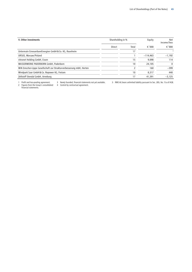| V. Other investments                                                | Shareholding in % |       | Equity     | Net<br>income/loss |
|---------------------------------------------------------------------|-------------------|-------|------------|--------------------|
|                                                                     | <b>Direct</b>     | Total | € '000     | € '000             |
| Untermain ErneuerbareEnergien GmbH & Co. KG, Raunheim               |                   | 17    |            |                    |
| URSUS, Warsaw/Poland                                                |                   |       | $-114.463$ | $-1,192$           |
| vitronet Holding GmbH, Essen                                        |                   | 15    | 9,098      | 114                |
| WASSERWERKE PADERBORN GmbH, Paderborn                               |                   | 10    | 24,105     | $\mathbf{0}$       |
| WiN Emscher-Lippe Gesellschaft zur Strukturverbesserung mbH, Herten |                   |       | 160        | $-399$             |
| Windpark Saar GmbH & Co. Repower KG, Freisen                        |                   | 10    | 8.317      | 440                |
| Zellstoff Stendal GmbH, Arneburg                                    |                   | 17    | 41.391     | $-3,125$           |

1 Profit and loss-pooling agreement. 3 Newly founded, financial statements not yet available. 5 RWE AG bears unlimited liability pursuant to Sec. 285, No. 11a of HGB.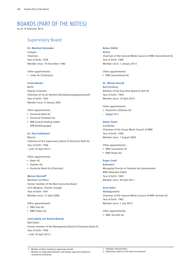# BOARDS (PART OF THE NOTES)

As of 14 February 2014

## Supervisory Board

#### **Dr. Manfred Schneider**

Cologne Chairman Year of birth: 1938 Member since: 10 December 1992

## Other appointments:

• Linde AG (Chairman)

#### **Frank Bsirske**

Berlin Deputy Chairman Chairman of ver.di Vereinte Dienstleistungsgewerkschaft Year of birth: 1952 Member since: 9 January 2001

#### Other appointments:

- • Deutsche Bank AG
- Deutsche Postbank AG
- • IBM Central Holding GmbH
- KfW Bankengruppe

#### **Dr. Paul Achleitner2**

Munich Chairman of the Supervisory Board of Deutsche Bank AG Year of birth: 1956 – until 18 April 2013 –

#### Other appointments:

- • Bayer AG
- • Daimler AG
- • Deutsche Bank AG (Chairman)

#### **Werner Bischoff1**

Monheim am Rhein Former member of the Main Executive Board of IG Bergbau, Chemie, Energie Year of birth: 1947 Member since: 13 April 2006

Other appointments:

- • RWE Dea AG
- • RWE Power AG

#### **Carl-Ludwig von Boehm-Bezing2**

Bad Soden Former member of the Management Board of Deutsche Bank AG Year of birth: 1940 – until 18 April 2013 –

#### **Reiner Böhle1**

Witten Chairman of the General Works Council of RWE Deutschland AG Year of birth: 1960 Member since: 1 January 2013

Other appointments:

• RWE Deutschland AG

#### **Dr. Werner Brandt**

Bad Homburg Member of the Executive Board of SAP AG Year of birth: 1954 Member since: 18 April 2013

Other appointments:

- • Deutsche Lufthansa AG
- Qiagen N.V.

#### **Dieter Faust1**

Eschweiler Chairman of the Group Works Council of RWE Year of birth: 1958 Member since: 1 August 2005

Other appointments:

- • RWE Generation SE
- • RWE Power AG

#### **Roger Graef**

Bollendorf Managing Director of Verband der kommunalen RWE-Aktionäre GmbH Year of birth: 1943 Member since: 20 April 2011

#### **Arno Hahn1**

Waldalgesheim Chairman of the General Works Council of RWE Vertrieb AG Year of birth: 1962 Member since: 1 July 2012

Other appointments:

• RWE Vertrieb AG

Member of comparable domestic and foreign supervisory boards of commercial enterprises.

1 Employee representative.

2 Information valid as of the date of retirement.

<sup>•</sup>  Member of other mandatory supervisory boards.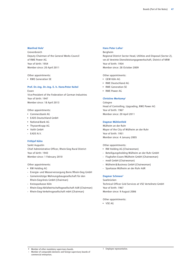#### **Manfred Holz1**

Grevenbroich Deputy Chairman of the General Works Council of RWE Power AG Year of birth: 1954 Member since: 20 April 2011

#### Other appointments:

• RWE Generation SE

#### **Prof. Dr.-Ing. Dr.-Ing. E. h. Hans-Peter Keitel**

Essen Vice-President of the Federation of German Industries Year of birth: 1947 Member since: 18 April 2013

#### Other appointments:

- • Commerzbank AG
- • EADS Deutschland GmbH
- • National-Bank AG
- • ThyssenKrupp AG
- • Voith GmbH
- EADS N.V.

#### **Frithjof Kühn**

Sankt Augustin Chief Administrative Officer, Rhein-Sieg Rural District Year of birth: 1943 Member since: 1 February 2010

#### Other appointments:

- • RW Holding AG
- Energie- und Wasserversorgung Bonn/Rhein-Sieg GmbH
- Gemeinnützige Wohnungsbaugesellschaft für den Rhein-Sieg-Kreis GmbH (Chairman)
- Kreissparkasse Köln
- Rhein-Sieg-Abfallwirtschaftsgesellschaft AöR (Chairman)
- Rhein-Sieg-Verkehrsgesellschaft mbH (Chairman)

#### **Hans Peter Lafos**<sup>1</sup>

#### Bergheim

Regional District Sector Head, Utilities and Disposal (Sector 2), ver.di Vereinte Dienstleistungsgewerkschaft, District of NRW Year of birth: 1954 Member since: 28 October 2009

Other appointments:

- • GEW Köln AG
- • RWE Deutschland AG
- • RWE Generation SE
- • RWE Power AG

#### **Christine Merkamp1**

Cologne Head of Controlling, Upgrading, RWE Power AG Year of birth: 1967 Member since: 20 April 2011

#### **Dagmar Mühlenfeld**

Mülheim an der Ruhr Mayor of the City of Mülheim an der Ruhr Year of birth: 1951 Member since: 4 January 2005

Other appointments:

- • RW Holding AG (Chairwoman)
- Beteiligungsholding Mülheim an der Ruhr GmbH
- Flughafen Essen/Mülheim GmbH (Chairwoman)
- medl GmbH (Chairwoman)
- Mülheim & Business GmbH (Chairwoman)
- Sparkasse Mülheim an der Ruhr AöR

#### **Dagmar Schmeer1**

Saarbrücken Technical Officer Grid Services at VSE Verteilnetz GmbH Year of birth: 1967 Member since: 9 August 2006

Other appointments:

• VSE AG

• Member of other mandatory supervisory boards. Member of comparable domestic and foreign supervisory boards of

commercial enterprises.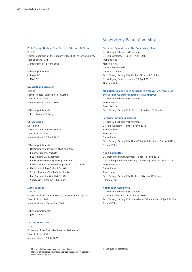#### **Prof. Dr.-Ing. Dr.-Ing. E. h. Dr. h. c. Ekkehard D. Schulz**

Krefeld Former Chairman of the Executive Board of ThyssenKrupp AG Year of birth: 1941 Member since: 13 April 2006

Other appointments:

- • Bayer AG
- • MAN SE

#### **Dr. Wolfgang Schüssel**

Vienna Former Federal Chancellor of Austria Year of birth: 1945 Member since: 1 March 2010

#### Other appointments:

- Bertelsmann Stiftung

#### **Ullrich Sierau**

Dortmund Mayor of the City of Dortmund Year of birth: 1956 Member since: 20 April 2011

Other appointments:

- • Dortmunder Stadtwerke AG (Chairman)
- Emschergenossenschaft
- KEB Holding AG (Chairman)
- Klinikum Dortmund gGmbH (Chairman)
- KSBG Kommunale Verwaltungsgesellschaft GmbH
- Medicos Holding GmbH & Co. KG
- Schüchtermann-Schiller'sche Kliniken Bad Rothenfelde GmbH&Co. KG
- Sparkasse Dortmund (Chairman)

#### **Manfred Weber1**

Wietze Chairman of the General Works Council of RWE Dea AG Year of birth: 1947 Member since: 1 December 2008

Other appointments:

• RWE Dea AG

#### **Dr. Dieter Zetsche**

**Stuttgart** Chairman of the Executive Board of Daimler AG Year of birth: 1953 Member since: 16 July 2009

## Supervisory Board Committees

#### **Executive Committee of the Supervisory Board**

Dr. Manfred Schneider (Chairman) Dr. Paul Achleitner – until 18 April 2013 – Frank Bsirske Manfred Holz Dagmar Mühlenfeld Dagmar Schmeer Prof. Dr.-Ing. Dr.-Ing. E.h. Dr. h.c. Ekkehard D. Schulz Dr. Wolfgang Schüssel – since 18 April 2013 – Manfred Weber

## **Mediation Committee in accordance with Sec. 27, Para. 3 of**

**the German Co-Determination Act (MitbestG)** Dr. Manfred Schneider (Chairman) Werner Bischoff Frank Bsirske Prof. Dr.-Ing. Dr.-Ing. E. h. Dr. h. c. Ekkehard D. Schulz

#### **Personnel Affairs Committee**

Dr. Manfred Schneider (Chairman) Dr. Paul Achleitner - until 18 April 2013 - Rainer Böhle Frank Bsirske Dieter Faust Prof. Dr.-Ing. Dr.-Ing. E.h. Hans-Peter Keitel – since 18 April 2013 – Frithjof Kühn

#### **Audit Committee**

Dr. Werner Brandt (Chairman) – since 18 April 2013 – Carl-Ludwig von Boehm-Bezing (Chairman) – until 18 April 2013 – Werner Bischoff Dieter Faust Arno Hahn Prof. Dr.-Ing. Dr.-Ing. E.h. Dr. h. c. Ekkehard D. Schulz Ullrich Sierau

#### **Nomination Committee**

Dr. Manfred Schneider (Chairman) Dr. Paul Achleitner – until 18 April 2013 – Prof. Dr.-Ing. Dr.-Ing. E. h. Hans-Peter Keitel – since 18 April 2013 – Frithjof Kühn

commercial enterprises.

<sup>•</sup>  Member of other mandatory supervisory boards. Member of comparable domestic and foreign supervisory boards of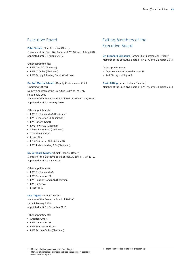## Executive Board

**Peter Terium** (Chief Executive Officer) Chairman of the Executive Board of RWE AG since 1 July 2012, appointed until 31 August 2016

Other appointments:

- • RWE Dea AG (Chairman)
- • RWE IT GmbH (Chairman)
- • RWE Supply&Trading GmbH (Chairman)

#### **Dr. Rolf Martin Schmitz** (Deputy Chairman and Chief

Operating Officer) Deputy Chairman of the Executive Board of RWE AG since 1 July 2012 Member of the Executive Board of RWE AG since 1 May 2009, appointed until 31 January 2019

Other appointments:

- • RWE Deutschland AG (Chairman)
- • RWE Generation SE (Chairman)
- • RWE Innogy GmbH
- • RWE Power AG (Chairman)
- • Süwag Energie AG (Chairman)
- • TÜV Rheinland AG
- Essent N.V.
- KELAG-Kärntner Elektrizitäts-AG
- RWE Turkey Holding A.S. (Chairman)

#### **Dr. Bernhard Günther** (Chief Financial Officer)

Member of the Executive Board of RWE AG since 1 July 2012, appointed until 30 June 2017

Other appointments:

- • RWE Deutschland AG
- • RWE Generation SE
- • RWE Pensionsfonds AG (Chairman)
- • RWE Power AG
- Essent N.V.

**Uwe Tigges** (Labour Director) Member of the Executive Board of RWE AG since 1 January 2013, appointed until 31 December 2015

Other appointments:

- • Amprion GmbH
- • RWE Generation SE
- • RWE Pensionsfonds AG
- • RWE Service GmbH (Chairman)

#### • Member of other mandatory supervisory boards.

Member of comparable domestic and foreign supervisory boards of commercial enterprises.

## Exiting Members of the Executive Board

**Dr. Leonhard Birnbaum** (former Chief Commercial Officer)<sup>1</sup> Member of the Executive Board of RWE AG until 22 March 2013

Other appointments:

- • Georgsmarienhütte Holding GmbH
- RWE Turkey Holding A.S.

**Alwin Fitting** (former Labour Director) Member of the Executive Board of RWE AG until 31 March 2013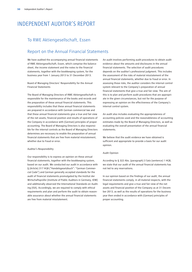# Independent Auditor's Report

## To RWE Aktiengesellschaft, Essen

## Report on the Annual Financial Statements

We have audited the accompanying annual financial statements of RWE Aktiengesellschaft, Essen, which comprise the balance sheet, the income statement and the notes to the financial statements, together with the bookkeeping system, for the business year from 1 January 2013 to 31 December 2013.

Board of Managing Directors' Responsibility for the Annual Financial Statements

The Board of Managing Directors of RWE Aktiengesellschaft is responsible for the maintenance of the books and records and the preparation of these annual financial statements. This responsibility includes that these annual financial statements are prepared in accordance with German commercial law and that these annual financial statements give a true and fair view of the net assets, financial position and results of operations of the Company in accordance with (German) principles of proper accounting. The Board of Managing Directors is also responsible for the internal controls as the Board of Managing Directors determines are necessary to enable the preparation of annual financial statements that are free from material misstatement, whether due to fraud or error.

#### Auditor's Responsibility

Our responsibility is to express an opinion on these annual financial statements, together with the bookkeeping system, based on our audit. We conducted our audit in accordance with § (Article) 317 HGB ("Handelsgesetzbuch": "German Commercial Code") and German generally accepted standards for the audit of financial statements promulgated by the Institut der Wirtschaftsprüfer (Institute of Public Auditors in Germany, IDW) and additionally observed the International Standards on Auditing (ISA). Accordingly, we are required to comply with ethical requirements and plan and perform the audit to obtain reasonable assurance about whether the annual financial statements are free from material misstatement.

An audit involves performing audit procedures to obtain audit evidence about the amounts and disclosures in the annual financial statements. The selection of audit procedures depends on the auditor's professional judgment. This includes the assessment of the risks of material misstatement of the annual financial statements, whether due to fraud or error. In assessing those risks, the auditor considers the internal control system relevant to the Company's preparation of annual financial statements that give a true and fair view. The aim of this is to plan and perform audit procedures that are appropriate in the given circumstances, but not for the purpose of expressing an opinion on the effectiveness of the Company's internal control system.

An audit also includes evaluating the appropriateness of accounting policies used and the reasonableness of accounting estimates made by the Board of Managing Directors, as well as evaluating the overall presentation of the annual financial statements.

We believe that the audit evidence we have obtained is sufficient and appropriate to provide a basis for our audit opinion.

#### Audit Opinion

According to § 322 Abs. (paragraph) 3 Satz (sentence) 1 HGB, we state that our audit of the annual financial statements has not led to any reservations.

In our opinion based on the findings of our audit, the annual financial statements comply, in all material respects, with the legal requirements and give a true and fair view of the net assets and financial position of the Company as at 31 December 2013, as well as the results of operations for the business year then ended in accordance with (German) principles of proper accounting.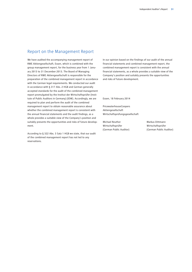## Report on the Management Report

We have audited the accompanying management report of RWE Aktiengesellschaft, Essen, which is combined with the group management report, for the business year from 1 January 2013 to 31 December 2013. The Board of Managing Directors of RWE Aktiengesellschaft is responsible for the preparation of the combined management report in accordance with the German legal requirements. We conducted our audit in accordance with § 317 Abs. 2 HGB and German generally accepted standards for the audit of the combined management report promulgated by the Institut der Wirtschaftsprüfer (Institute of Public Auditors in Germany) (IDW). Accordingly, we are required to plan and perform the audit of the combined management report to obtain reasonable assurance about whether the combined management report is consistent with the annual financial statements and the audit findings, as a whole provides a suitable view of the Company's position and suitably presents the opportunities and risks of future development.

According to § 322 Abs. 3 Satz 1 HGB we state, that our audit of the combined management report has not led to any reservations.

In our opinion based on the findings of our audit of the annual financial statements and combined management report, the combined management report is consistent with the annual financial statements, as a whole provides a suitable view of the Company's position and suitably presents the opportunities and risks of future development.

Essen, 18 February 2014

PricewaterhouseCoopers Aktiengesellschaft Wirtschaftsprüfungsgesellschaft

Michael Reuther **Markus Dittmann** Wirtschaftsprüfer Wirtschaftsprüfer (German Public Auditor) (German Public Auditor)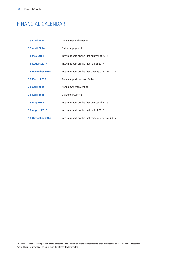# Financial Calendar

| <b>16 April 2014</b>  | Annual General Meeting                             |
|-----------------------|----------------------------------------------------|
| <b>17 April 2014</b>  | Dividend payment                                   |
| 14 May 2014           | Interim report on the first quarter of 2014        |
| <b>14 August 2014</b> | Interim report on the first half of 2014           |
| 13 November 2014      | Interim report on the first three quarters of 2014 |
| <b>10 March 2015</b>  | Annual report for fiscal 2014                      |
| <b>23 April 2015</b>  | Annual General Meeting                             |
| <b>24 April 2015</b>  | Dividend payment                                   |
| 13 May 2015           | Interim report on the first quarter of 2015        |
| <b>13 August 2015</b> | Interim report on the first half of 2015           |
| 12 November 2015      | Interim report on the first three quarters of 2015 |

The Annual General Meeting and all events concerning the publication of the financial reports are broadcast live on the internet and recorded. We will keep the recordings on our website for at least twelve months.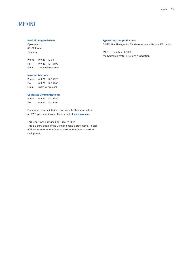# **IMPRINT**

#### **RWE Aktiengesellschaft**

Opernplatz 1 45128 Essen Germany

Phone +49 201 12-00 Fax +49 201 12-15199 E-mail contact@rwe.com

#### **Investor Relations:**

Phone +49 201 12-15025 Fax +49 201 12-15265 E-mail invest@rwe.com

#### **Corporate Communications:**

Phone +49 201 12-15250 Fax +49 201 12-15094

For annual reports, interim reports and further information on RWE, please visit us on the internet at **www.rwe.com**

This report was published on 4 March 2014. This is a translation of the German financial statements. In case of divergence from the German version, the German version shall prevail.

#### **Typesetting and production:**

CHIARI GmbH – Agentur für Markenkommunikation, Düsseldorf

RWE is a member of DIRK – the German Investor Relations Association.